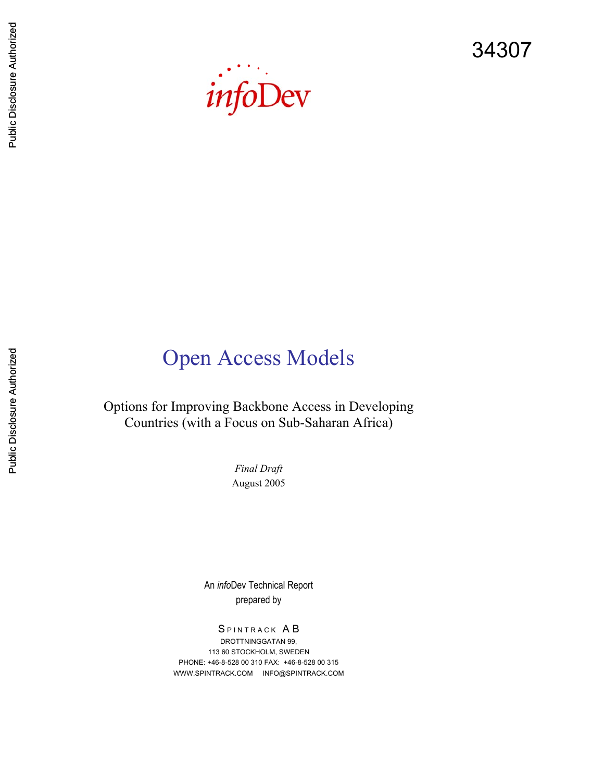34307



Options for Improving Backbone Access in Developing Countries (with a Focus on Sub-Saharan Africa)

Open Access Models

*Final Draft*  August 2005

An *info*Dev Technical Report prepared by

SPINTRACK AB DROTTNINGGATAN 99, 113 60 STOCKHOLM, SWEDEN PHONE: +46-8-528 00 310 FAX: +46-8-528 00 315 WWW.SPINTRACK.COM INFO@SPINTRACK.COM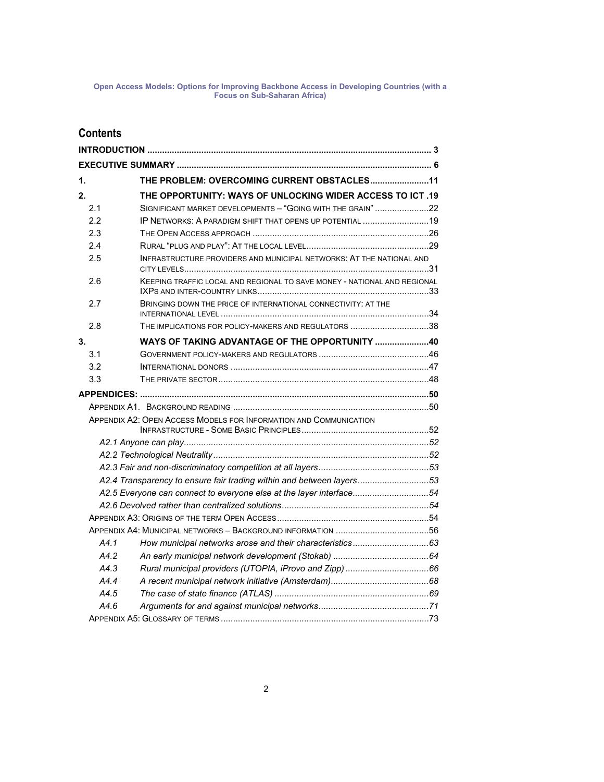### **Contents**

| 1. |      | THE PROBLEM: OVERCOMING CURRENT OBSTACLES11                              |  |
|----|------|--------------------------------------------------------------------------|--|
| 2. |      | THE OPPORTUNITY: WAYS OF UNLOCKING WIDER ACCESS TO ICT .19               |  |
|    | 2.1  | SIGNIFICANT MARKET DEVELOPMENTS - "GOING WITH THE GRAIN" 22              |  |
|    | 2.2  | IP NETWORKS: A PARADIGM SHIFT THAT OPENS UP POTENTIAL 19                 |  |
|    | 2.3  |                                                                          |  |
|    | 2.4  |                                                                          |  |
|    | 2.5  | INFRASTRUCTURE PROVIDERS AND MUNICIPAL NETWORKS: AT THE NATIONAL AND     |  |
|    | 2.6  | KEEPING TRAFFIC LOCAL AND REGIONAL TO SAVE MONEY - NATIONAL AND REGIONAL |  |
|    | 2.7  | BRINGING DOWN THE PRICE OF INTERNATIONAL CONNECTIVITY: AT THE            |  |
|    | 2.8  | THE IMPLICATIONS FOR POLICY-MAKERS AND REGULATORS 38                     |  |
| 3. |      | WAYS OF TAKING ADVANTAGE OF THE OPPORTUNITY 40                           |  |
|    | 3.1  |                                                                          |  |
|    | 3.2  |                                                                          |  |
|    | 3.3  |                                                                          |  |
|    |      |                                                                          |  |
|    |      |                                                                          |  |
|    |      | APPENDIX A2: OPEN ACCESS MODELS FOR INFORMATION AND COMMUNICATION        |  |
|    |      |                                                                          |  |
|    |      |                                                                          |  |
|    |      |                                                                          |  |
|    |      |                                                                          |  |
|    |      | A2.4 Transparency to ensure fair trading within and between layers53     |  |
|    |      | A2.5 Everyone can connect to everyone else at the layer interface54      |  |
|    |      |                                                                          |  |
|    |      |                                                                          |  |
|    |      |                                                                          |  |
|    | A4.1 |                                                                          |  |
|    | A4.2 |                                                                          |  |
|    | A4.3 |                                                                          |  |
|    | A4.4 |                                                                          |  |
|    | A4.5 |                                                                          |  |
|    | A4.6 |                                                                          |  |
|    |      |                                                                          |  |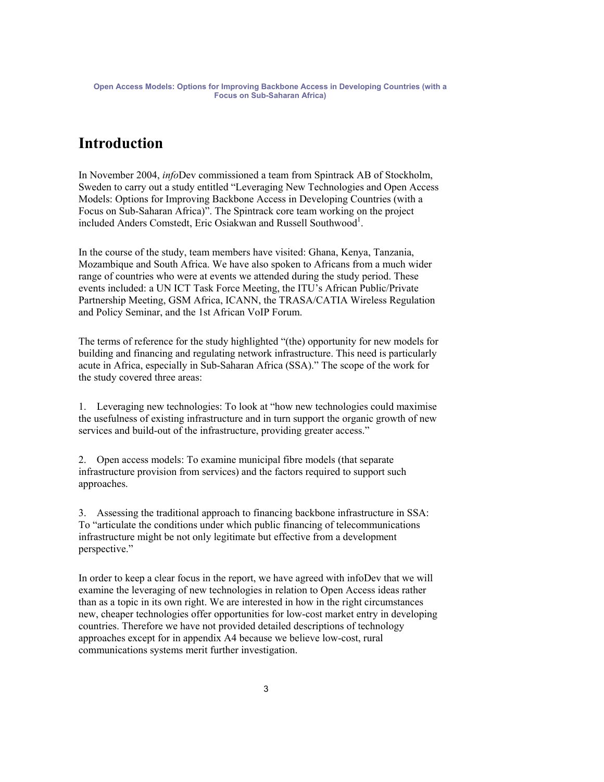### **Introduction**

In November 2004, *info*Dev commissioned a team from Spintrack AB of Stockholm, Sweden to carry out a study entitled "Leveraging New Technologies and Open Access Models: Options for Improving Backbone Access in Developing Countries (with a Focus on Sub-Saharan Africa)". The Spintrack core team working on the project included Anders Comstedt, Eric Osiakwan and Russell Southwood<sup>1</sup>.

In the course of the study, team members have visited: Ghana, Kenya, Tanzania, Mozambique and South Africa. We have also spoken to Africans from a much wider range of countries who were at events we attended during the study period. These events included: a UN ICT Task Force Meeting, the ITU's African Public/Private Partnership Meeting, GSM Africa, ICANN, the TRASA/CATIA Wireless Regulation and Policy Seminar, and the 1st African VoIP Forum.

The terms of reference for the study highlighted "(the) opportunity for new models for building and financing and regulating network infrastructure. This need is particularly acute in Africa, especially in Sub-Saharan Africa (SSA)." The scope of the work for the study covered three areas:

1. Leveraging new technologies: To look at "how new technologies could maximise the usefulness of existing infrastructure and in turn support the organic growth of new services and build-out of the infrastructure, providing greater access."

2. Open access models: To examine municipal fibre models (that separate infrastructure provision from services) and the factors required to support such approaches.

3. Assessing the traditional approach to financing backbone infrastructure in SSA: To "articulate the conditions under which public financing of telecommunications infrastructure might be not only legitimate but effective from a development perspective."

In order to keep a clear focus in the report, we have agreed with infoDev that we will examine the leveraging of new technologies in relation to Open Access ideas rather than as a topic in its own right. We are interested in how in the right circumstances new, cheaper technologies offer opportunities for low-cost market entry in developing countries. Therefore we have not provided detailed descriptions of technology approaches except for in appendix A4 because we believe low-cost, rural communications systems merit further investigation.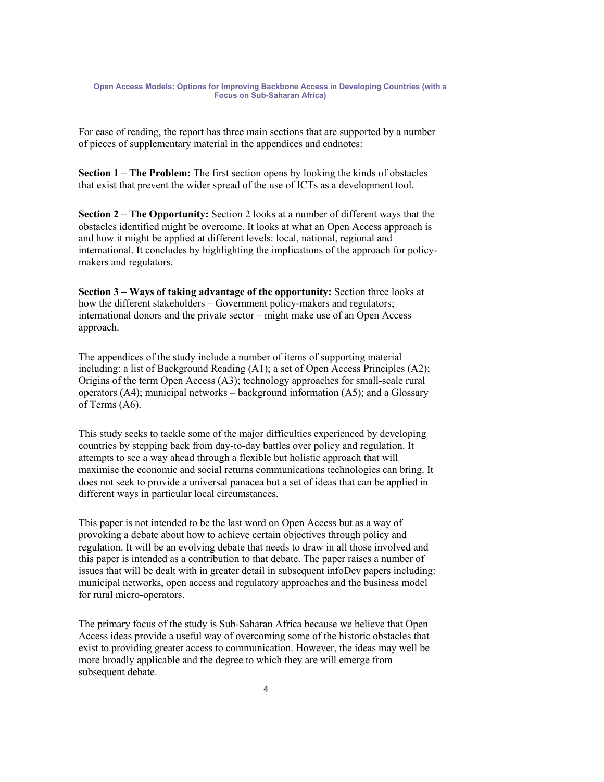For ease of reading, the report has three main sections that are supported by a number of pieces of supplementary material in the appendices and endnotes:

**Section 1 – The Problem:** The first section opens by looking the kinds of obstacles that exist that prevent the wider spread of the use of ICTs as a development tool.

**Section 2 – The Opportunity:** Section 2 looks at a number of different ways that the obstacles identified might be overcome. It looks at what an Open Access approach is and how it might be applied at different levels: local, national, regional and international. It concludes by highlighting the implications of the approach for policymakers and regulators.

**Section 3 – Ways of taking advantage of the opportunity:** Section three looks at how the different stakeholders – Government policy-makers and regulators; international donors and the private sector – might make use of an Open Access approach.

The appendices of the study include a number of items of supporting material including: a list of Background Reading (A1); a set of Open Access Principles (A2); Origins of the term Open Access (A3); technology approaches for small-scale rural operators (A4); municipal networks – background information (A5); and a Glossary of Terms (A6).

This study seeks to tackle some of the major difficulties experienced by developing countries by stepping back from day-to-day battles over policy and regulation. It attempts to see a way ahead through a flexible but holistic approach that will maximise the economic and social returns communications technologies can bring. It does not seek to provide a universal panacea but a set of ideas that can be applied in different ways in particular local circumstances.

This paper is not intended to be the last word on Open Access but as a way of provoking a debate about how to achieve certain objectives through policy and regulation. It will be an evolving debate that needs to draw in all those involved and this paper is intended as a contribution to that debate. The paper raises a number of issues that will be dealt with in greater detail in subsequent infoDev papers including: municipal networks, open access and regulatory approaches and the business model for rural micro-operators.

The primary focus of the study is Sub-Saharan Africa because we believe that Open Access ideas provide a useful way of overcoming some of the historic obstacles that exist to providing greater access to communication. However, the ideas may well be more broadly applicable and the degree to which they are will emerge from subsequent debate.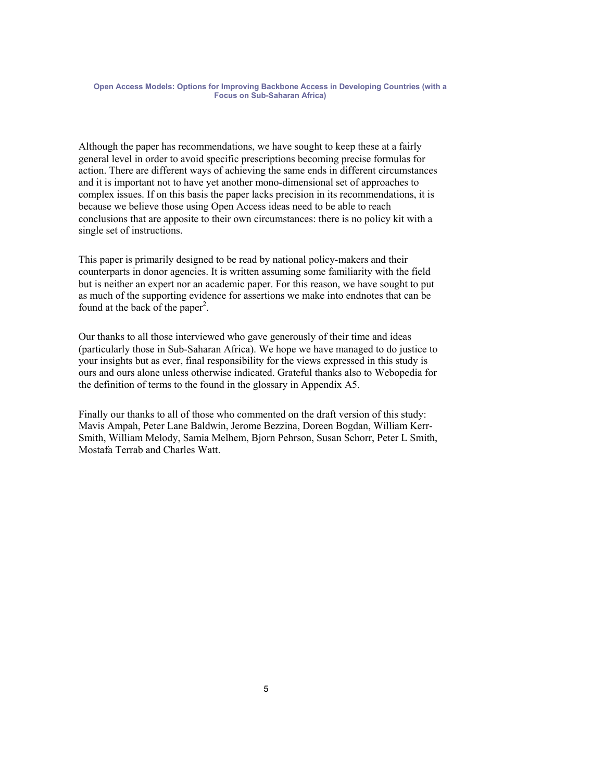Although the paper has recommendations, we have sought to keep these at a fairly general level in order to avoid specific prescriptions becoming precise formulas for action. There are different ways of achieving the same ends in different circumstances and it is important not to have yet another mono-dimensional set of approaches to complex issues. If on this basis the paper lacks precision in its recommendations, it is because we believe those using Open Access ideas need to be able to reach conclusions that are apposite to their own circumstances: there is no policy kit with a single set of instructions.

This paper is primarily designed to be read by national policy-makers and their counterparts in donor agencies. It is written assuming some familiarity with the field but is neither an expert nor an academic paper. For this reason, we have sought to put as much of the supporting evidence for assertions we make into endnotes that can be found at the back of the paper<sup>2</sup>.

Our thanks to all those interviewed who gave generously of their time and ideas (particularly those in Sub-Saharan Africa). We hope we have managed to do justice to your insights but as ever, final responsibility for the views expressed in this study is ours and ours alone unless otherwise indicated. Grateful thanks also to Webopedia for the definition of terms to the found in the glossary in Appendix A5.

Finally our thanks to all of those who commented on the draft version of this study: Mavis Ampah, Peter Lane Baldwin, Jerome Bezzina, Doreen Bogdan, William Kerr-Smith, William Melody, Samia Melhem, Bjorn Pehrson, Susan Schorr, Peter L Smith, Mostafa Terrab and Charles Watt.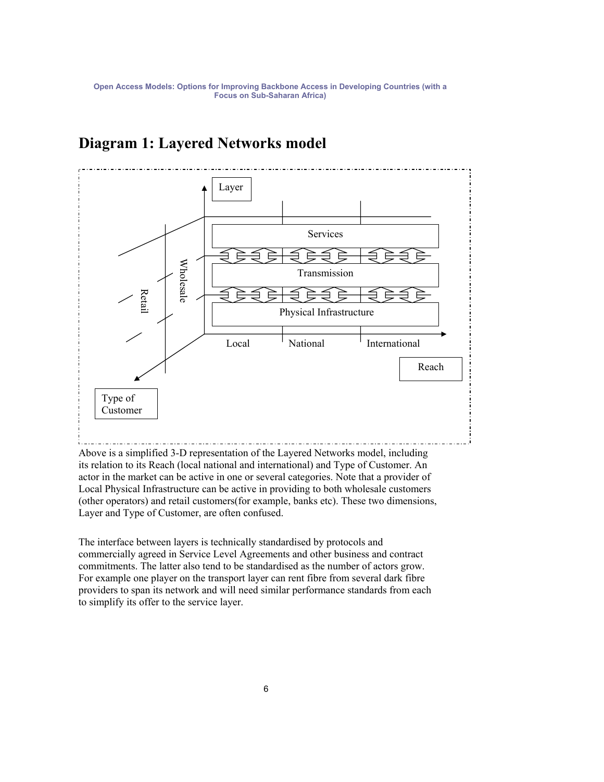# Layer Services Wholesale Wholesale Transmission Retail Physical Infrastructure Local <sup>I</sup> National <sup>I</sup> International Reach Type of Customer

## **Diagram 1: Layered Networks model**

Above is a simplified 3-D representation of the Layered Networks model, including its relation to its Reach (local national and international) and Type of Customer. An actor in the market can be active in one or several categories. Note that a provider of Local Physical Infrastructure can be active in providing to both wholesale customers (other operators) and retail customers(for example, banks etc). These two dimensions, Layer and Type of Customer, are often confused.

The interface between layers is technically standardised by protocols and commercially agreed in Service Level Agreements and other business and contract commitments. The latter also tend to be standardised as the number of actors grow. For example one player on the transport layer can rent fibre from several dark fibre providers to span its network and will need similar performance standards from each to simplify its offer to the service layer.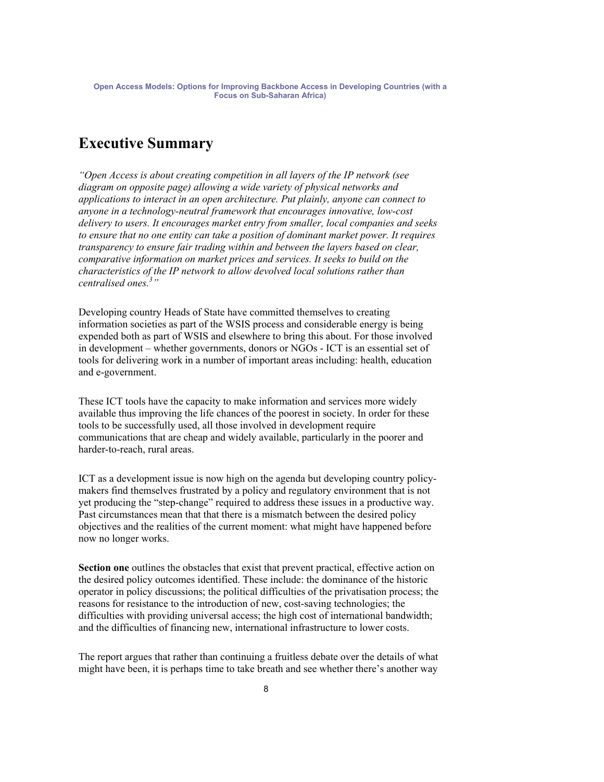### **Executive Summary**

*"Open Access is about creating competition in all layers of the IP network (see diagram on opposite page) allowing a wide variety of physical networks and applications to interact in an open architecture. Put plainly, anyone can connect to anyone in a technology-neutral framework that encourages innovative, low-cost delivery to users. It encourages market entry from smaller, local companies and seeks to ensure that no one entity can take a position of dominant market power. It requires transparency to ensure fair trading within and between the layers based on clear, comparative information on market prices and services. It seeks to build on the characteristics of the IP network to allow devolved local solutions rather than centralised ones.<sup>3</sup> "*

Developing country Heads of State have committed themselves to creating information societies as part of the WSIS process and considerable energy is being expended both as part of WSIS and elsewhere to bring this about. For those involved in development – whether governments, donors or NGOs - ICT is an essential set of tools for delivering work in a number of important areas including: health, education and e-government.

These ICT tools have the capacity to make information and services more widely available thus improving the life chances of the poorest in society. In order for these tools to be successfully used, all those involved in development require communications that are cheap and widely available, particularly in the poorer and harder-to-reach, rural areas.

ICT as a development issue is now high on the agenda but developing country policymakers find themselves frustrated by a policy and regulatory environment that is not yet producing the "step-change" required to address these issues in a productive way. Past circumstances mean that that there is a mismatch between the desired policy objectives and the realities of the current moment: what might have happened before now no longer works.

**Section one** outlines the obstacles that exist that prevent practical, effective action on the desired policy outcomes identified. These include: the dominance of the historic operator in policy discussions; the political difficulties of the privatisation process; the reasons for resistance to the introduction of new, cost-saving technologies; the difficulties with providing universal access; the high cost of international bandwidth; and the difficulties of financing new, international infrastructure to lower costs.

The report argues that rather than continuing a fruitless debate over the details of what might have been, it is perhaps time to take breath and see whether there's another way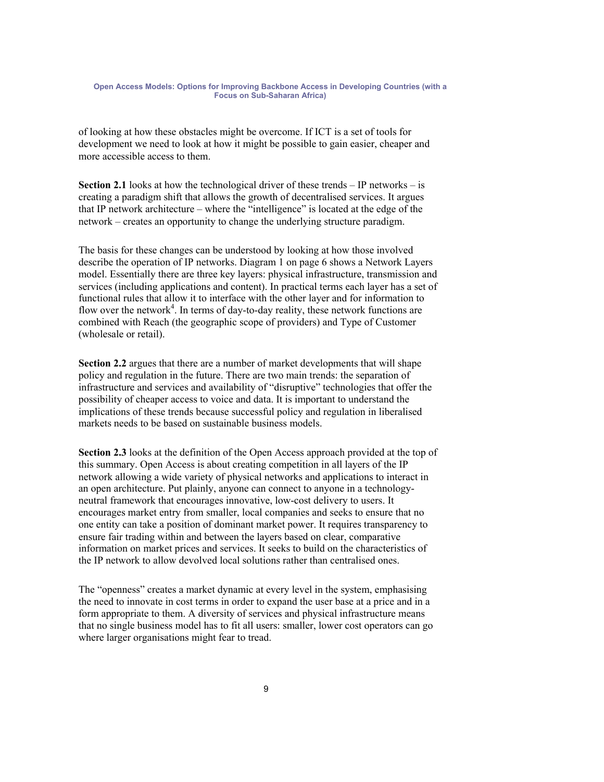of looking at how these obstacles might be overcome. If ICT is a set of tools for development we need to look at how it might be possible to gain easier, cheaper and more accessible access to them.

**Section 2.1** looks at how the technological driver of these trends – IP networks – is creating a paradigm shift that allows the growth of decentralised services. It argues that IP network architecture – where the "intelligence" is located at the edge of the network – creates an opportunity to change the underlying structure paradigm.

The basis for these changes can be understood by looking at how those involved describe the operation of IP networks. Diagram 1 on page 6 shows a Network Layers model. Essentially there are three key layers: physical infrastructure, transmission and services (including applications and content). In practical terms each layer has a set of functional rules that allow it to interface with the other layer and for information to flow over the network<sup>4</sup>. In terms of day-to-day reality, these network functions are combined with Reach (the geographic scope of providers) and Type of Customer (wholesale or retail).

**Section 2.2** argues that there are a number of market developments that will shape policy and regulation in the future. There are two main trends: the separation of infrastructure and services and availability of "disruptive" technologies that offer the possibility of cheaper access to voice and data. It is important to understand the implications of these trends because successful policy and regulation in liberalised markets needs to be based on sustainable business models.

**Section 2.3** looks at the definition of the Open Access approach provided at the top of this summary. Open Access is about creating competition in all layers of the IP network allowing a wide variety of physical networks and applications to interact in an open architecture. Put plainly, anyone can connect to anyone in a technologyneutral framework that encourages innovative, low-cost delivery to users. It encourages market entry from smaller, local companies and seeks to ensure that no one entity can take a position of dominant market power. It requires transparency to ensure fair trading within and between the layers based on clear, comparative information on market prices and services. It seeks to build on the characteristics of the IP network to allow devolved local solutions rather than centralised ones.

The "openness" creates a market dynamic at every level in the system, emphasising the need to innovate in cost terms in order to expand the user base at a price and in a form appropriate to them. A diversity of services and physical infrastructure means that no single business model has to fit all users: smaller, lower cost operators can go where larger organisations might fear to tread.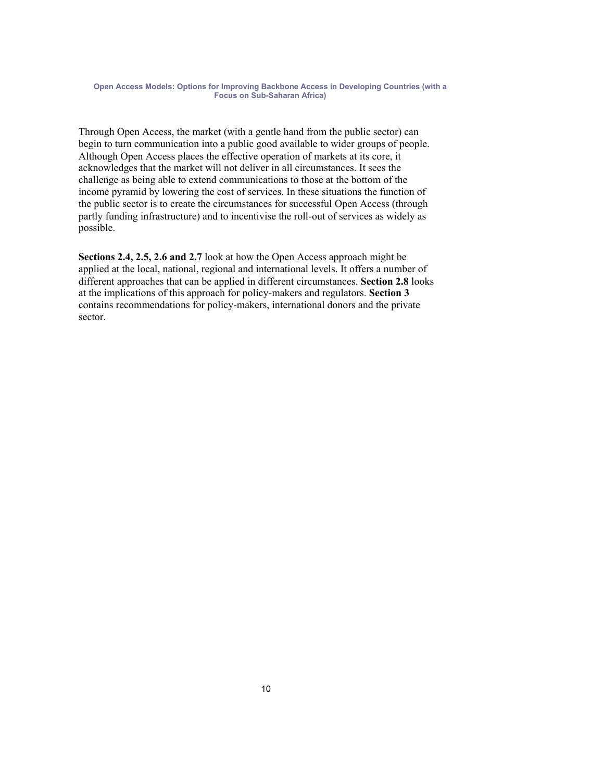Through Open Access, the market (with a gentle hand from the public sector) can begin to turn communication into a public good available to wider groups of people. Although Open Access places the effective operation of markets at its core, it acknowledges that the market will not deliver in all circumstances. It sees the challenge as being able to extend communications to those at the bottom of the income pyramid by lowering the cost of services. In these situations the function of the public sector is to create the circumstances for successful Open Access (through partly funding infrastructure) and to incentivise the roll-out of services as widely as possible.

**Sections 2.4, 2.5, 2.6 and 2.7** look at how the Open Access approach might be applied at the local, national, regional and international levels. It offers a number of different approaches that can be applied in different circumstances. **Section 2.8** looks at the implications of this approach for policy-makers and regulators. **Section 3** contains recommendations for policy-makers, international donors and the private sector.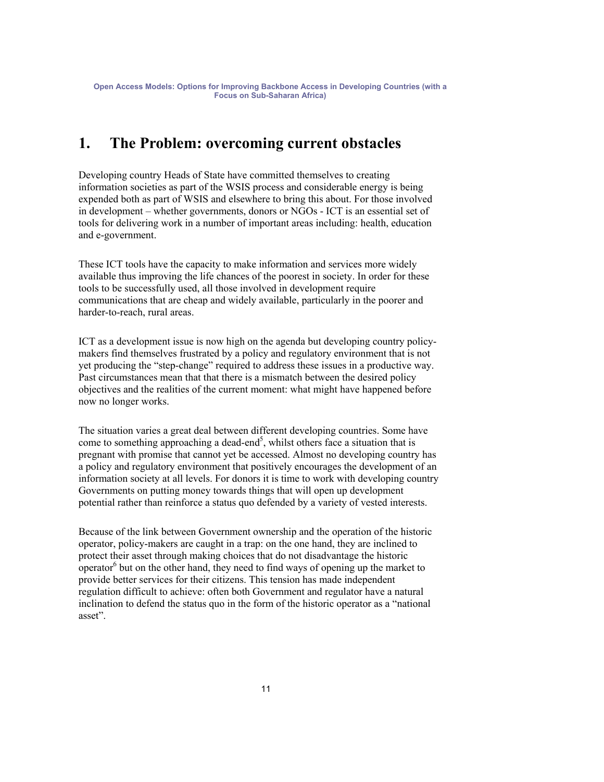### **1. The Problem: overcoming current obstacles**

Developing country Heads of State have committed themselves to creating information societies as part of the WSIS process and considerable energy is being expended both as part of WSIS and elsewhere to bring this about. For those involved in development – whether governments, donors or NGOs - ICT is an essential set of tools for delivering work in a number of important areas including: health, education and e-government.

These ICT tools have the capacity to make information and services more widely available thus improving the life chances of the poorest in society. In order for these tools to be successfully used, all those involved in development require communications that are cheap and widely available, particularly in the poorer and harder-to-reach, rural areas.

ICT as a development issue is now high on the agenda but developing country policymakers find themselves frustrated by a policy and regulatory environment that is not yet producing the "step-change" required to address these issues in a productive way. Past circumstances mean that that there is a mismatch between the desired policy objectives and the realities of the current moment: what might have happened before now no longer works.

The situation varies a great deal between different developing countries. Some have come to something approaching a dead-end<sup>5</sup>, whilst others face a situation that is pregnant with promise that cannot yet be accessed. Almost no developing country has a policy and regulatory environment that positively encourages the development of an information society at all levels. For donors it is time to work with developing country Governments on putting money towards things that will open up development potential rather than reinforce a status quo defended by a variety of vested interests.

Because of the link between Government ownership and the operation of the historic operator, policy-makers are caught in a trap: on the one hand, they are inclined to protect their asset through making choices that do not disadvantage the historic operator $6$  but on the other hand, they need to find ways of opening up the market to provide better services for their citizens. This tension has made independent regulation difficult to achieve: often both Government and regulator have a natural inclination to defend the status quo in the form of the historic operator as a "national asset".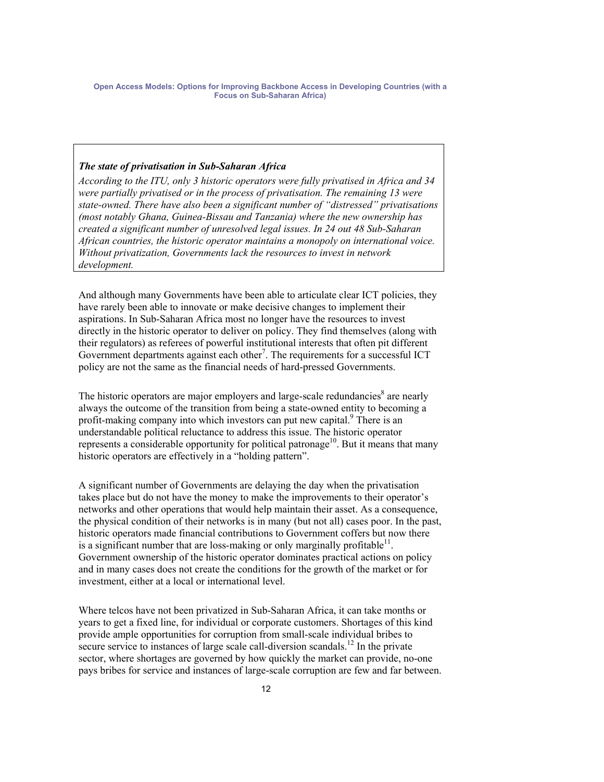### *The state of privatisation in Sub-Saharan Africa*

*According to the ITU, only 3 historic operators were fully privatised in Africa and 34 were partially privatised or in the process of privatisation. The remaining 13 were state-owned. There have also been a significant number of "distressed" privatisations (most notably Ghana, Guinea-Bissau and Tanzania) where the new ownership has created a significant number of unresolved legal issues. In 24 out 48 Sub-Saharan African countries, the historic operator maintains a monopoly on international voice. Without privatization, Governments lack the resources to invest in network development.* 

And although many Governments have been able to articulate clear ICT policies, they have rarely been able to innovate or make decisive changes to implement their aspirations. In Sub-Saharan Africa most no longer have the resources to invest directly in the historic operator to deliver on policy. They find themselves (along with their regulators) as referees of powerful institutional interests that often pit different Government departments against each other<sup>7</sup>. The requirements for a successful ICT policy are not the same as the financial needs of hard-pressed Governments.

The historic operators are major employers and large-scale redundancies<sup>8</sup> are nearly always the outcome of the transition from being a state-owned entity to becoming a profit-making company into which investors can put new capital.<sup>9</sup> There is an understandable political reluctance to address this issue. The historic operator represents a considerable opportunity for political patronage<sup>10</sup>. But it means that many historic operators are effectively in a "holding pattern".

A significant number of Governments are delaying the day when the privatisation takes place but do not have the money to make the improvements to their operator's networks and other operations that would help maintain their asset. As a consequence, the physical condition of their networks is in many (but not all) cases poor. In the past, historic operators made financial contributions to Government coffers but now there is a significant number that are loss-making or only marginally profitable<sup>11</sup>. Government ownership of the historic operator dominates practical actions on policy and in many cases does not create the conditions for the growth of the market or for investment, either at a local or international level.

Where telcos have not been privatized in Sub-Saharan Africa, it can take months or years to get a fixed line, for individual or corporate customers. Shortages of this kind provide ample opportunities for corruption from small-scale individual bribes to secure service to instances of large scale call-diversion scandals.<sup>12</sup> In the private sector, where shortages are governed by how quickly the market can provide, no-one pays bribes for service and instances of large-scale corruption are few and far between.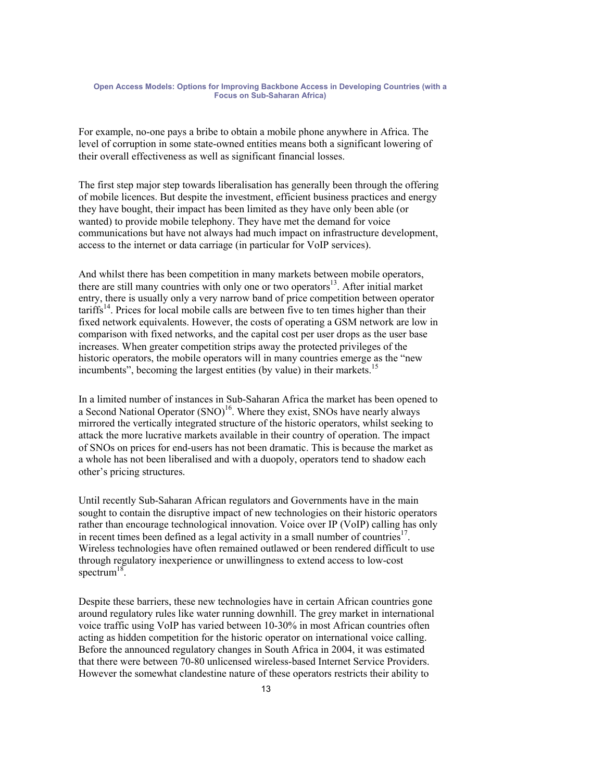For example, no-one pays a bribe to obtain a mobile phone anywhere in Africa. The level of corruption in some state-owned entities means both a significant lowering of their overall effectiveness as well as significant financial losses.

The first step major step towards liberalisation has generally been through the offering of mobile licences. But despite the investment, efficient business practices and energy they have bought, their impact has been limited as they have only been able (or wanted) to provide mobile telephony. They have met the demand for voice communications but have not always had much impact on infrastructure development, access to the internet or data carriage (in particular for VoIP services).

And whilst there has been competition in many markets between mobile operators, there are still many countries with only one or two operators<sup>13</sup>. After initial market entry, there is usually only a very narrow band of price competition between operator  $\text{tariffs}^{14}$ . Prices for local mobile calls are between five to ten times higher than their fixed network equivalents. However, the costs of operating a GSM network are low in comparison with fixed networks, and the capital cost per user drops as the user base increases. When greater competition strips away the protected privileges of the historic operators, the mobile operators will in many countries emerge as the "new incumbents", becoming the largest entities (by value) in their markets. $<sup>1</sup>$ </sup>

In a limited number of instances in Sub-Saharan Africa the market has been opened to a Second National Operator  $(SNO)^{16}$ . Where they exist, SNOs have nearly always mirrored the vertically integrated structure of the historic operators, whilst seeking to attack the more lucrative markets available in their country of operation. The impact of SNOs on prices for end-users has not been dramatic. This is because the market as a whole has not been liberalised and with a duopoly, operators tend to shadow each other's pricing structures.

Until recently Sub-Saharan African regulators and Governments have in the main sought to contain the disruptive impact of new technologies on their historic operators rather than encourage technological innovation. Voice over IP (VoIP) calling has only in recent times been defined as a legal activity in a small number of countries<sup>17</sup>. Wireless technologies have often remained outlawed or been rendered difficult to use through regulatory inexperience or unwillingness to extend access to low-cost spectrum $^{18}$ .

Despite these barriers, these new technologies have in certain African countries gone around regulatory rules like water running downhill. The grey market in international voice traffic using VoIP has varied between 10-30% in most African countries often acting as hidden competition for the historic operator on international voice calling. Before the announced regulatory changes in South Africa in 2004, it was estimated that there were between 70-80 unlicensed wireless-based Internet Service Providers. However the somewhat clandestine nature of these operators restricts their ability to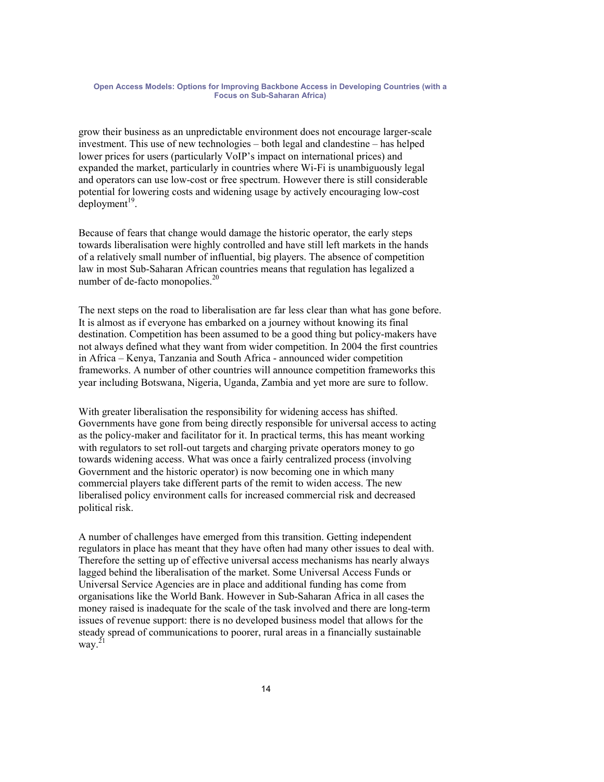grow their business as an unpredictable environment does not encourage larger-scale investment. This use of new technologies – both legal and clandestine – has helped lower prices for users (particularly VoIP's impact on international prices) and expanded the market, particularly in countries where Wi-Fi is unambiguously legal and operators can use low-cost or free spectrum. However there is still considerable potential for lowering costs and widening usage by actively encouraging low-cost  $deployment<sup>19</sup>$ .

Because of fears that change would damage the historic operator, the early steps towards liberalisation were highly controlled and have still left markets in the hands of a relatively small number of influential, big players. The absence of competition law in most Sub-Saharan African countries means that regulation has legalized a number of de-facto monopolies.<sup>20</sup>

The next steps on the road to liberalisation are far less clear than what has gone before. It is almost as if everyone has embarked on a journey without knowing its final destination. Competition has been assumed to be a good thing but policy-makers have not always defined what they want from wider competition. In 2004 the first countries in Africa – Kenya, Tanzania and South Africa - announced wider competition frameworks. A number of other countries will announce competition frameworks this year including Botswana, Nigeria, Uganda, Zambia and yet more are sure to follow.

With greater liberalisation the responsibility for widening access has shifted. Governments have gone from being directly responsible for universal access to acting as the policy-maker and facilitator for it. In practical terms, this has meant working with regulators to set roll-out targets and charging private operators money to go towards widening access. What was once a fairly centralized process (involving Government and the historic operator) is now becoming one in which many commercial players take different parts of the remit to widen access. The new liberalised policy environment calls for increased commercial risk and decreased political risk.

A number of challenges have emerged from this transition. Getting independent regulators in place has meant that they have often had many other issues to deal with. Therefore the setting up of effective universal access mechanisms has nearly always lagged behind the liberalisation of the market. Some Universal Access Funds or Universal Service Agencies are in place and additional funding has come from organisations like the World Bank. However in Sub-Saharan Africa in all cases the money raised is inadequate for the scale of the task involved and there are long-term issues of revenue support: there is no developed business model that allows for the steady spread of communications to poorer, rural areas in a financially sustainable way. 21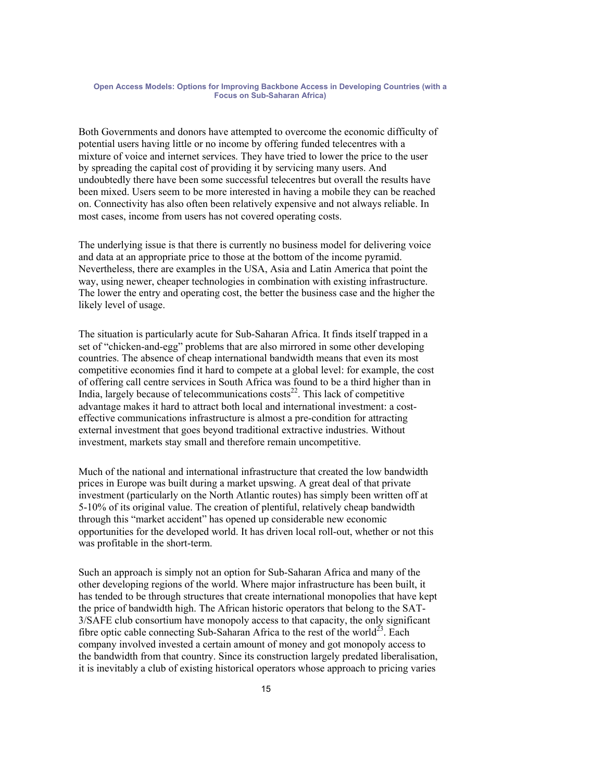Both Governments and donors have attempted to overcome the economic difficulty of potential users having little or no income by offering funded telecentres with a mixture of voice and internet services. They have tried to lower the price to the user by spreading the capital cost of providing it by servicing many users. And undoubtedly there have been some successful telecentres but overall the results have been mixed. Users seem to be more interested in having a mobile they can be reached on. Connectivity has also often been relatively expensive and not always reliable. In most cases, income from users has not covered operating costs.

The underlying issue is that there is currently no business model for delivering voice and data at an appropriate price to those at the bottom of the income pyramid. Nevertheless, there are examples in the USA, Asia and Latin America that point the way, using newer, cheaper technologies in combination with existing infrastructure. The lower the entry and operating cost, the better the business case and the higher the likely level of usage.

The situation is particularly acute for Sub-Saharan Africa. It finds itself trapped in a set of "chicken-and-egg" problems that are also mirrored in some other developing countries. The absence of cheap international bandwidth means that even its most competitive economies find it hard to compete at a global level: for example, the cost of offering call centre services in South Africa was found to be a third higher than in India, largely because of telecommunications  $costs<sup>22</sup>$ . This lack of competitive advantage makes it hard to attract both local and international investment: a costeffective communications infrastructure is almost a pre-condition for attracting external investment that goes beyond traditional extractive industries. Without investment, markets stay small and therefore remain uncompetitive.

Much of the national and international infrastructure that created the low bandwidth prices in Europe was built during a market upswing. A great deal of that private investment (particularly on the North Atlantic routes) has simply been written off at 5-10% of its original value. The creation of plentiful, relatively cheap bandwidth through this "market accident" has opened up considerable new economic opportunities for the developed world. It has driven local roll-out, whether or not this was profitable in the short-term.

Such an approach is simply not an option for Sub-Saharan Africa and many of the other developing regions of the world. Where major infrastructure has been built, it has tended to be through structures that create international monopolies that have kept the price of bandwidth high. The African historic operators that belong to the SAT-3/SAFE club consortium have monopoly access to that capacity, the only significant fibre optic cable connecting Sub-Saharan Africa to the rest of the world<sup>23</sup>. Each company involved invested a certain amount of money and got monopoly access to the bandwidth from that country. Since its construction largely predated liberalisation, it is inevitably a club of existing historical operators whose approach to pricing varies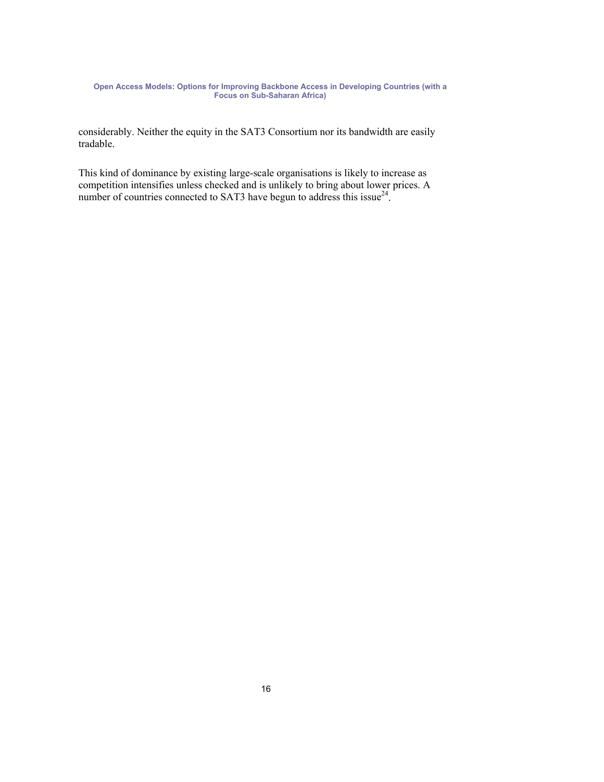considerably. Neither the equity in the SAT3 Consortium nor its bandwidth are easily tradable.

This kind of dominance by existing large-scale organisations is likely to increase as competition intensifies unless checked and is unlikely to bring about lower prices. A number of countries connected to SAT3 have begun to address this issue<sup>24</sup>.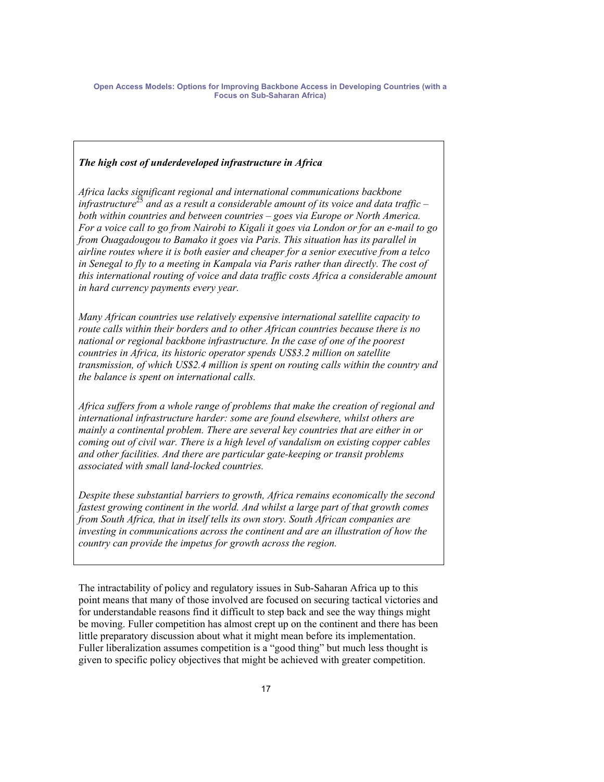### *The high cost of underdeveloped infrastructure in Africa*

*Africa lacks significant regional and international communications backbone infrastructure<sup>25</sup> and as a result a considerable amount of its voice and data traffic* – *both within countries and between countries – goes via Europe or North America. For a voice call to go from Nairobi to Kigali it goes via London or for an e-mail to go from Ouagadougou to Bamako it goes via Paris. This situation has its parallel in airline routes where it is both easier and cheaper for a senior executive from a telco*  in Senegal to fly to a meeting in Kampala via Paris rather than directly. The cost of *this international routing of voice and data traffic costs Africa a considerable amount in hard currency payments every year.* 

*Many African countries use relatively expensive international satellite capacity to route calls within their borders and to other African countries because there is no national or regional backbone infrastructure. In the case of one of the poorest countries in Africa, its historic operator spends US\$3.2 million on satellite transmission, of which US\$2.4 million is spent on routing calls within the country and the balance is spent on international calls.* 

*Africa suffers from a whole range of problems that make the creation of regional and international infrastructure harder: some are found elsewhere, whilst others are mainly a continental problem. There are several key countries that are either in or coming out of civil war. There is a high level of vandalism on existing copper cables and other facilities. And there are particular gate-keeping or transit problems associated with small land-locked countries.* 

*Despite these substantial barriers to growth, Africa remains economically the second fastest growing continent in the world. And whilst a large part of that growth comes from South Africa, that in itself tells its own story. South African companies are investing in communications across the continent and are an illustration of how the country can provide the impetus for growth across the region.* 

The intractability of policy and regulatory issues in Sub-Saharan Africa up to this point means that many of those involved are focused on securing tactical victories and for understandable reasons find it difficult to step back and see the way things might be moving. Fuller competition has almost crept up on the continent and there has been little preparatory discussion about what it might mean before its implementation. Fuller liberalization assumes competition is a "good thing" but much less thought is given to specific policy objectives that might be achieved with greater competition.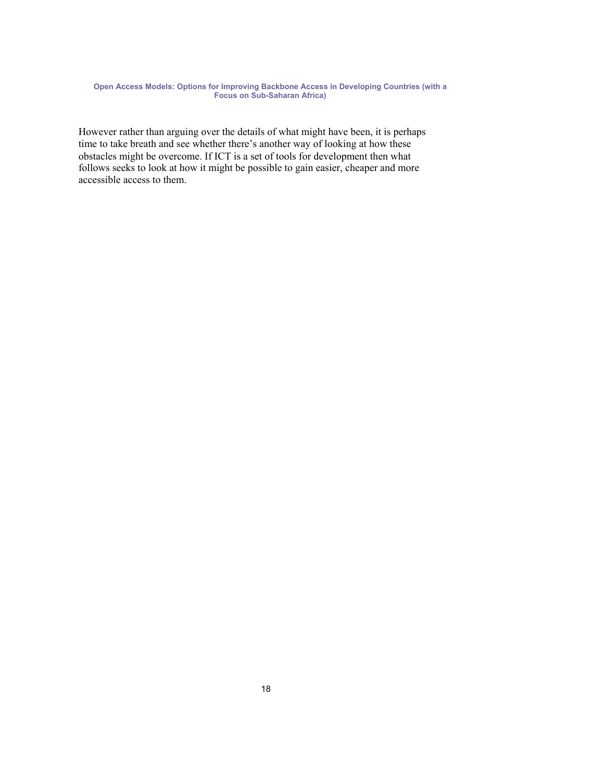However rather than arguing over the details of what might have been, it is perhaps time to take breath and see whether there's another way of looking at how these obstacles might be overcome. If ICT is a set of tools for development then what follows seeks to look at how it might be possible to gain easier, cheaper and more accessible access to them.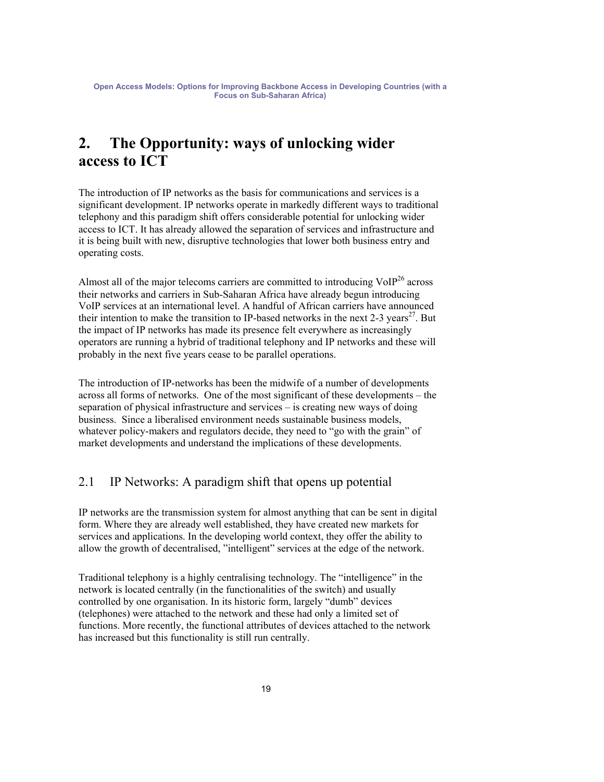## **2. The Opportunity: ways of unlocking wider access to ICT**

The introduction of IP networks as the basis for communications and services is a significant development. IP networks operate in markedly different ways to traditional telephony and this paradigm shift offers considerable potential for unlocking wider access to ICT. It has already allowed the separation of services and infrastructure and it is being built with new, disruptive technologies that lower both business entry and operating costs.

Almost all of the major telecoms carriers are committed to introducing  $\text{VoIP}^{26}$  across their networks and carriers in Sub-Saharan Africa have already begun introducing VoIP services at an international level. A handful of African carriers have announced their intention to make the transition to IP-based networks in the next 2-3 years<sup>27</sup>. But the impact of IP networks has made its presence felt everywhere as increasingly operators are running a hybrid of traditional telephony and IP networks and these will probably in the next five years cease to be parallel operations.

The introduction of IP-networks has been the midwife of a number of developments across all forms of networks. One of the most significant of these developments – the separation of physical infrastructure and services – is creating new ways of doing business. Since a liberalised environment needs sustainable business models, whatever policy-makers and regulators decide, they need to "go with the grain" of market developments and understand the implications of these developments.

### 2.1 IP Networks: A paradigm shift that opens up potential

IP networks are the transmission system for almost anything that can be sent in digital form. Where they are already well established, they have created new markets for services and applications. In the developing world context, they offer the ability to allow the growth of decentralised, "intelligent" services at the edge of the network.

Traditional telephony is a highly centralising technology. The "intelligence" in the network is located centrally (in the functionalities of the switch) and usually controlled by one organisation. In its historic form, largely "dumb" devices (telephones) were attached to the network and these had only a limited set of functions. More recently, the functional attributes of devices attached to the network has increased but this functionality is still run centrally.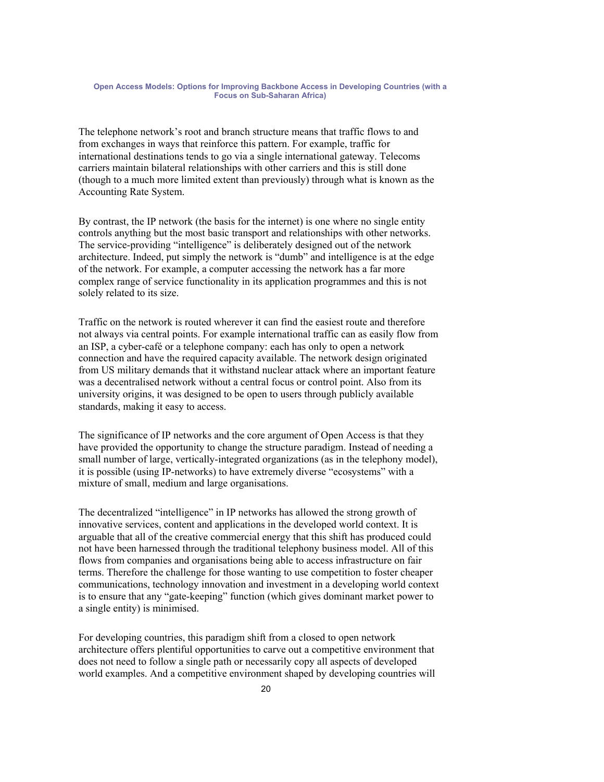The telephone network's root and branch structure means that traffic flows to and from exchanges in ways that reinforce this pattern. For example, traffic for international destinations tends to go via a single international gateway. Telecoms carriers maintain bilateral relationships with other carriers and this is still done (though to a much more limited extent than previously) through what is known as the Accounting Rate System.

By contrast, the IP network (the basis for the internet) is one where no single entity controls anything but the most basic transport and relationships with other networks. The service-providing "intelligence" is deliberately designed out of the network architecture. Indeed, put simply the network is "dumb" and intelligence is at the edge of the network. For example, a computer accessing the network has a far more complex range of service functionality in its application programmes and this is not solely related to its size.

Traffic on the network is routed wherever it can find the easiest route and therefore not always via central points. For example international traffic can as easily flow from an ISP, a cyber-café or a telephone company: each has only to open a network connection and have the required capacity available. The network design originated from US military demands that it withstand nuclear attack where an important feature was a decentralised network without a central focus or control point. Also from its university origins, it was designed to be open to users through publicly available standards, making it easy to access.

The significance of IP networks and the core argument of Open Access is that they have provided the opportunity to change the structure paradigm. Instead of needing a small number of large, vertically-integrated organizations (as in the telephony model), it is possible (using IP-networks) to have extremely diverse "ecosystems" with a mixture of small, medium and large organisations.

The decentralized "intelligence" in IP networks has allowed the strong growth of innovative services, content and applications in the developed world context. It is arguable that all of the creative commercial energy that this shift has produced could not have been harnessed through the traditional telephony business model. All of this flows from companies and organisations being able to access infrastructure on fair terms. Therefore the challenge for those wanting to use competition to foster cheaper communications, technology innovation and investment in a developing world context is to ensure that any "gate-keeping" function (which gives dominant market power to a single entity) is minimised.

For developing countries, this paradigm shift from a closed to open network architecture offers plentiful opportunities to carve out a competitive environment that does not need to follow a single path or necessarily copy all aspects of developed world examples. And a competitive environment shaped by developing countries will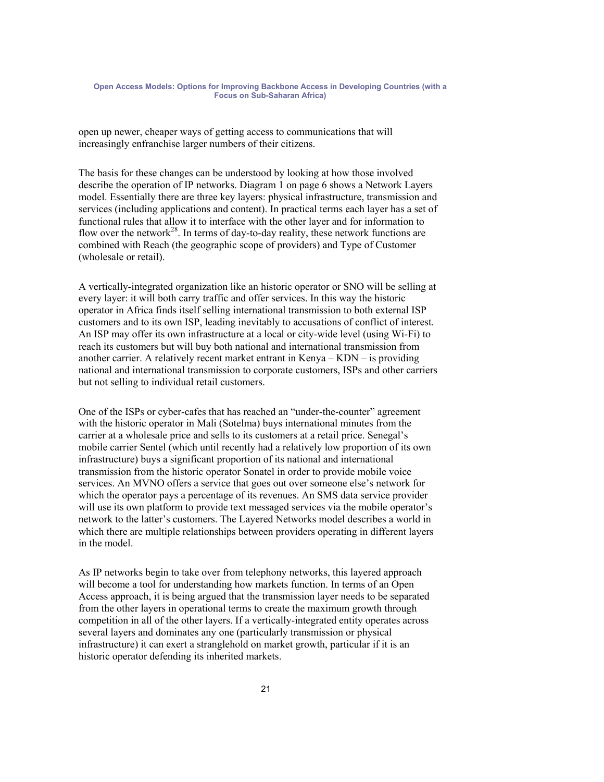open up newer, cheaper ways of getting access to communications that will increasingly enfranchise larger numbers of their citizens.

The basis for these changes can be understood by looking at how those involved describe the operation of IP networks. Diagram 1 on page 6 shows a Network Layers model. Essentially there are three key layers: physical infrastructure, transmission and services (including applications and content). In practical terms each layer has a set of functional rules that allow it to interface with the other layer and for information to flow over the network<sup>28</sup>. In terms of day-to-day reality, these network functions are combined with Reach (the geographic scope of providers) and Type of Customer (wholesale or retail).

A vertically-integrated organization like an historic operator or SNO will be selling at every layer: it will both carry traffic and offer services. In this way the historic operator in Africa finds itself selling international transmission to both external ISP customers and to its own ISP, leading inevitably to accusations of conflict of interest. An ISP may offer its own infrastructure at a local or city-wide level (using Wi-Fi) to reach its customers but will buy both national and international transmission from another carrier. A relatively recent market entrant in Kenya – KDN – is providing national and international transmission to corporate customers, ISPs and other carriers but not selling to individual retail customers.

One of the ISPs or cyber-cafes that has reached an "under-the-counter" agreement with the historic operator in Mali (Sotelma) buys international minutes from the carrier at a wholesale price and sells to its customers at a retail price. Senegal's mobile carrier Sentel (which until recently had a relatively low proportion of its own infrastructure) buys a significant proportion of its national and international transmission from the historic operator Sonatel in order to provide mobile voice services. An MVNO offers a service that goes out over someone else's network for which the operator pays a percentage of its revenues. An SMS data service provider will use its own platform to provide text messaged services via the mobile operator's network to the latter's customers. The Layered Networks model describes a world in which there are multiple relationships between providers operating in different layers in the model.

As IP networks begin to take over from telephony networks, this layered approach will become a tool for understanding how markets function. In terms of an Open Access approach, it is being argued that the transmission layer needs to be separated from the other layers in operational terms to create the maximum growth through competition in all of the other layers. If a vertically-integrated entity operates across several layers and dominates any one (particularly transmission or physical infrastructure) it can exert a stranglehold on market growth, particular if it is an historic operator defending its inherited markets.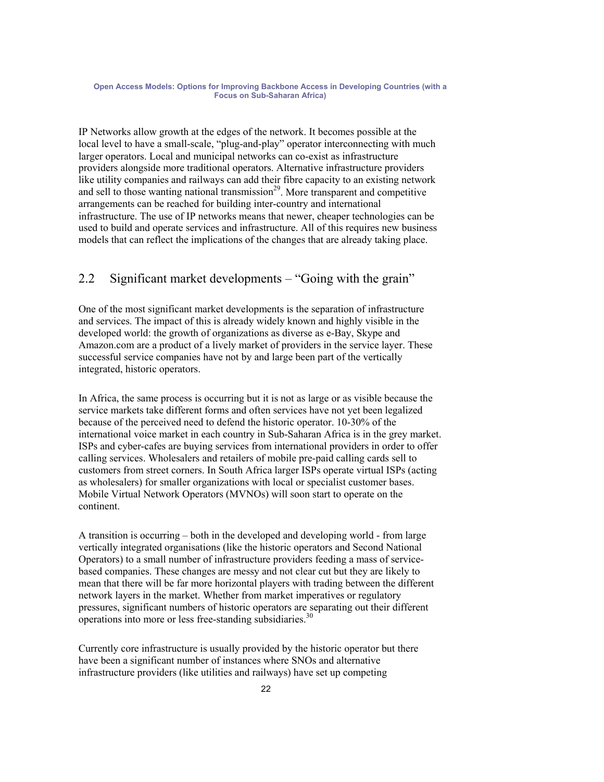IP Networks allow growth at the edges of the network. It becomes possible at the local level to have a small-scale, "plug-and-play" operator interconnecting with much larger operators. Local and municipal networks can co-exist as infrastructure providers alongside more traditional operators. Alternative infrastructure providers like utility companies and railways can add their fibre capacity to an existing network and sell to those wanting national transmission<sup>29</sup>. More transparent and competitive arrangements can be reached for building inter-country and international infrastructure. The use of IP networks means that newer, cheaper technologies can be used to build and operate services and infrastructure. All of this requires new business models that can reflect the implications of the changes that are already taking place.

### 2.2 Significant market developments – "Going with the grain"

One of the most significant market developments is the separation of infrastructure and services. The impact of this is already widely known and highly visible in the developed world: the growth of organizations as diverse as e-Bay, Skype and Amazon.com are a product of a lively market of providers in the service layer. These successful service companies have not by and large been part of the vertically integrated, historic operators.

In Africa, the same process is occurring but it is not as large or as visible because the service markets take different forms and often services have not yet been legalized because of the perceived need to defend the historic operator. 10-30% of the international voice market in each country in Sub-Saharan Africa is in the grey market. ISPs and cyber-cafes are buying services from international providers in order to offer calling services. Wholesalers and retailers of mobile pre-paid calling cards sell to customers from street corners. In South Africa larger ISPs operate virtual ISPs (acting as wholesalers) for smaller organizations with local or specialist customer bases. Mobile Virtual Network Operators (MVNOs) will soon start to operate on the continent.

A transition is occurring – both in the developed and developing world - from large vertically integrated organisations (like the historic operators and Second National Operators) to a small number of infrastructure providers feeding a mass of servicebased companies. These changes are messy and not clear cut but they are likely to mean that there will be far more horizontal players with trading between the different network layers in the market. Whether from market imperatives or regulatory pressures, significant numbers of historic operators are separating out their different operations into more or less free-standing subsidiaries.<sup>30</sup>

Currently core infrastructure is usually provided by the historic operator but there have been a significant number of instances where SNOs and alternative infrastructure providers (like utilities and railways) have set up competing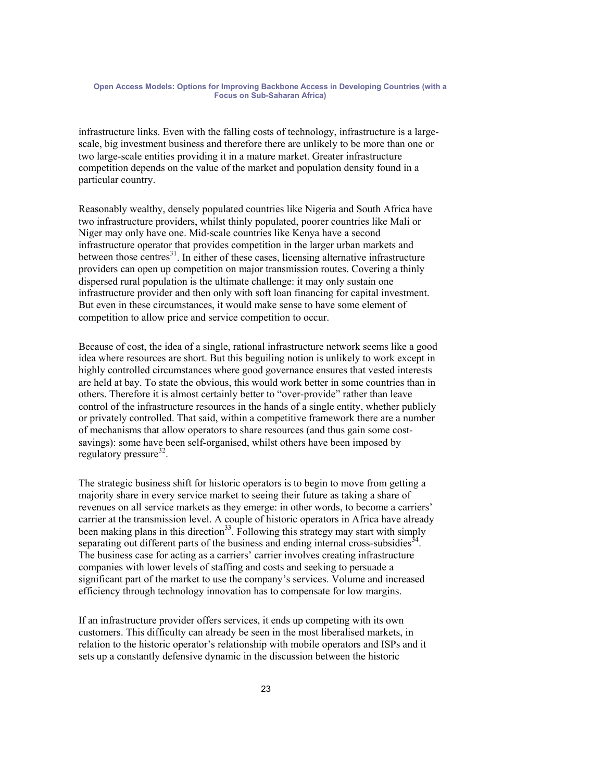infrastructure links. Even with the falling costs of technology, infrastructure is a largescale, big investment business and therefore there are unlikely to be more than one or two large-scale entities providing it in a mature market. Greater infrastructure competition depends on the value of the market and population density found in a particular country.

Reasonably wealthy, densely populated countries like Nigeria and South Africa have two infrastructure providers, whilst thinly populated, poorer countries like Mali or Niger may only have one. Mid-scale countries like Kenya have a second infrastructure operator that provides competition in the larger urban markets and between those centres $31$ . In either of these cases, licensing alternative infrastructure providers can open up competition on major transmission routes. Covering a thinly dispersed rural population is the ultimate challenge: it may only sustain one infrastructure provider and then only with soft loan financing for capital investment. But even in these circumstances, it would make sense to have some element of competition to allow price and service competition to occur.

Because of cost, the idea of a single, rational infrastructure network seems like a good idea where resources are short. But this beguiling notion is unlikely to work except in highly controlled circumstances where good governance ensures that vested interests are held at bay. To state the obvious, this would work better in some countries than in others. Therefore it is almost certainly better to "over-provide" rather than leave control of the infrastructure resources in the hands of a single entity, whether publicly or privately controlled. That said, within a competitive framework there are a number of mechanisms that allow operators to share resources (and thus gain some costsavings): some have been self-organised, whilst others have been imposed by regulatory pressure $32$ .

The strategic business shift for historic operators is to begin to move from getting a majority share in every service market to seeing their future as taking a share of revenues on all service markets as they emerge: in other words, to become a carriers' carrier at the transmission level. A couple of historic operators in Africa have already been making plans in this direction<sup>33</sup>. Following this strategy may start with simply separating out different parts of the business and ending internal cross-subsidies<sup>34</sup>. The business case for acting as a carriers' carrier involves creating infrastructure companies with lower levels of staffing and costs and seeking to persuade a significant part of the market to use the company's services. Volume and increased efficiency through technology innovation has to compensate for low margins.

If an infrastructure provider offers services, it ends up competing with its own customers. This difficulty can already be seen in the most liberalised markets, in relation to the historic operator's relationship with mobile operators and ISPs and it sets up a constantly defensive dynamic in the discussion between the historic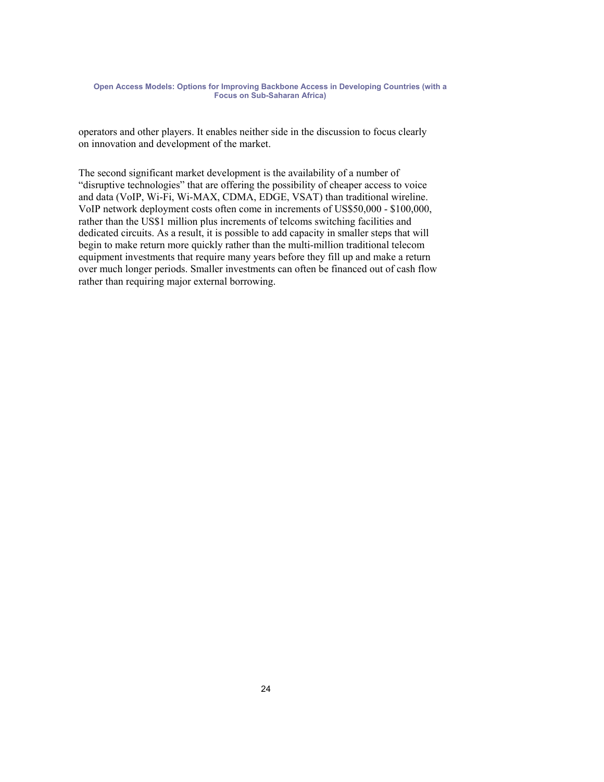operators and other players. It enables neither side in the discussion to focus clearly on innovation and development of the market.

The second significant market development is the availability of a number of "disruptive technologies" that are offering the possibility of cheaper access to voice and data (VoIP, Wi-Fi, Wi-MAX, CDMA, EDGE, VSAT) than traditional wireline. VoIP network deployment costs often come in increments of US\$50,000 - \$100,000, rather than the US\$1 million plus increments of telcoms switching facilities and dedicated circuits. As a result, it is possible to add capacity in smaller steps that will begin to make return more quickly rather than the multi-million traditional telecom equipment investments that require many years before they fill up and make a return over much longer periods. Smaller investments can often be financed out of cash flow rather than requiring major external borrowing.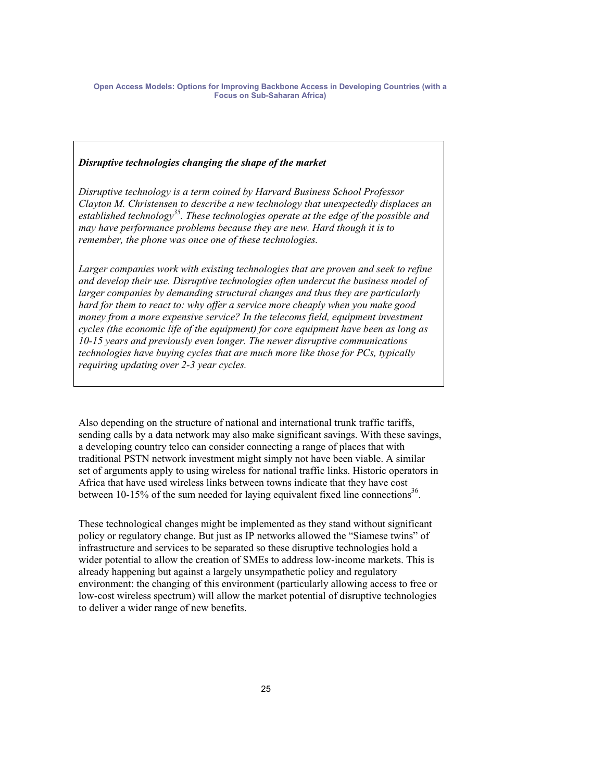### *Disruptive technologies changing the shape of the market*

*Disruptive technology is a term coined by Harvard Business School Professor Clayton M. Christensen to describe a new technology that unexpectedly displaces an established technology35. These technologies operate at the edge of the possible and may have performance problems because they are new. Hard though it is to remember, the phone was once one of these technologies.* 

Larger companies work with existing technologies that are proven and seek to refine *and develop their use. Disruptive technologies often undercut the business model of larger companies by demanding structural changes and thus they are particularly hard for them to react to: why offer a service more cheaply when you make good money from a more expensive service? In the telecoms field, equipment investment cycles (the economic life of the equipment) for core equipment have been as long as 10-15 years and previously even longer. The newer disruptive communications technologies have buying cycles that are much more like those for PCs, typically requiring updating over 2-3 year cycles.* 

Also depending on the structure of national and international trunk traffic tariffs, sending calls by a data network may also make significant savings. With these savings, a developing country telco can consider connecting a range of places that with traditional PSTN network investment might simply not have been viable. A similar set of arguments apply to using wireless for national traffic links. Historic operators in Africa that have used wireless links between towns indicate that they have cost between 10-15% of the sum needed for laying equivalent fixed line connections<sup>36</sup>.

These technological changes might be implemented as they stand without significant policy or regulatory change. But just as IP networks allowed the "Siamese twins" of infrastructure and services to be separated so these disruptive technologies hold a wider potential to allow the creation of SMEs to address low-income markets. This is already happening but against a largely unsympathetic policy and regulatory environment: the changing of this environment (particularly allowing access to free or low-cost wireless spectrum) will allow the market potential of disruptive technologies to deliver a wider range of new benefits.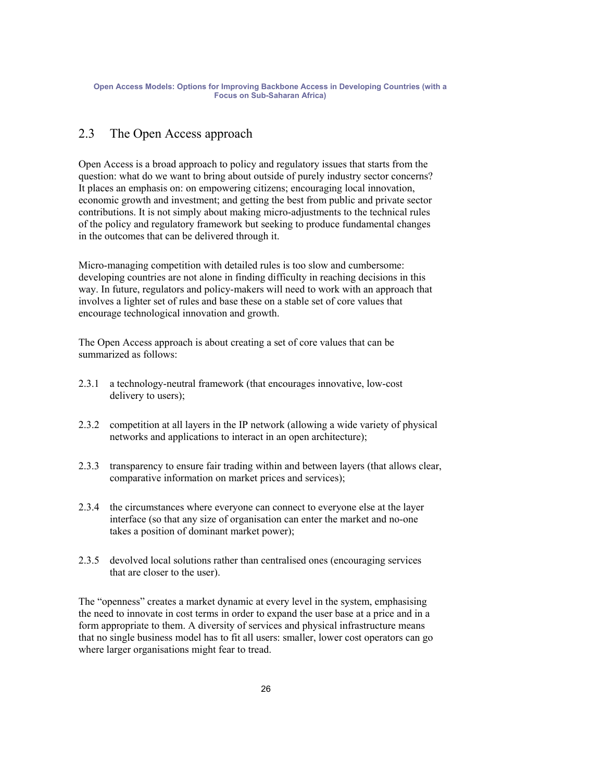### 2.3 The Open Access approach

Open Access is a broad approach to policy and regulatory issues that starts from the question: what do we want to bring about outside of purely industry sector concerns? It places an emphasis on: on empowering citizens; encouraging local innovation, economic growth and investment; and getting the best from public and private sector contributions. It is not simply about making micro-adjustments to the technical rules of the policy and regulatory framework but seeking to produce fundamental changes in the outcomes that can be delivered through it.

Micro-managing competition with detailed rules is too slow and cumbersome: developing countries are not alone in finding difficulty in reaching decisions in this way. In future, regulators and policy-makers will need to work with an approach that involves a lighter set of rules and base these on a stable set of core values that encourage technological innovation and growth.

The Open Access approach is about creating a set of core values that can be summarized as follows:

- 2.3.1 a technology-neutral framework (that encourages innovative, low-cost delivery to users);
- 2.3.2 competition at all layers in the IP network (allowing a wide variety of physical networks and applications to interact in an open architecture);
- 2.3.3 transparency to ensure fair trading within and between layers (that allows clear, comparative information on market prices and services);
- 2.3.4 the circumstances where everyone can connect to everyone else at the layer interface (so that any size of organisation can enter the market and no-one takes a position of dominant market power);
- 2.3.5 devolved local solutions rather than centralised ones (encouraging services that are closer to the user).

The "openness" creates a market dynamic at every level in the system, emphasising the need to innovate in cost terms in order to expand the user base at a price and in a form appropriate to them. A diversity of services and physical infrastructure means that no single business model has to fit all users: smaller, lower cost operators can go where larger organisations might fear to tread.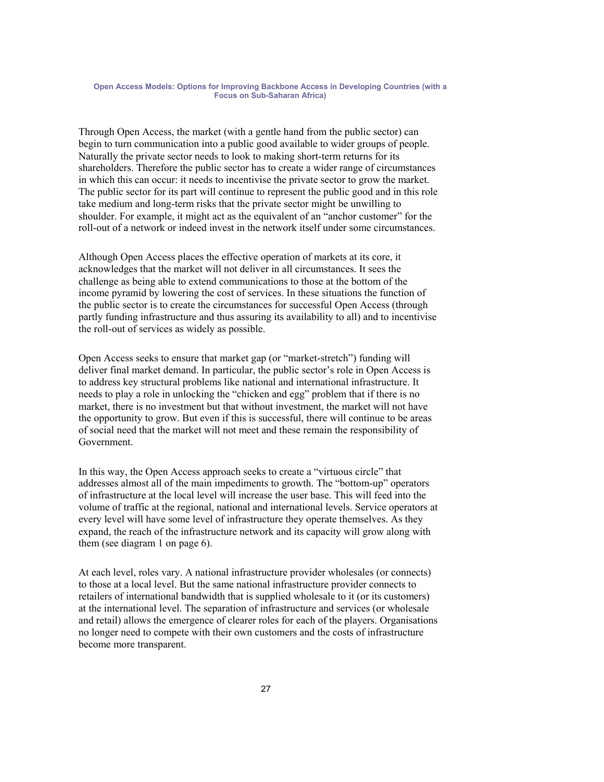Through Open Access, the market (with a gentle hand from the public sector) can begin to turn communication into a public good available to wider groups of people. Naturally the private sector needs to look to making short-term returns for its shareholders. Therefore the public sector has to create a wider range of circumstances in which this can occur: it needs to incentivise the private sector to grow the market. The public sector for its part will continue to represent the public good and in this role take medium and long-term risks that the private sector might be unwilling to shoulder. For example, it might act as the equivalent of an "anchor customer" for the roll-out of a network or indeed invest in the network itself under some circumstances.

Although Open Access places the effective operation of markets at its core, it acknowledges that the market will not deliver in all circumstances. It sees the challenge as being able to extend communications to those at the bottom of the income pyramid by lowering the cost of services. In these situations the function of the public sector is to create the circumstances for successful Open Access (through partly funding infrastructure and thus assuring its availability to all) and to incentivise the roll-out of services as widely as possible.

Open Access seeks to ensure that market gap (or "market-stretch") funding will deliver final market demand. In particular, the public sector's role in Open Access is to address key structural problems like national and international infrastructure. It needs to play a role in unlocking the "chicken and egg" problem that if there is no market, there is no investment but that without investment, the market will not have the opportunity to grow. But even if this is successful, there will continue to be areas of social need that the market will not meet and these remain the responsibility of Government.

In this way, the Open Access approach seeks to create a "virtuous circle" that addresses almost all of the main impediments to growth. The "bottom-up" operators of infrastructure at the local level will increase the user base. This will feed into the volume of traffic at the regional, national and international levels. Service operators at every level will have some level of infrastructure they operate themselves. As they expand, the reach of the infrastructure network and its capacity will grow along with them (see diagram 1 on page 6).

At each level, roles vary. A national infrastructure provider wholesales (or connects) to those at a local level. But the same national infrastructure provider connects to retailers of international bandwidth that is supplied wholesale to it (or its customers) at the international level. The separation of infrastructure and services (or wholesale and retail) allows the emergence of clearer roles for each of the players. Organisations no longer need to compete with their own customers and the costs of infrastructure become more transparent.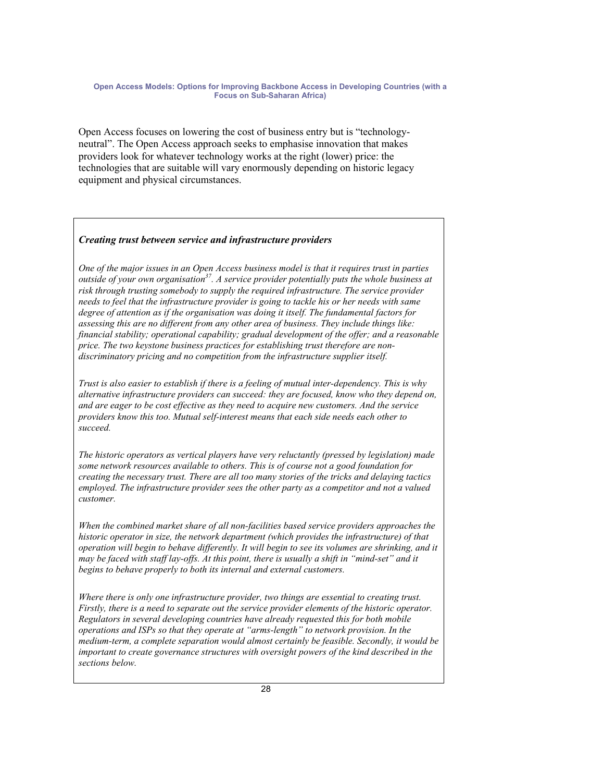Open Access focuses on lowering the cost of business entry but is "technologyneutral". The Open Access approach seeks to emphasise innovation that makes providers look for whatever technology works at the right (lower) price: the technologies that are suitable will vary enormously depending on historic legacy equipment and physical circumstances.

### *Creating trust between service and infrastructure providers*

*One of the major issues in an Open Access business model is that it requires trust in parties outside of your own organisation37. A service provider potentially puts the whole business at risk through trusting somebody to supply the required infrastructure. The service provider needs to feel that the infrastructure provider is going to tackle his or her needs with same degree of attention as if the organisation was doing it itself. The fundamental factors for assessing this are no different from any other area of business. They include things like: financial stability; operational capability; gradual development of the offer; and a reasonable price. The two keystone business practices for establishing trust therefore are nondiscriminatory pricing and no competition from the infrastructure supplier itself.* 

*Trust is also easier to establish if there is a feeling of mutual inter-dependency. This is why alternative infrastructure providers can succeed: they are focused, know who they depend on, and are eager to be cost effective as they need to acquire new customers. And the service providers know this too. Mutual self-interest means that each side needs each other to succeed.* 

*The historic operators as vertical players have very reluctantly (pressed by legislation) made some network resources available to others. This is of course not a good foundation for creating the necessary trust. There are all too many stories of the tricks and delaying tactics employed. The infrastructure provider sees the other party as a competitor and not a valued customer.* 

*When the combined market share of all non-facilities based service providers approaches the historic operator in size, the network department (which provides the infrastructure) of that operation will begin to behave differently. It will begin to see its volumes are shrinking, and it may be faced with staff lay-offs. At this point, there is usually a shift in "mind-set" and it begins to behave properly to both its internal and external customers.* 

*Where there is only one infrastructure provider, two things are essential to creating trust. Firstly, there is a need to separate out the service provider elements of the historic operator. Regulators in several developing countries have already requested this for both mobile operations and ISPs so that they operate at "arms-length" to network provision. In the medium-term, a complete separation would almost certainly be feasible. Secondly, it would be important to create governance structures with oversight powers of the kind described in the sections below.*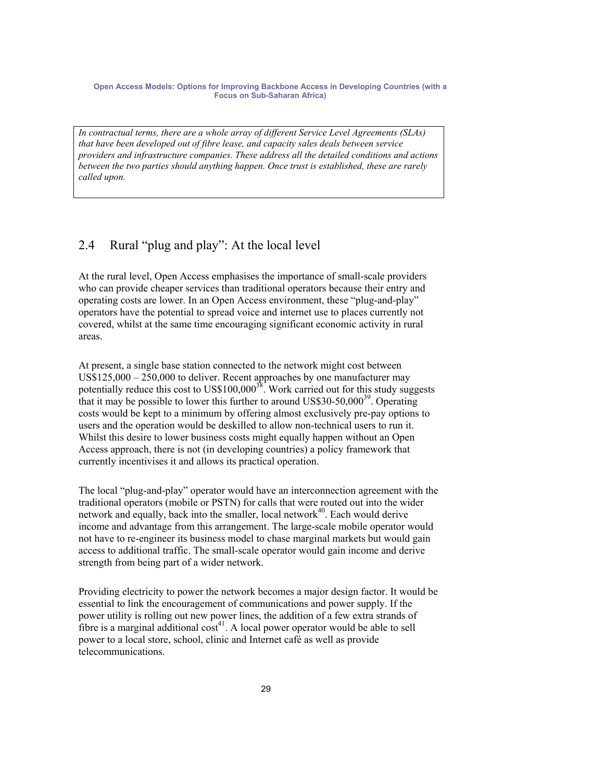*In contractual terms, there are a whole array of different Service Level Agreements (SLAs) that have been developed out of fibre lease, and capacity sales deals between service providers and infrastructure companies. These address all the detailed conditions and actions between the two parties should anything happen. Once trust is established, these are rarely called upon.* 

### 2.4 Rural "plug and play": At the local level

At the rural level, Open Access emphasises the importance of small-scale providers who can provide cheaper services than traditional operators because their entry and operating costs are lower. In an Open Access environment, these "plug-and-play" operators have the potential to spread voice and internet use to places currently not covered, whilst at the same time encouraging significant economic activity in rural areas.

At present, a single base station connected to the network might cost between US\$125,000 – 250,000 to deliver. Recent approaches by one manufacturer may potentially reduce this cost to  $USS100,000^{38}$ . Work carried out for this study suggests that it may be possible to lower this further to around US\$30-50,000<sup>39</sup>. Operating costs would be kept to a minimum by offering almost exclusively pre-pay options to users and the operation would be deskilled to allow non-technical users to run it. Whilst this desire to lower business costs might equally happen without an Open Access approach, there is not (in developing countries) a policy framework that currently incentivises it and allows its practical operation.

The local "plug-and-play" operator would have an interconnection agreement with the traditional operators (mobile or PSTN) for calls that were routed out into the wider network and equally, back into the smaller, local network $40$ . Each would derive income and advantage from this arrangement. The large-scale mobile operator would not have to re-engineer its business model to chase marginal markets but would gain access to additional traffic. The small-scale operator would gain income and derive strength from being part of a wider network.

Providing electricity to power the network becomes a major design factor. It would be essential to link the encouragement of communications and power supply. If the power utility is rolling out new power lines, the addition of a few extra strands of fibre is a marginal additional  $cost^{41}$ . A local power operator would be able to sell power to a local store, school, clinic and Internet café as well as provide telecommunications.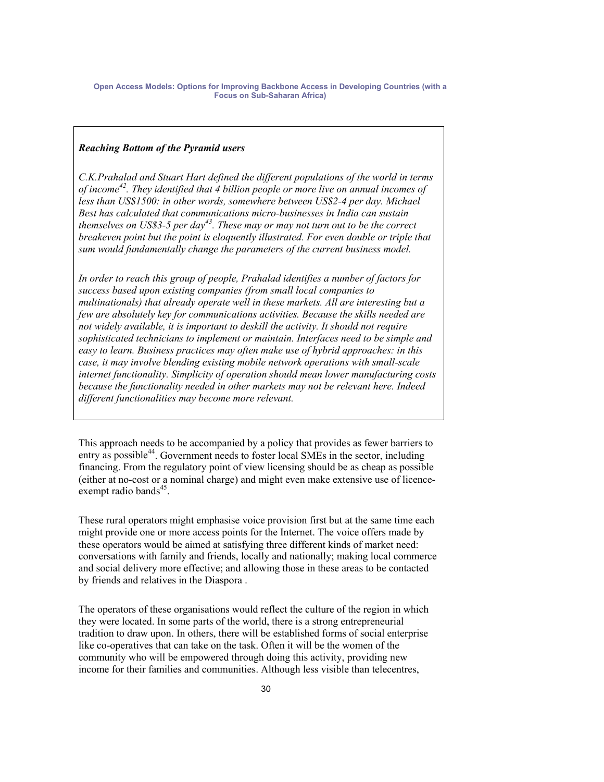### *Reaching Bottom of the Pyramid users*

*C.K.Prahalad and Stuart Hart defined the different populations of the world in terms of income42. They identified that 4 billion people or more live on annual incomes of less than US\$1500: in other words, somewhere between US\$2-4 per day. Michael Best has calculated that communications micro-businesses in India can sustain themselves on US\$3-5 per day43. These may or may not turn out to be the correct breakeven point but the point is eloquently illustrated. For even double or triple that sum would fundamentally change the parameters of the current business model.* 

*In order to reach this group of people, Prahalad identifies a number of factors for success based upon existing companies (from small local companies to multinationals) that already operate well in these markets. All are interesting but a few are absolutely key for communications activities. Because the skills needed are not widely available, it is important to deskill the activity. It should not require sophisticated technicians to implement or maintain. Interfaces need to be simple and easy to learn. Business practices may often make use of hybrid approaches: in this case, it may involve blending existing mobile network operations with small-scale internet functionality. Simplicity of operation should mean lower manufacturing costs because the functionality needed in other markets may not be relevant here. Indeed different functionalities may become more relevant.* 

This approach needs to be accompanied by a policy that provides as fewer barriers to entry as possible<sup>44</sup>. Government needs to foster local SMEs in the sector, including financing. From the regulatory point of view licensing should be as cheap as possible (either at no-cost or a nominal charge) and might even make extensive use of licenceexempt radio bands $45$ .

These rural operators might emphasise voice provision first but at the same time each might provide one or more access points for the Internet. The voice offers made by these operators would be aimed at satisfying three different kinds of market need: conversations with family and friends, locally and nationally; making local commerce and social delivery more effective; and allowing those in these areas to be contacted by friends and relatives in the Diaspora .

The operators of these organisations would reflect the culture of the region in which they were located. In some parts of the world, there is a strong entrepreneurial tradition to draw upon. In others, there will be established forms of social enterprise like co-operatives that can take on the task. Often it will be the women of the community who will be empowered through doing this activity, providing new income for their families and communities. Although less visible than telecentres,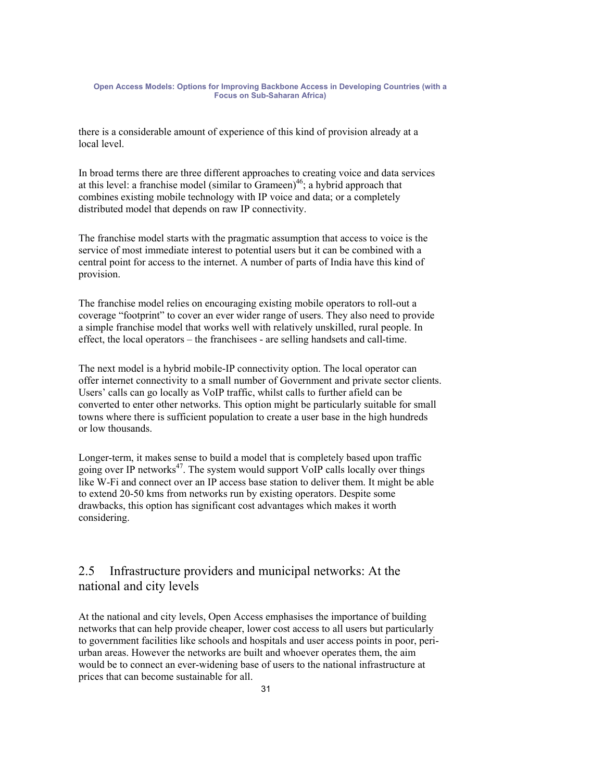there is a considerable amount of experience of this kind of provision already at a local level.

In broad terms there are three different approaches to creating voice and data services at this level: a franchise model (similar to Grameen)<sup>46</sup>; a hybrid approach that combines existing mobile technology with IP voice and data; or a completely distributed model that depends on raw IP connectivity.

The franchise model starts with the pragmatic assumption that access to voice is the service of most immediate interest to potential users but it can be combined with a central point for access to the internet. A number of parts of India have this kind of provision.

The franchise model relies on encouraging existing mobile operators to roll-out a coverage "footprint" to cover an ever wider range of users. They also need to provide a simple franchise model that works well with relatively unskilled, rural people. In effect, the local operators – the franchisees - are selling handsets and call-time.

The next model is a hybrid mobile-IP connectivity option. The local operator can offer internet connectivity to a small number of Government and private sector clients. Users' calls can go locally as VoIP traffic, whilst calls to further afield can be converted to enter other networks. This option might be particularly suitable for small towns where there is sufficient population to create a user base in the high hundreds or low thousands.

Longer-term, it makes sense to build a model that is completely based upon traffic going over IP networks $47$ . The system would support VoIP calls locally over things like W-Fi and connect over an IP access base station to deliver them. It might be able to extend 20-50 kms from networks run by existing operators. Despite some drawbacks, this option has significant cost advantages which makes it worth considering.

### 2.5 Infrastructure providers and municipal networks: At the national and city levels

At the national and city levels, Open Access emphasises the importance of building networks that can help provide cheaper, lower cost access to all users but particularly to government facilities like schools and hospitals and user access points in poor, periurban areas. However the networks are built and whoever operates them, the aim would be to connect an ever-widening base of users to the national infrastructure at prices that can become sustainable for all.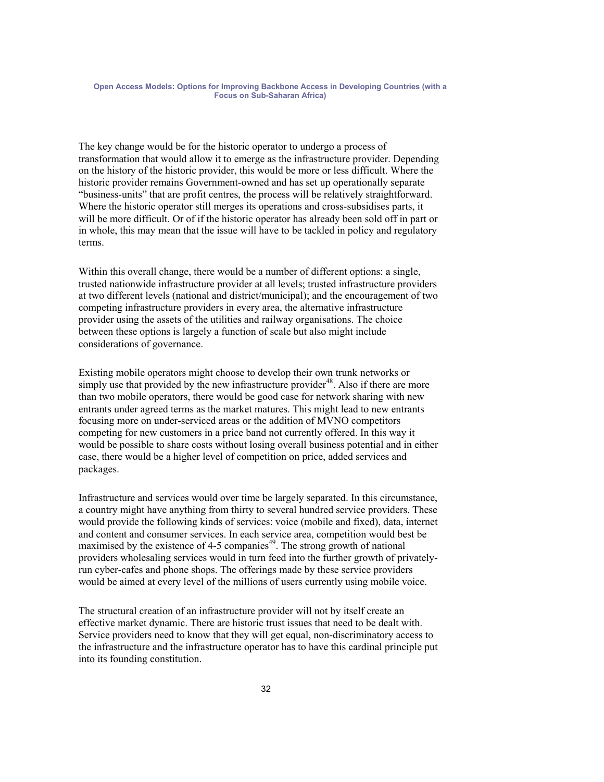The key change would be for the historic operator to undergo a process of transformation that would allow it to emerge as the infrastructure provider. Depending on the history of the historic provider, this would be more or less difficult. Where the historic provider remains Government-owned and has set up operationally separate "business-units" that are profit centres, the process will be relatively straightforward. Where the historic operator still merges its operations and cross-subsidises parts, it will be more difficult. Or of if the historic operator has already been sold off in part or in whole, this may mean that the issue will have to be tackled in policy and regulatory terms.

Within this overall change, there would be a number of different options: a single, trusted nationwide infrastructure provider at all levels; trusted infrastructure providers at two different levels (national and district/municipal); and the encouragement of two competing infrastructure providers in every area, the alternative infrastructure provider using the assets of the utilities and railway organisations. The choice between these options is largely a function of scale but also might include considerations of governance.

Existing mobile operators might choose to develop their own trunk networks or simply use that provided by the new infrastructure provider<sup>48</sup>. Also if there are more than two mobile operators, there would be good case for network sharing with new entrants under agreed terms as the market matures. This might lead to new entrants focusing more on under-serviced areas or the addition of MVNO competitors competing for new customers in a price band not currently offered. In this way it would be possible to share costs without losing overall business potential and in either case, there would be a higher level of competition on price, added services and packages.

Infrastructure and services would over time be largely separated. In this circumstance, a country might have anything from thirty to several hundred service providers. These would provide the following kinds of services: voice (mobile and fixed), data, internet and content and consumer services. In each service area, competition would best be maximised by the existence of 4-5 companies<sup>49</sup>. The strong growth of national providers wholesaling services would in turn feed into the further growth of privatelyrun cyber-cafes and phone shops. The offerings made by these service providers would be aimed at every level of the millions of users currently using mobile voice.

The structural creation of an infrastructure provider will not by itself create an effective market dynamic. There are historic trust issues that need to be dealt with. Service providers need to know that they will get equal, non-discriminatory access to the infrastructure and the infrastructure operator has to have this cardinal principle put into its founding constitution.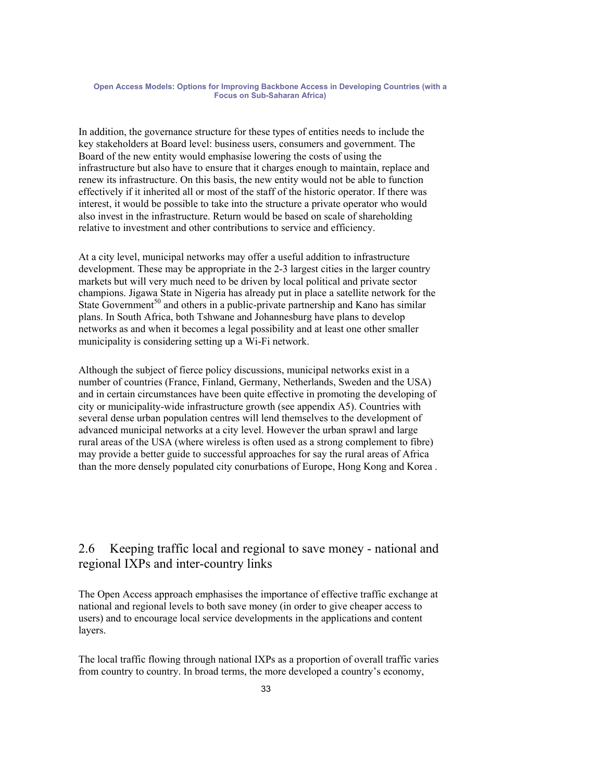In addition, the governance structure for these types of entities needs to include the key stakeholders at Board level: business users, consumers and government. The Board of the new entity would emphasise lowering the costs of using the infrastructure but also have to ensure that it charges enough to maintain, replace and renew its infrastructure. On this basis, the new entity would not be able to function effectively if it inherited all or most of the staff of the historic operator. If there was interest, it would be possible to take into the structure a private operator who would also invest in the infrastructure. Return would be based on scale of shareholding relative to investment and other contributions to service and efficiency.

At a city level, municipal networks may offer a useful addition to infrastructure development. These may be appropriate in the 2-3 largest cities in the larger country markets but will very much need to be driven by local political and private sector champions. Jigawa State in Nigeria has already put in place a satellite network for the State Government<sup>50</sup> and others in a public-private partnership and Kano has similar plans. In South Africa, both Tshwane and Johannesburg have plans to develop networks as and when it becomes a legal possibility and at least one other smaller municipality is considering setting up a Wi-Fi network.

Although the subject of fierce policy discussions, municipal networks exist in a number of countries (France, Finland, Germany, Netherlands, Sweden and the USA) and in certain circumstances have been quite effective in promoting the developing of city or municipality-wide infrastructure growth (see appendix A5). Countries with several dense urban population centres will lend themselves to the development of advanced municipal networks at a city level. However the urban sprawl and large rural areas of the USA (where wireless is often used as a strong complement to fibre) may provide a better guide to successful approaches for say the rural areas of Africa than the more densely populated city conurbations of Europe, Hong Kong and Korea .

### 2.6 Keeping traffic local and regional to save money - national and regional IXPs and inter-country links

The Open Access approach emphasises the importance of effective traffic exchange at national and regional levels to both save money (in order to give cheaper access to users) and to encourage local service developments in the applications and content layers.

The local traffic flowing through national IXPs as a proportion of overall traffic varies from country to country. In broad terms, the more developed a country's economy,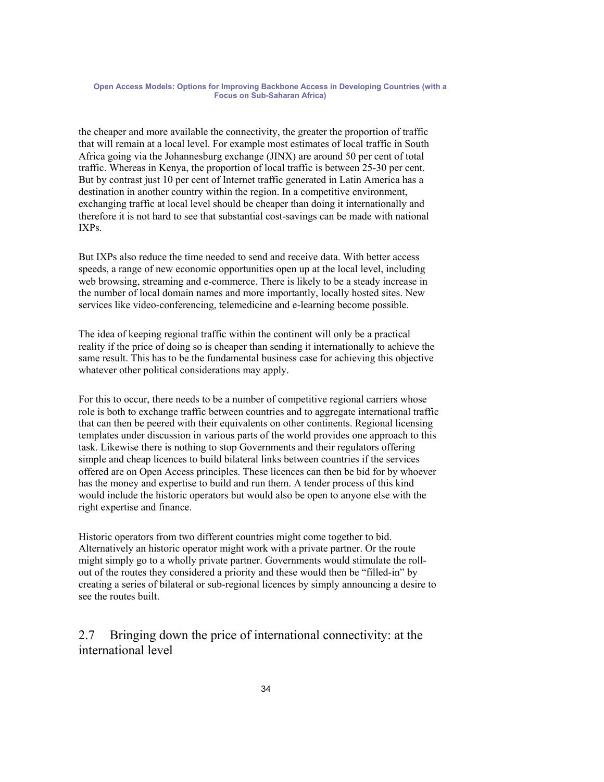the cheaper and more available the connectivity, the greater the proportion of traffic that will remain at a local level. For example most estimates of local traffic in South Africa going via the Johannesburg exchange (JINX) are around 50 per cent of total traffic. Whereas in Kenya, the proportion of local traffic is between 25-30 per cent. But by contrast just 10 per cent of Internet traffic generated in Latin America has a destination in another country within the region. In a competitive environment, exchanging traffic at local level should be cheaper than doing it internationally and therefore it is not hard to see that substantial cost-savings can be made with national IXPs.

But IXPs also reduce the time needed to send and receive data. With better access speeds, a range of new economic opportunities open up at the local level, including web browsing, streaming and e-commerce. There is likely to be a steady increase in the number of local domain names and more importantly, locally hosted sites. New services like video-conferencing, telemedicine and e-learning become possible.

The idea of keeping regional traffic within the continent will only be a practical reality if the price of doing so is cheaper than sending it internationally to achieve the same result. This has to be the fundamental business case for achieving this objective whatever other political considerations may apply.

For this to occur, there needs to be a number of competitive regional carriers whose role is both to exchange traffic between countries and to aggregate international traffic that can then be peered with their equivalents on other continents. Regional licensing templates under discussion in various parts of the world provides one approach to this task. Likewise there is nothing to stop Governments and their regulators offering simple and cheap licences to build bilateral links between countries if the services offered are on Open Access principles. These licences can then be bid for by whoever has the money and expertise to build and run them. A tender process of this kind would include the historic operators but would also be open to anyone else with the right expertise and finance.

Historic operators from two different countries might come together to bid. Alternatively an historic operator might work with a private partner. Or the route might simply go to a wholly private partner. Governments would stimulate the rollout of the routes they considered a priority and these would then be "filled-in" by creating a series of bilateral or sub-regional licences by simply announcing a desire to see the routes built.

2.7 Bringing down the price of international connectivity: at the international level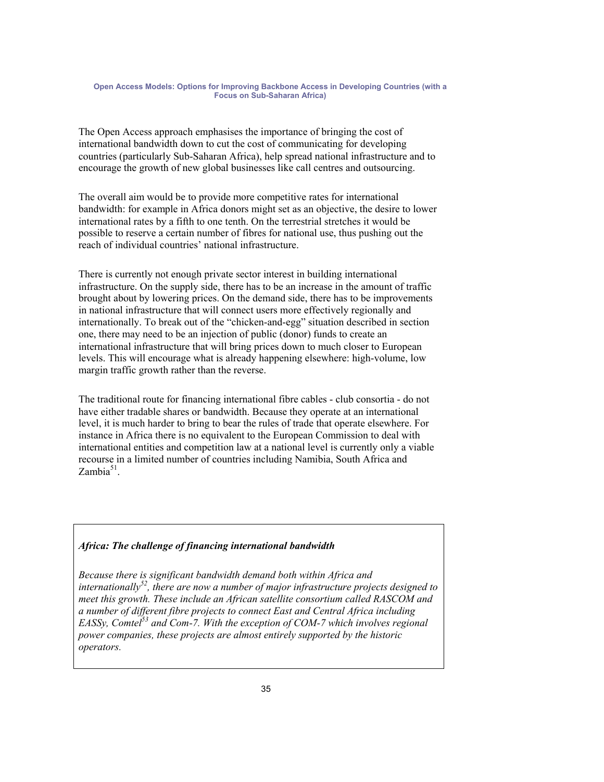The Open Access approach emphasises the importance of bringing the cost of international bandwidth down to cut the cost of communicating for developing countries (particularly Sub-Saharan Africa), help spread national infrastructure and to encourage the growth of new global businesses like call centres and outsourcing.

The overall aim would be to provide more competitive rates for international bandwidth: for example in Africa donors might set as an objective, the desire to lower international rates by a fifth to one tenth. On the terrestrial stretches it would be possible to reserve a certain number of fibres for national use, thus pushing out the reach of individual countries' national infrastructure.

There is currently not enough private sector interest in building international infrastructure. On the supply side, there has to be an increase in the amount of traffic brought about by lowering prices. On the demand side, there has to be improvements in national infrastructure that will connect users more effectively regionally and internationally. To break out of the "chicken-and-egg" situation described in section one, there may need to be an injection of public (donor) funds to create an international infrastructure that will bring prices down to much closer to European levels. This will encourage what is already happening elsewhere: high-volume, low margin traffic growth rather than the reverse.

The traditional route for financing international fibre cables - club consortia - do not have either tradable shares or bandwidth. Because they operate at an international level, it is much harder to bring to bear the rules of trade that operate elsewhere. For instance in Africa there is no equivalent to the European Commission to deal with international entities and competition law at a national level is currently only a viable recourse in a limited number of countries including Namibia, South Africa and  $Zambia<sup>51</sup>$ .

### *Africa: The challenge of financing international bandwidth*

*Because there is significant bandwidth demand both within Africa and internationally52, there are now a number of major infrastructure projects designed to meet this growth. These include an African satellite consortium called RASCOM and a number of different fibre projects to connect East and Central Africa including*  EASSy, Comtel<sup>53</sup> and Com-7. With the exception of COM-7 which involves regional *power companies, these projects are almost entirely supported by the historic operators.*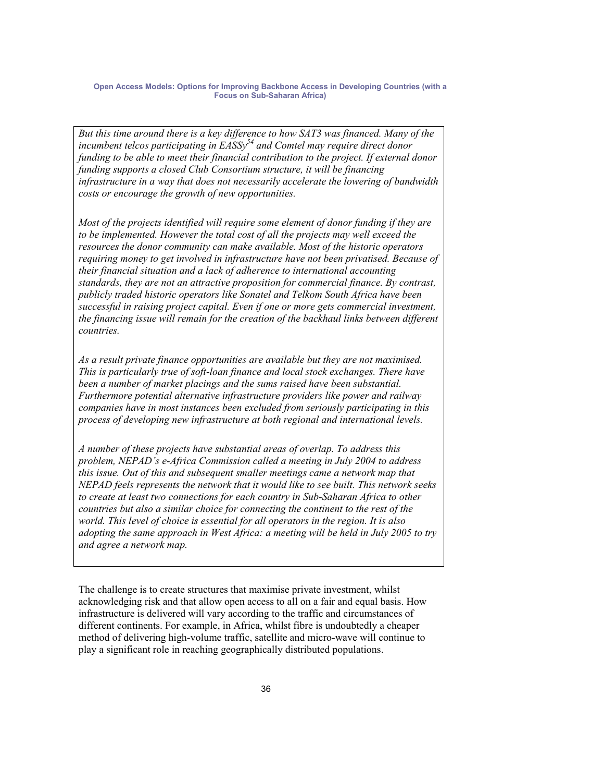*But this time around there is a key difference to how SAT3 was financed. Many of the incumbent telcos participating in EASSy54 and Comtel may require direct donor funding to be able to meet their financial contribution to the project. If external donor funding supports a closed Club Consortium structure, it will be financing infrastructure in a way that does not necessarily accelerate the lowering of bandwidth costs or encourage the growth of new opportunities.* 

*Most of the projects identified will require some element of donor funding if they are to be implemented. However the total cost of all the projects may well exceed the resources the donor community can make available. Most of the historic operators requiring money to get involved in infrastructure have not been privatised. Because of their financial situation and a lack of adherence to international accounting standards, they are not an attractive proposition for commercial finance. By contrast, publicly traded historic operators like Sonatel and Telkom South Africa have been successful in raising project capital. Even if one or more gets commercial investment, the financing issue will remain for the creation of the backhaul links between different countries.* 

*As a result private finance opportunities are available but they are not maximised. This is particularly true of soft-loan finance and local stock exchanges. There have been a number of market placings and the sums raised have been substantial. Furthermore potential alternative infrastructure providers like power and railway companies have in most instances been excluded from seriously participating in this process of developing new infrastructure at both regional and international levels.* 

*A number of these projects have substantial areas of overlap. To address this problem, NEPAD's e-Africa Commission called a meeting in July 2004 to address this issue. Out of this and subsequent smaller meetings came a network map that NEPAD feels represents the network that it would like to see built. This network seeks to create at least two connections for each country in Sub-Saharan Africa to other countries but also a similar choice for connecting the continent to the rest of the world. This level of choice is essential for all operators in the region. It is also adopting the same approach in West Africa: a meeting will be held in July 2005 to try and agree a network map.* 

The challenge is to create structures that maximise private investment, whilst acknowledging risk and that allow open access to all on a fair and equal basis. How infrastructure is delivered will vary according to the traffic and circumstances of different continents. For example, in Africa, whilst fibre is undoubtedly a cheaper method of delivering high-volume traffic, satellite and micro-wave will continue to play a significant role in reaching geographically distributed populations.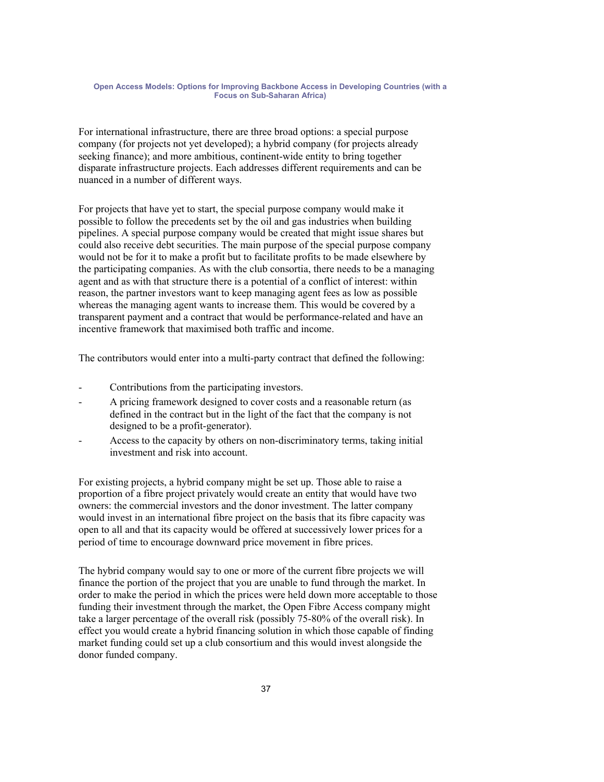For international infrastructure, there are three broad options: a special purpose company (for projects not yet developed); a hybrid company (for projects already seeking finance); and more ambitious, continent-wide entity to bring together disparate infrastructure projects. Each addresses different requirements and can be nuanced in a number of different ways.

For projects that have yet to start, the special purpose company would make it possible to follow the precedents set by the oil and gas industries when building pipelines. A special purpose company would be created that might issue shares but could also receive debt securities. The main purpose of the special purpose company would not be for it to make a profit but to facilitate profits to be made elsewhere by the participating companies. As with the club consortia, there needs to be a managing agent and as with that structure there is a potential of a conflict of interest: within reason, the partner investors want to keep managing agent fees as low as possible whereas the managing agent wants to increase them. This would be covered by a transparent payment and a contract that would be performance-related and have an incentive framework that maximised both traffic and income.

The contributors would enter into a multi-party contract that defined the following:

- Contributions from the participating investors.
- A pricing framework designed to cover costs and a reasonable return (as defined in the contract but in the light of the fact that the company is not designed to be a profit-generator).
- Access to the capacity by others on non-discriminatory terms, taking initial investment and risk into account.

For existing projects, a hybrid company might be set up. Those able to raise a proportion of a fibre project privately would create an entity that would have two owners: the commercial investors and the donor investment. The latter company would invest in an international fibre project on the basis that its fibre capacity was open to all and that its capacity would be offered at successively lower prices for a period of time to encourage downward price movement in fibre prices.

The hybrid company would say to one or more of the current fibre projects we will finance the portion of the project that you are unable to fund through the market. In order to make the period in which the prices were held down more acceptable to those funding their investment through the market, the Open Fibre Access company might take a larger percentage of the overall risk (possibly 75-80% of the overall risk). In effect you would create a hybrid financing solution in which those capable of finding market funding could set up a club consortium and this would invest alongside the donor funded company.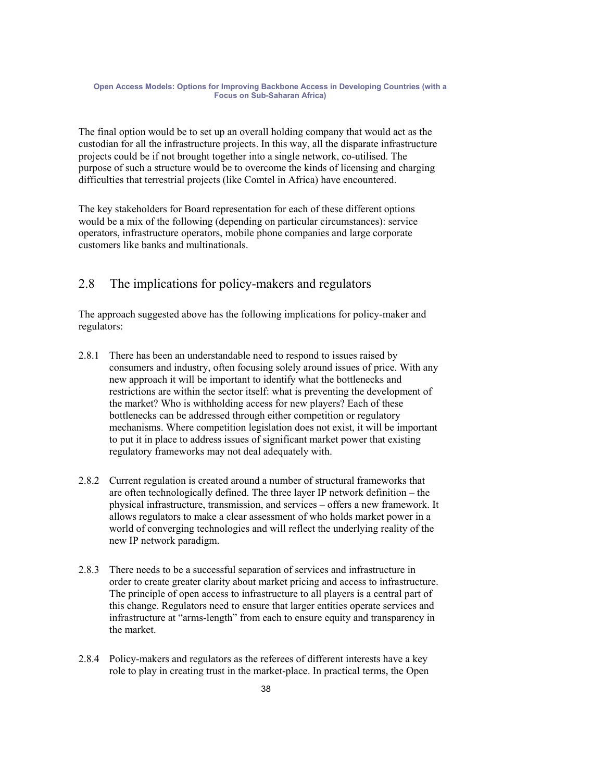The final option would be to set up an overall holding company that would act as the custodian for all the infrastructure projects. In this way, all the disparate infrastructure projects could be if not brought together into a single network, co-utilised. The purpose of such a structure would be to overcome the kinds of licensing and charging difficulties that terrestrial projects (like Comtel in Africa) have encountered.

The key stakeholders for Board representation for each of these different options would be a mix of the following (depending on particular circumstances): service operators, infrastructure operators, mobile phone companies and large corporate customers like banks and multinationals.

# 2.8 The implications for policy-makers and regulators

The approach suggested above has the following implications for policy-maker and regulators:

- 2.8.1 There has been an understandable need to respond to issues raised by consumers and industry, often focusing solely around issues of price. With any new approach it will be important to identify what the bottlenecks and restrictions are within the sector itself: what is preventing the development of the market? Who is withholding access for new players? Each of these bottlenecks can be addressed through either competition or regulatory mechanisms. Where competition legislation does not exist, it will be important to put it in place to address issues of significant market power that existing regulatory frameworks may not deal adequately with.
- 2.8.2 Current regulation is created around a number of structural frameworks that are often technologically defined. The three layer IP network definition – the physical infrastructure, transmission, and services – offers a new framework. It allows regulators to make a clear assessment of who holds market power in a world of converging technologies and will reflect the underlying reality of the new IP network paradigm.
- 2.8.3 There needs to be a successful separation of services and infrastructure in order to create greater clarity about market pricing and access to infrastructure. The principle of open access to infrastructure to all players is a central part of this change. Regulators need to ensure that larger entities operate services and infrastructure at "arms-length" from each to ensure equity and transparency in the market.
- 2.8.4 Policy-makers and regulators as the referees of different interests have a key role to play in creating trust in the market-place. In practical terms, the Open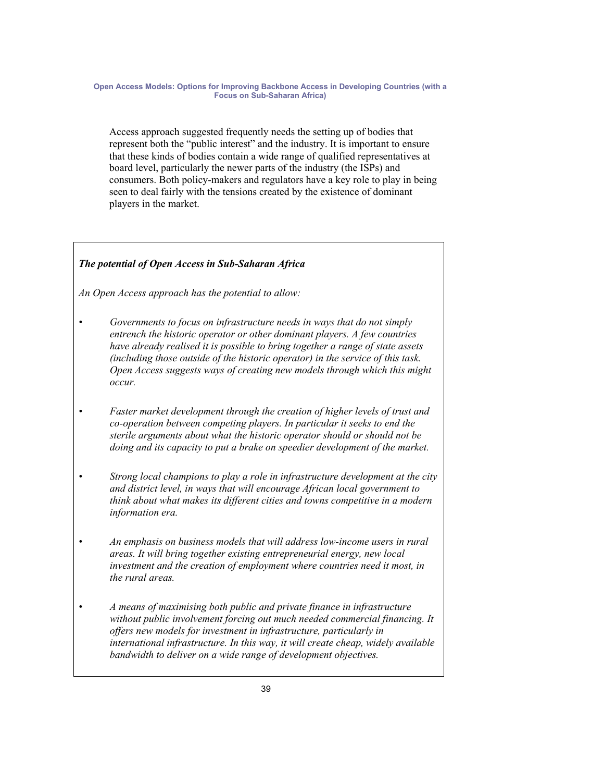Access approach suggested frequently needs the setting up of bodies that represent both the "public interest" and the industry. It is important to ensure that these kinds of bodies contain a wide range of qualified representatives at board level, particularly the newer parts of the industry (the ISPs) and consumers. Both policy-makers and regulators have a key role to play in being seen to deal fairly with the tensions created by the existence of dominant players in the market.

# *The potential of Open Access in Sub-Saharan Africa*

*An Open Access approach has the potential to allow:* 

- *Governments to focus on infrastructure needs in ways that do not simply entrench the historic operator or other dominant players. A few countries have already realised it is possible to bring together a range of state assets (including those outside of the historic operator) in the service of this task. Open Access suggests ways of creating new models through which this might occur.*
- *Faster market development through the creation of higher levels of trust and co-operation between competing players. In particular it seeks to end the sterile arguments about what the historic operator should or should not be doing and its capacity to put a brake on speedier development of the market.*
- *Strong local champions to play a role in infrastructure development at the city and district level, in ways that will encourage African local government to think about what makes its different cities and towns competitive in a modern information era.*
- *An emphasis on business models that will address low-income users in rural areas. It will bring together existing entrepreneurial energy, new local investment and the creation of employment where countries need it most, in the rural areas.*
- *A means of maximising both public and private finance in infrastructure without public involvement forcing out much needed commercial financing. It offers new models for investment in infrastructure, particularly in international infrastructure. In this way, it will create cheap, widely available bandwidth to deliver on a wide range of development objectives.*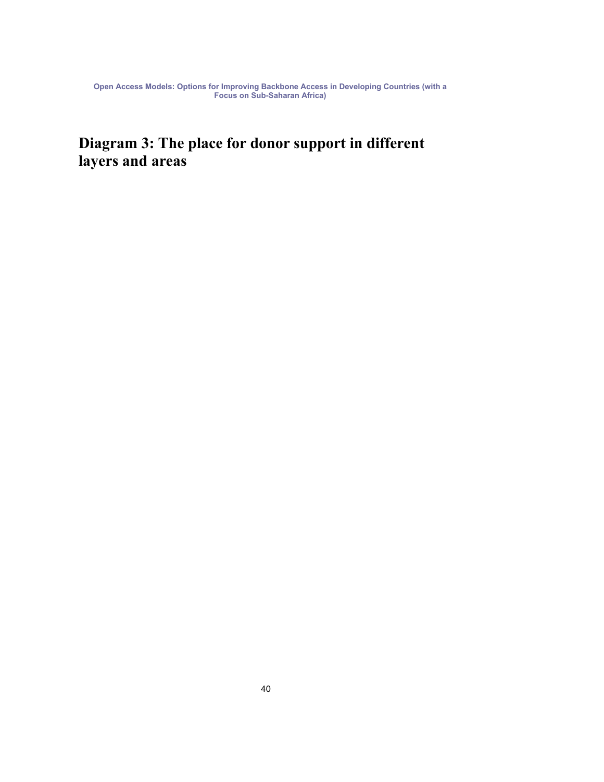# **Diagram 3: The place for donor support in different layers and areas**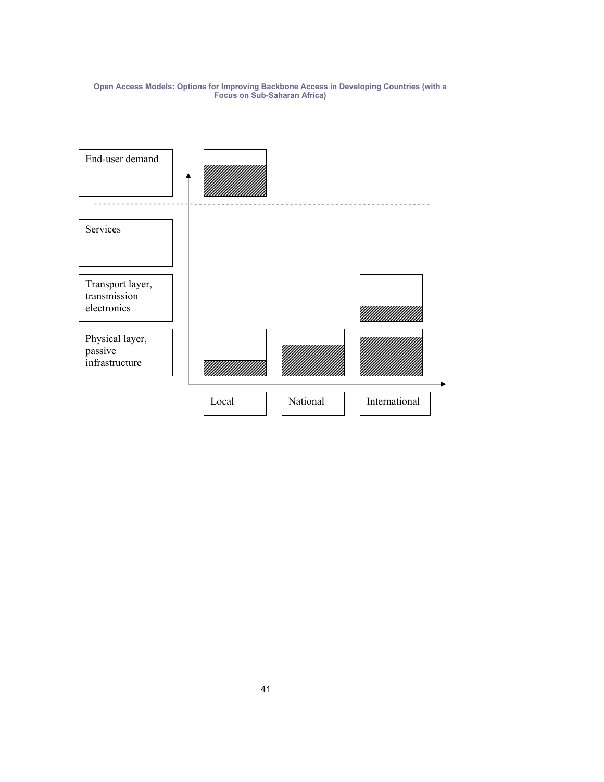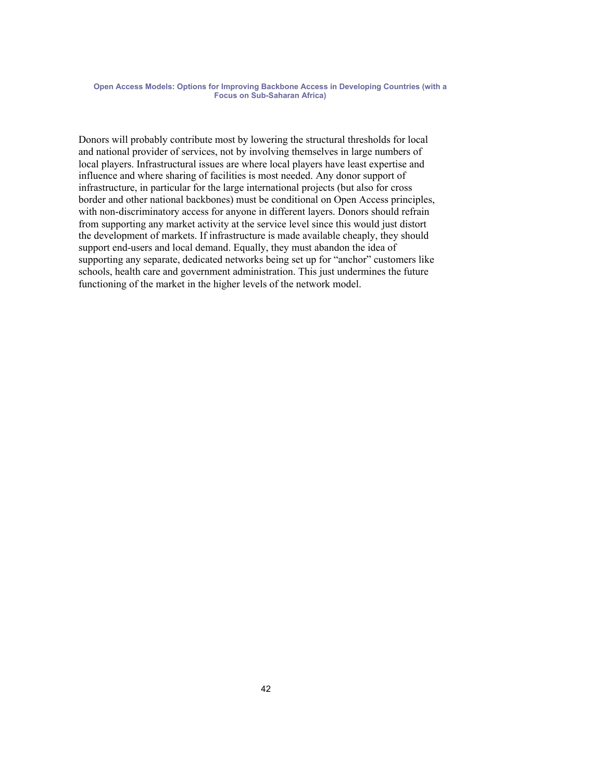Donors will probably contribute most by lowering the structural thresholds for local and national provider of services, not by involving themselves in large numbers of local players. Infrastructural issues are where local players have least expertise and influence and where sharing of facilities is most needed. Any donor support of infrastructure, in particular for the large international projects (but also for cross border and other national backbones) must be conditional on Open Access principles, with non-discriminatory access for anyone in different layers. Donors should refrain from supporting any market activity at the service level since this would just distort the development of markets. If infrastructure is made available cheaply, they should support end-users and local demand. Equally, they must abandon the idea of supporting any separate, dedicated networks being set up for "anchor" customers like schools, health care and government administration. This just undermines the future functioning of the market in the higher levels of the network model.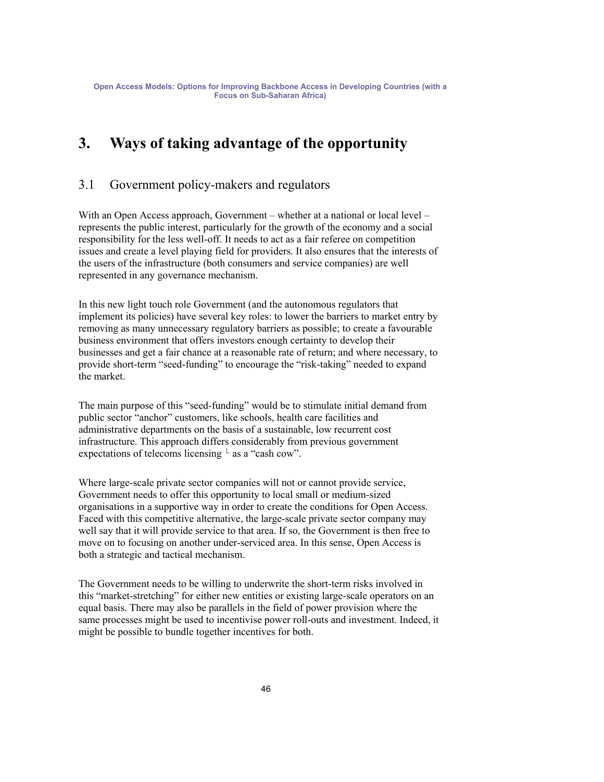# **3. Ways of taking advantage of the opportunity**

# 3.1 Government policy-makers and regulators

With an Open Access approach, Government – whether at a national or local level – represents the public interest, particularly for the growth of the economy and a social responsibility for the less well-off. It needs to act as a fair referee on competition issues and create a level playing field for providers. It also ensures that the interests of the users of the infrastructure (both consumers and service companies) are well represented in any governance mechanism.

In this new light touch role Government (and the autonomous regulators that implement its policies) have several key roles: to lower the barriers to market entry by removing as many unnecessary regulatory barriers as possible; to create a favourable business environment that offers investors enough certainty to develop their businesses and get a fair chance at a reasonable rate of return; and where necessary, to provide short-term "seed-funding" to encourage the "risk-taking" needed to expand the market.

The main purpose of this "seed-funding" would be to stimulate initial demand from public sector "anchor" customers, like schools, health care facilities and administrative departments on the basis of a sustainable, low recurrent cost infrastructure. This approach differs considerably from previous government expectations of telecoms licensing  $\perp$  as a "cash cow".

Where large-scale private sector companies will not or cannot provide service, Government needs to offer this opportunity to local small or medium-sized organisations in a supportive way in order to create the conditions for Open Access. Faced with this competitive alternative, the large-scale private sector company may well say that it will provide service to that area. If so, the Government is then free to move on to focusing on another under-serviced area. In this sense, Open Access is both a strategic and tactical mechanism.

The Government needs to be willing to underwrite the short-term risks involved in this "market-stretching" for either new entities or existing large-scale operators on an equal basis. There may also be parallels in the field of power provision where the same processes might be used to incentivise power roll-outs and investment. Indeed, it might be possible to bundle together incentives for both.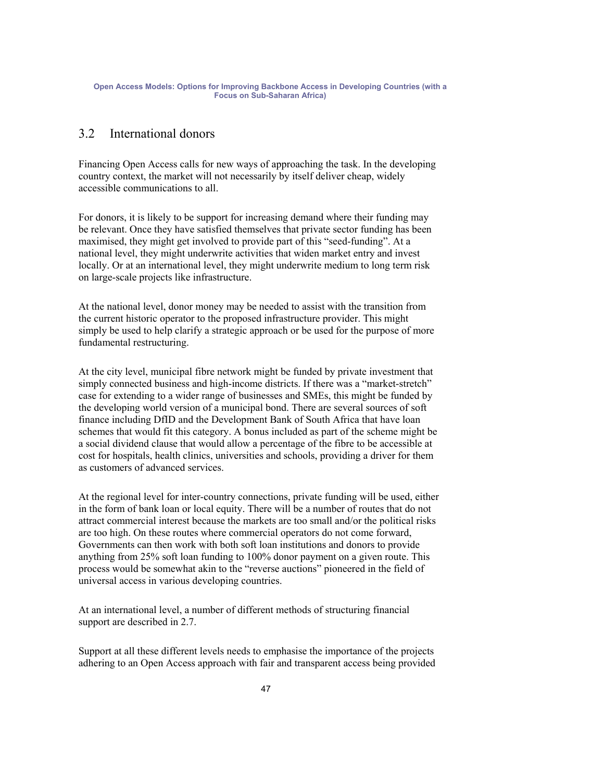## 3.2 International donors

Financing Open Access calls for new ways of approaching the task. In the developing country context, the market will not necessarily by itself deliver cheap, widely accessible communications to all.

For donors, it is likely to be support for increasing demand where their funding may be relevant. Once they have satisfied themselves that private sector funding has been maximised, they might get involved to provide part of this "seed-funding". At a national level, they might underwrite activities that widen market entry and invest locally. Or at an international level, they might underwrite medium to long term risk on large-scale projects like infrastructure.

At the national level, donor money may be needed to assist with the transition from the current historic operator to the proposed infrastructure provider. This might simply be used to help clarify a strategic approach or be used for the purpose of more fundamental restructuring.

At the city level, municipal fibre network might be funded by private investment that simply connected business and high-income districts. If there was a "market-stretch" case for extending to a wider range of businesses and SMEs, this might be funded by the developing world version of a municipal bond. There are several sources of soft finance including DfID and the Development Bank of South Africa that have loan schemes that would fit this category. A bonus included as part of the scheme might be a social dividend clause that would allow a percentage of the fibre to be accessible at cost for hospitals, health clinics, universities and schools, providing a driver for them as customers of advanced services.

At the regional level for inter-country connections, private funding will be used, either in the form of bank loan or local equity. There will be a number of routes that do not attract commercial interest because the markets are too small and/or the political risks are too high. On these routes where commercial operators do not come forward, Governments can then work with both soft loan institutions and donors to provide anything from 25% soft loan funding to 100% donor payment on a given route. This process would be somewhat akin to the "reverse auctions" pioneered in the field of universal access in various developing countries.

At an international level, a number of different methods of structuring financial support are described in 2.7.

Support at all these different levels needs to emphasise the importance of the projects adhering to an Open Access approach with fair and transparent access being provided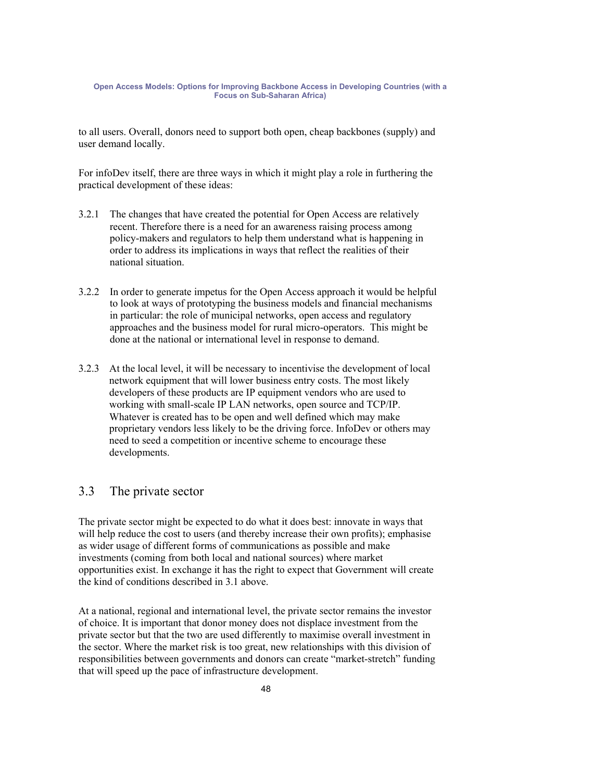to all users. Overall, donors need to support both open, cheap backbones (supply) and user demand locally.

For infoDev itself, there are three ways in which it might play a role in furthering the practical development of these ideas:

- 3.2.1 The changes that have created the potential for Open Access are relatively recent. Therefore there is a need for an awareness raising process among policy-makers and regulators to help them understand what is happening in order to address its implications in ways that reflect the realities of their national situation.
- 3.2.2 In order to generate impetus for the Open Access approach it would be helpful to look at ways of prototyping the business models and financial mechanisms in particular: the role of municipal networks, open access and regulatory approaches and the business model for rural micro-operators. This might be done at the national or international level in response to demand.
- 3.2.3 At the local level, it will be necessary to incentivise the development of local network equipment that will lower business entry costs. The most likely developers of these products are IP equipment vendors who are used to working with small-scale IP LAN networks, open source and TCP/IP. Whatever is created has to be open and well defined which may make proprietary vendors less likely to be the driving force. InfoDev or others may need to seed a competition or incentive scheme to encourage these developments.

# 3.3 The private sector

The private sector might be expected to do what it does best: innovate in ways that will help reduce the cost to users (and thereby increase their own profits); emphasise as wider usage of different forms of communications as possible and make investments (coming from both local and national sources) where market opportunities exist. In exchange it has the right to expect that Government will create the kind of conditions described in 3.1 above.

At a national, regional and international level, the private sector remains the investor of choice. It is important that donor money does not displace investment from the private sector but that the two are used differently to maximise overall investment in the sector. Where the market risk is too great, new relationships with this division of responsibilities between governments and donors can create "market-stretch" funding that will speed up the pace of infrastructure development.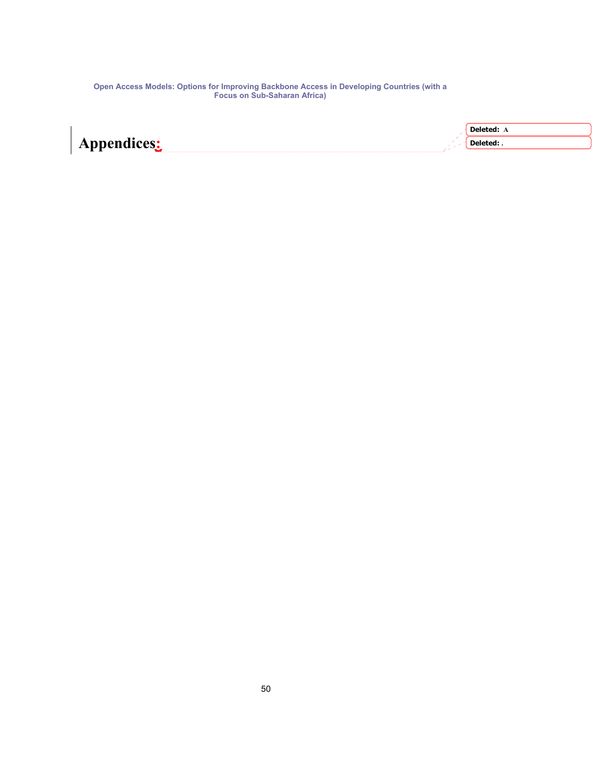| <b>Deleted:</b> A |
|-------------------|
| Deleted: .        |
|                   |

**Appendices:**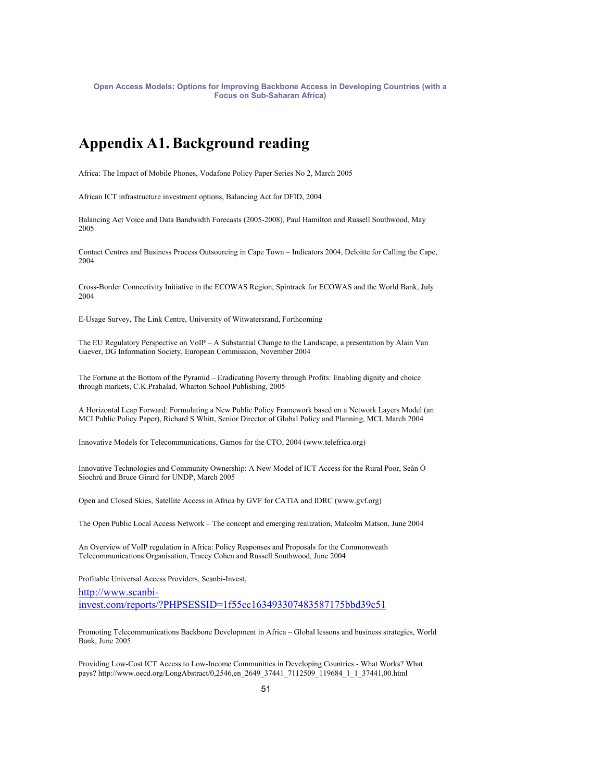# **Appendix A1. Background reading**

Africa: The Impact of Mobile Phones, Vodafone Policy Paper Series No 2, March 2005

African ICT infrastructure investment options, Balancing Act for DFID, 2004

Balancing Act Voice and Data Bandwidth Forecasts (2005-2008), Paul Hamilton and Russell Southwood, May 2005

Contact Centres and Business Process Outsourcing in Cape Town – Indicators 2004, Deloitte for Calling the Cape, 2004

Cross-Border Connectivity Initiative in the ECOWAS Region, Spintrack for ECOWAS and the World Bank, July 2004

E-Usage Survey, The Link Centre, University of Witwatersrand, Forthcoming

The EU Regulatory Perspective on VoIP – A Substantial Change to the Landscape, a presentation by Alain Van Gaever, DG Information Society, European Commission, November 2004

The Fortune at the Bottom of the Pyramid – Eradicating Poverty through Profits: Enabling dignity and choice through markets, C.K.Prahalad, Wharton School Publishing, 2005

A Horizontal Leap Forward: Formulating a New Public Policy Framework based on a Network Layers Model (an MCI Public Policy Paper), Richard S Whitt, Senior Director of Global Policy and Planning, MCI, March 2004

Innovative Models for Telecommunications, Gamos for the CTO, 2004 (www.telefrica.org)

Innovative Technologies and Community Ownership: A New Model of ICT Access for the Rural Poor, Seán Ó Siochrú and Bruce Girard for UNDP, March 2005

Open and Closed Skies, Satellite Access in Africa by GVF for CATIA and IDRC (www.gvf.org)

The Open Public Local Access Network – The concept and emerging realization, Malcolm Matson, June 2004

An Overview of VoIP regulation in Africa: Policy Responses and Proposals for the Commonweath Telecommunications Organisation, Tracey Cohen and Russell Southwood, June 2004

Profitable Universal Access Providers, Scanbi-Invest,

http://www.scanbiinvest.com/reports/?PHPSESSID=1f55cc163493307483587175bbd39c51

Promoting Telecommunications Backbone Development in Africa – Global lessons and business strategies, World Bank, June 2005

Providing Low-Cost ICT Access to Low-Income Communities in Developing Countries - What Works? What pays? http://www.oecd.org/LongAbstract/0,2546,en\_2649\_37441\_7112509\_119684\_1\_1\_37441,00.html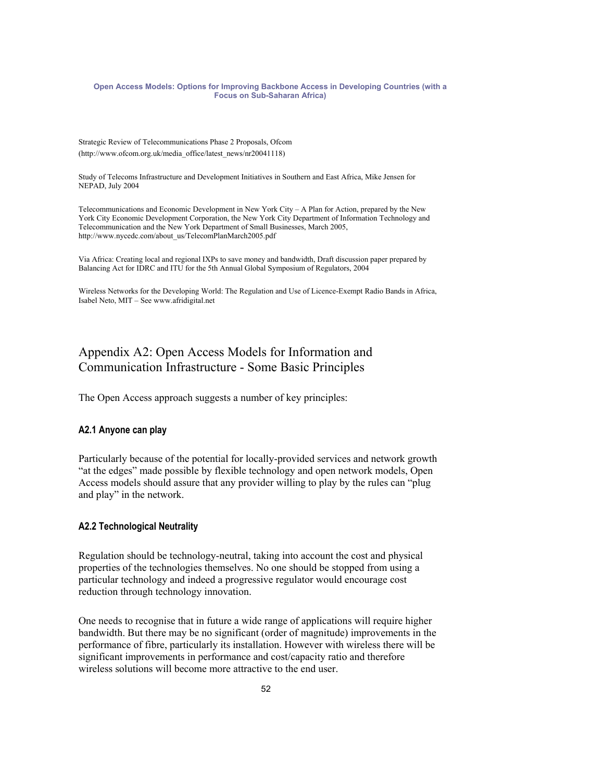Strategic Review of Telecommunications Phase 2 Proposals, Ofcom (http://www.ofcom.org.uk/media\_office/latest\_news/nr20041118)

Study of Telecoms Infrastructure and Development Initiatives in Southern and East Africa, Mike Jensen for NEPAD, July 2004

Telecommunications and Economic Development in New York City – A Plan for Action, prepared by the New York City Economic Development Corporation, the New York City Department of Information Technology and Telecommunication and the New York Department of Small Businesses, March 2005, http://www.nycedc.com/about\_us/TelecomPlanMarch2005.pdf

Via Africa: Creating local and regional IXPs to save money and bandwidth, Draft discussion paper prepared by Balancing Act for IDRC and ITU for the 5th Annual Global Symposium of Regulators, 2004

Wireless Networks for the Developing World: The Regulation and Use of Licence-Exempt Radio Bands in Africa, Isabel Neto, MIT – See www.afridigital.net

# Appendix A2: Open Access Models for Information and Communication Infrastructure - Some Basic Principles

The Open Access approach suggests a number of key principles:

### **A2.1 Anyone can play**

Particularly because of the potential for locally-provided services and network growth "at the edges" made possible by flexible technology and open network models, Open Access models should assure that any provider willing to play by the rules can "plug and play" in the network.

### **A2.2 Technological Neutrality**

Regulation should be technology-neutral, taking into account the cost and physical properties of the technologies themselves. No one should be stopped from using a particular technology and indeed a progressive regulator would encourage cost reduction through technology innovation.

One needs to recognise that in future a wide range of applications will require higher bandwidth. But there may be no significant (order of magnitude) improvements in the performance of fibre, particularly its installation. However with wireless there will be significant improvements in performance and cost/capacity ratio and therefore wireless solutions will become more attractive to the end user.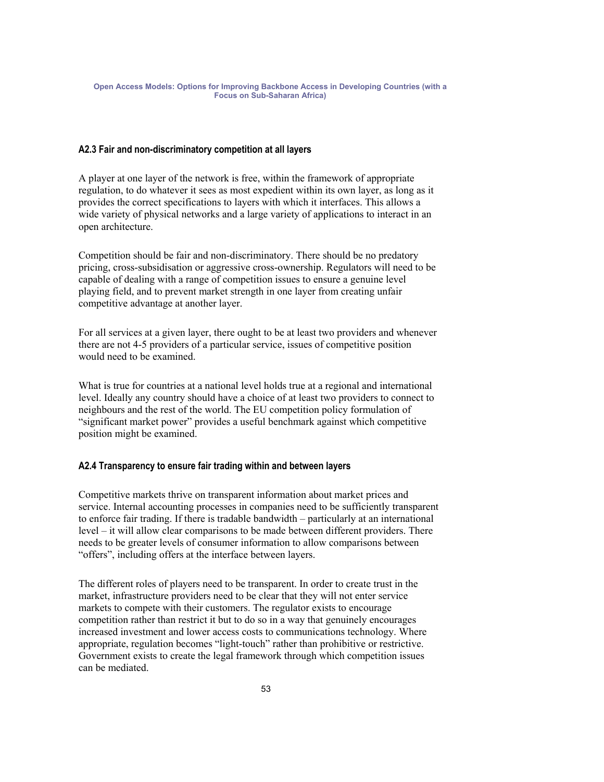### **A2.3 Fair and non-discriminatory competition at all layers**

A player at one layer of the network is free, within the framework of appropriate regulation, to do whatever it sees as most expedient within its own layer, as long as it provides the correct specifications to layers with which it interfaces. This allows a wide variety of physical networks and a large variety of applications to interact in an open architecture.

Competition should be fair and non-discriminatory. There should be no predatory pricing, cross-subsidisation or aggressive cross-ownership. Regulators will need to be capable of dealing with a range of competition issues to ensure a genuine level playing field, and to prevent market strength in one layer from creating unfair competitive advantage at another layer.

For all services at a given layer, there ought to be at least two providers and whenever there are not 4-5 providers of a particular service, issues of competitive position would need to be examined.

What is true for countries at a national level holds true at a regional and international level. Ideally any country should have a choice of at least two providers to connect to neighbours and the rest of the world. The EU competition policy formulation of "significant market power" provides a useful benchmark against which competitive position might be examined.

### **A2.4 Transparency to ensure fair trading within and between layers**

Competitive markets thrive on transparent information about market prices and service. Internal accounting processes in companies need to be sufficiently transparent to enforce fair trading. If there is tradable bandwidth – particularly at an international level – it will allow clear comparisons to be made between different providers. There needs to be greater levels of consumer information to allow comparisons between "offers", including offers at the interface between layers.

The different roles of players need to be transparent. In order to create trust in the market, infrastructure providers need to be clear that they will not enter service markets to compete with their customers. The regulator exists to encourage competition rather than restrict it but to do so in a way that genuinely encourages increased investment and lower access costs to communications technology. Where appropriate, regulation becomes "light-touch" rather than prohibitive or restrictive. Government exists to create the legal framework through which competition issues can be mediated.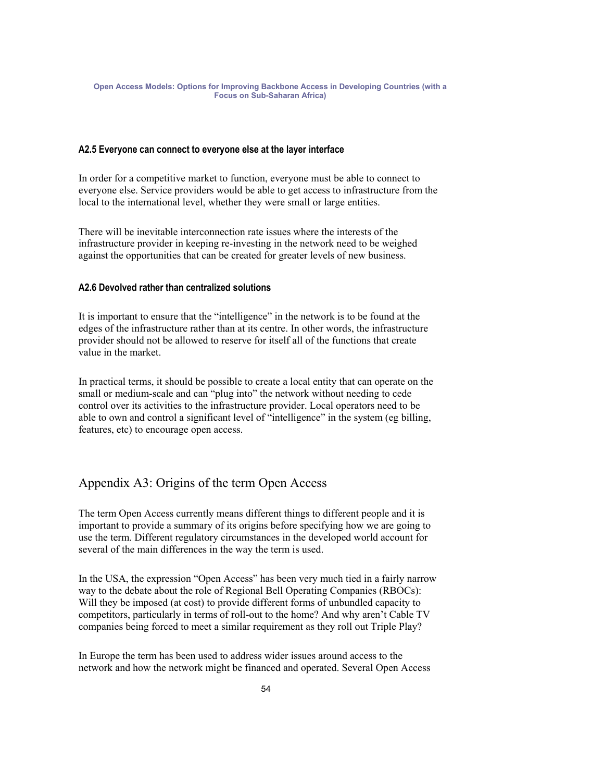### **A2.5 Everyone can connect to everyone else at the layer interface**

In order for a competitive market to function, everyone must be able to connect to everyone else. Service providers would be able to get access to infrastructure from the local to the international level, whether they were small or large entities.

There will be inevitable interconnection rate issues where the interests of the infrastructure provider in keeping re-investing in the network need to be weighed against the opportunities that can be created for greater levels of new business.

### **A2.6 Devolved rather than centralized solutions**

It is important to ensure that the "intelligence" in the network is to be found at the edges of the infrastructure rather than at its centre. In other words, the infrastructure provider should not be allowed to reserve for itself all of the functions that create value in the market.

In practical terms, it should be possible to create a local entity that can operate on the small or medium-scale and can "plug into" the network without needing to cede control over its activities to the infrastructure provider. Local operators need to be able to own and control a significant level of "intelligence" in the system (eg billing, features, etc) to encourage open access.

# Appendix A3: Origins of the term Open Access

The term Open Access currently means different things to different people and it is important to provide a summary of its origins before specifying how we are going to use the term. Different regulatory circumstances in the developed world account for several of the main differences in the way the term is used.

In the USA, the expression "Open Access" has been very much tied in a fairly narrow way to the debate about the role of Regional Bell Operating Companies (RBOCs): Will they be imposed (at cost) to provide different forms of unbundled capacity to competitors, particularly in terms of roll-out to the home? And why aren't Cable TV companies being forced to meet a similar requirement as they roll out Triple Play?

In Europe the term has been used to address wider issues around access to the network and how the network might be financed and operated. Several Open Access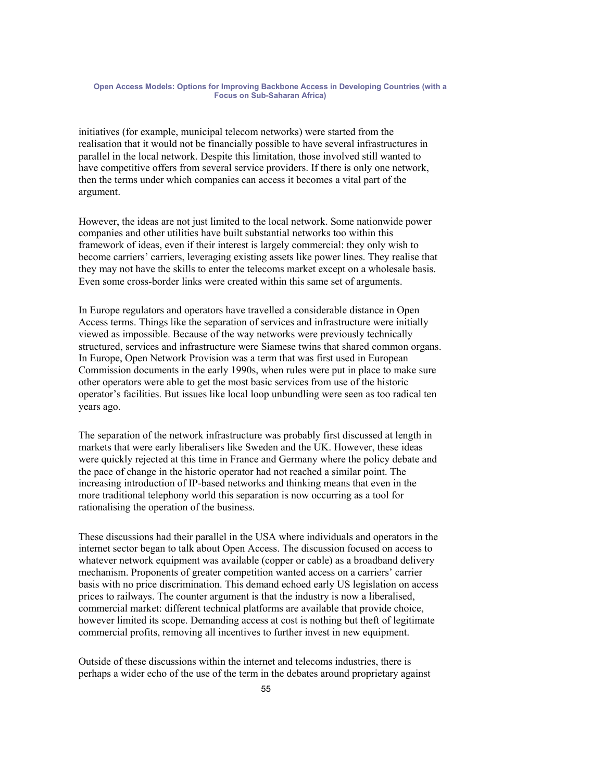initiatives (for example, municipal telecom networks) were started from the realisation that it would not be financially possible to have several infrastructures in parallel in the local network. Despite this limitation, those involved still wanted to have competitive offers from several service providers. If there is only one network, then the terms under which companies can access it becomes a vital part of the argument.

However, the ideas are not just limited to the local network. Some nationwide power companies and other utilities have built substantial networks too within this framework of ideas, even if their interest is largely commercial: they only wish to become carriers' carriers, leveraging existing assets like power lines. They realise that they may not have the skills to enter the telecoms market except on a wholesale basis. Even some cross-border links were created within this same set of arguments.

In Europe regulators and operators have travelled a considerable distance in Open Access terms. Things like the separation of services and infrastructure were initially viewed as impossible. Because of the way networks were previously technically structured, services and infrastructure were Siamese twins that shared common organs. In Europe, Open Network Provision was a term that was first used in European Commission documents in the early 1990s, when rules were put in place to make sure other operators were able to get the most basic services from use of the historic operator's facilities. But issues like local loop unbundling were seen as too radical ten years ago.

The separation of the network infrastructure was probably first discussed at length in markets that were early liberalisers like Sweden and the UK. However, these ideas were quickly rejected at this time in France and Germany where the policy debate and the pace of change in the historic operator had not reached a similar point. The increasing introduction of IP-based networks and thinking means that even in the more traditional telephony world this separation is now occurring as a tool for rationalising the operation of the business.

These discussions had their parallel in the USA where individuals and operators in the internet sector began to talk about Open Access. The discussion focused on access to whatever network equipment was available (copper or cable) as a broadband delivery mechanism. Proponents of greater competition wanted access on a carriers' carrier basis with no price discrimination. This demand echoed early US legislation on access prices to railways. The counter argument is that the industry is now a liberalised, commercial market: different technical platforms are available that provide choice, however limited its scope. Demanding access at cost is nothing but theft of legitimate commercial profits, removing all incentives to further invest in new equipment.

Outside of these discussions within the internet and telecoms industries, there is perhaps a wider echo of the use of the term in the debates around proprietary against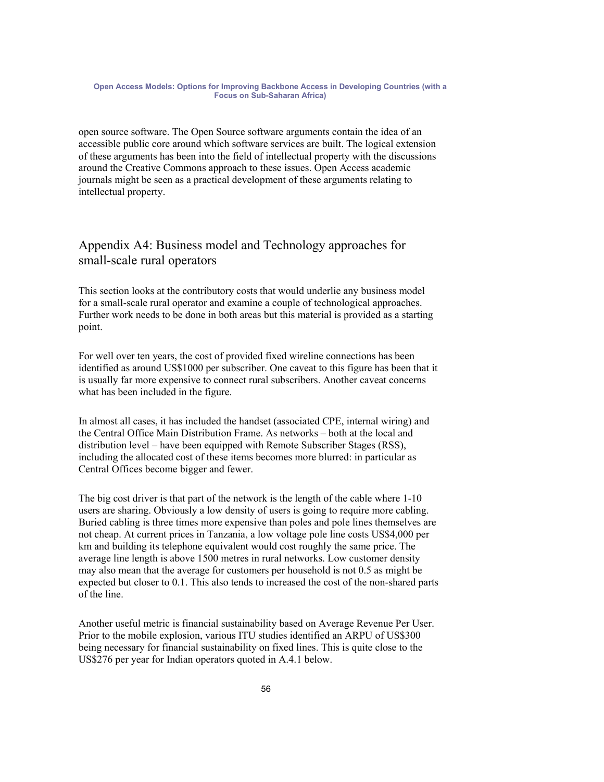open source software. The Open Source software arguments contain the idea of an accessible public core around which software services are built. The logical extension of these arguments has been into the field of intellectual property with the discussions around the Creative Commons approach to these issues. Open Access academic journals might be seen as a practical development of these arguments relating to intellectual property.

# Appendix A4: Business model and Technology approaches for small-scale rural operators

This section looks at the contributory costs that would underlie any business model for a small-scale rural operator and examine a couple of technological approaches. Further work needs to be done in both areas but this material is provided as a starting point.

For well over ten years, the cost of provided fixed wireline connections has been identified as around US\$1000 per subscriber. One caveat to this figure has been that it is usually far more expensive to connect rural subscribers. Another caveat concerns what has been included in the figure.

In almost all cases, it has included the handset (associated CPE, internal wiring) and the Central Office Main Distribution Frame. As networks – both at the local and distribution level – have been equipped with Remote Subscriber Stages (RSS), including the allocated cost of these items becomes more blurred: in particular as Central Offices become bigger and fewer.

The big cost driver is that part of the network is the length of the cable where 1-10 users are sharing. Obviously a low density of users is going to require more cabling. Buried cabling is three times more expensive than poles and pole lines themselves are not cheap. At current prices in Tanzania, a low voltage pole line costs US\$4,000 per km and building its telephone equivalent would cost roughly the same price. The average line length is above 1500 metres in rural networks. Low customer density may also mean that the average for customers per household is not 0.5 as might be expected but closer to 0.1. This also tends to increased the cost of the non-shared parts of the line.

Another useful metric is financial sustainability based on Average Revenue Per User. Prior to the mobile explosion, various ITU studies identified an ARPU of US\$300 being necessary for financial sustainability on fixed lines. This is quite close to the US\$276 per year for Indian operators quoted in A.4.1 below.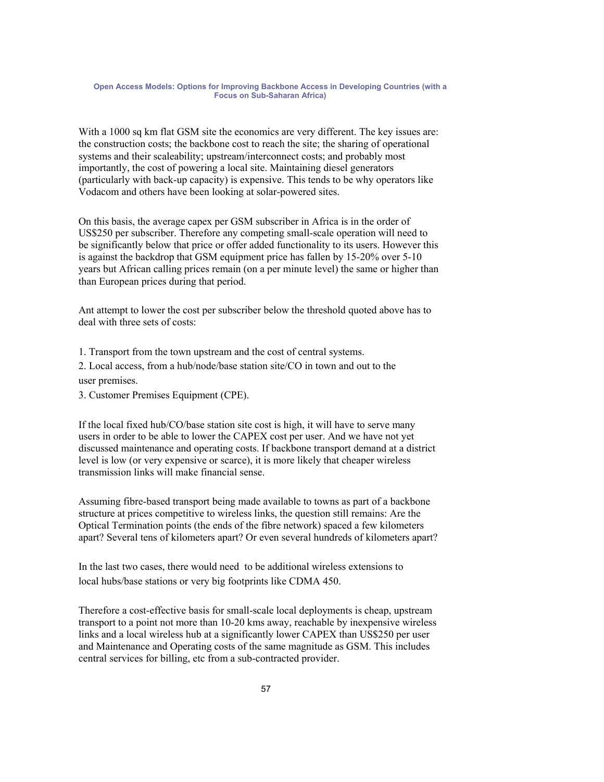With a 1000 sq km flat GSM site the economics are very different. The key issues are: the construction costs; the backbone cost to reach the site; the sharing of operational systems and their scaleability; upstream/interconnect costs; and probably most importantly, the cost of powering a local site. Maintaining diesel generators (particularly with back-up capacity) is expensive. This tends to be why operators like Vodacom and others have been looking at solar-powered sites.

On this basis, the average capex per GSM subscriber in Africa is in the order of US\$250 per subscriber. Therefore any competing small-scale operation will need to be significantly below that price or offer added functionality to its users. However this is against the backdrop that GSM equipment price has fallen by 15-20% over 5-10 years but African calling prices remain (on a per minute level) the same or higher than than European prices during that period.

Ant attempt to lower the cost per subscriber below the threshold quoted above has to deal with three sets of costs:

1. Transport from the town upstream and the cost of central systems.

2. Local access, from a hub/node/base station site/CO in town and out to the user premises.

3. Customer Premises Equipment (CPE).

If the local fixed hub/CO/base station site cost is high, it will have to serve many users in order to be able to lower the CAPEX cost per user. And we have not yet discussed maintenance and operating costs. If backbone transport demand at a district level is low (or very expensive or scarce), it is more likely that cheaper wireless transmission links will make financial sense.

Assuming fibre-based transport being made available to towns as part of a backbone structure at prices competitive to wireless links, the question still remains: Are the Optical Termination points (the ends of the fibre network) spaced a few kilometers apart? Several tens of kilometers apart? Or even several hundreds of kilometers apart?

In the last two cases, there would need to be additional wireless extensions to local hubs/base stations or very big footprints like CDMA 450.

Therefore a cost-effective basis for small-scale local deployments is cheap, upstream transport to a point not more than 10-20 kms away, reachable by inexpensive wireless links and a local wireless hub at a significantly lower CAPEX than US\$250 per user and Maintenance and Operating costs of the same magnitude as GSM. This includes central services for billing, etc from a sub-contracted provider.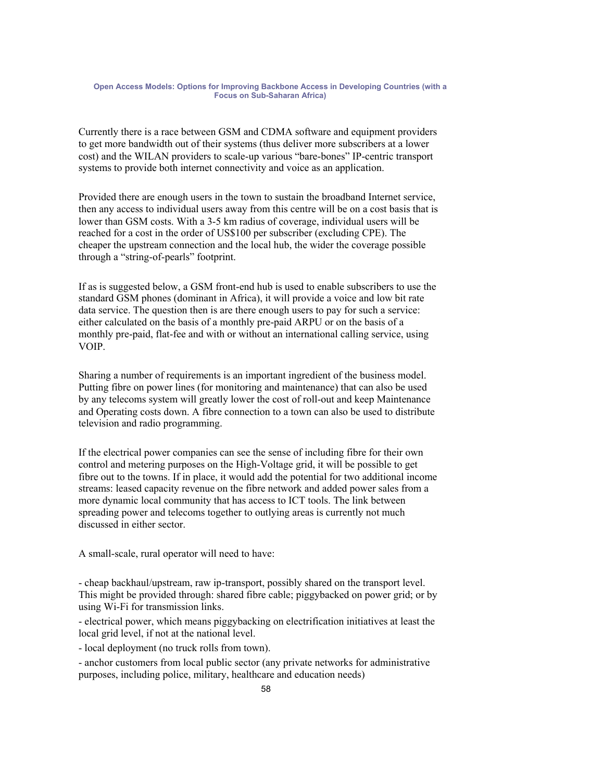Currently there is a race between GSM and CDMA software and equipment providers to get more bandwidth out of their systems (thus deliver more subscribers at a lower cost) and the WILAN providers to scale-up various "bare-bones" IP-centric transport systems to provide both internet connectivity and voice as an application.

Provided there are enough users in the town to sustain the broadband Internet service, then any access to individual users away from this centre will be on a cost basis that is lower than GSM costs. With a 3-5 km radius of coverage, individual users will be reached for a cost in the order of US\$100 per subscriber (excluding CPE). The cheaper the upstream connection and the local hub, the wider the coverage possible through a "string-of-pearls" footprint.

If as is suggested below, a GSM front-end hub is used to enable subscribers to use the standard GSM phones (dominant in Africa), it will provide a voice and low bit rate data service. The question then is are there enough users to pay for such a service: either calculated on the basis of a monthly pre-paid ARPU or on the basis of a monthly pre-paid, flat-fee and with or without an international calling service, using VOIP.

Sharing a number of requirements is an important ingredient of the business model. Putting fibre on power lines (for monitoring and maintenance) that can also be used by any telecoms system will greatly lower the cost of roll-out and keep Maintenance and Operating costs down. A fibre connection to a town can also be used to distribute television and radio programming.

If the electrical power companies can see the sense of including fibre for their own control and metering purposes on the High-Voltage grid, it will be possible to get fibre out to the towns. If in place, it would add the potential for two additional income streams: leased capacity revenue on the fibre network and added power sales from a more dynamic local community that has access to ICT tools. The link between spreading power and telecoms together to outlying areas is currently not much discussed in either sector.

A small-scale, rural operator will need to have:

- cheap backhaul/upstream, raw ip-transport, possibly shared on the transport level. This might be provided through: shared fibre cable; piggybacked on power grid; or by using Wi-Fi for transmission links.

- electrical power, which means piggybacking on electrification initiatives at least the local grid level, if not at the national level.

- local deployment (no truck rolls from town).

- anchor customers from local public sector (any private networks for administrative purposes, including police, military, healthcare and education needs)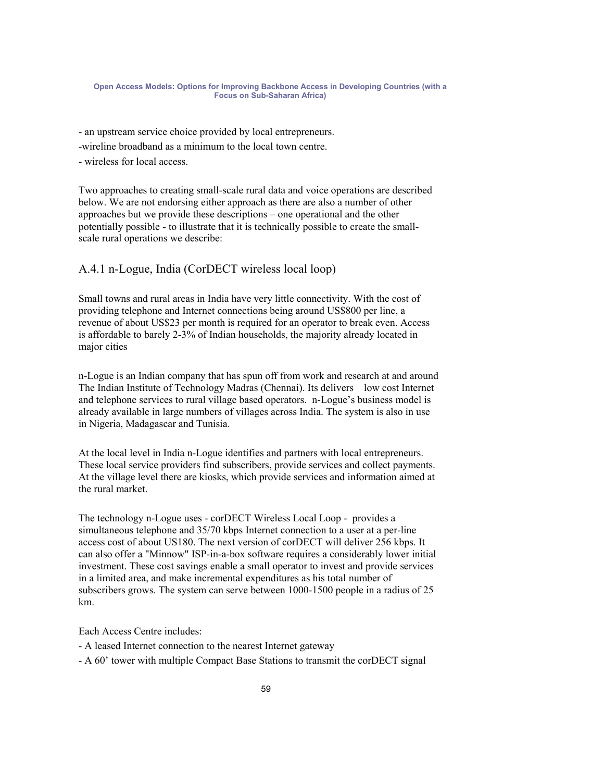- an upstream service choice provided by local entrepreneurs.

- -wireline broadband as a minimum to the local town centre.
- wireless for local access.

Two approaches to creating small-scale rural data and voice operations are described below. We are not endorsing either approach as there are also a number of other approaches but we provide these descriptions – one operational and the other potentially possible - to illustrate that it is technically possible to create the smallscale rural operations we describe:

## A.4.1 n-Logue, India (CorDECT wireless local loop)

Small towns and rural areas in India have very little connectivity. With the cost of providing telephone and Internet connections being around US\$800 per line, a revenue of about US\$23 per month is required for an operator to break even. Access is affordable to barely 2-3% of Indian households, the majority already located in major cities

n-Logue is an Indian company that has spun off from work and research at and around The Indian Institute of Technology Madras (Chennai). Its delivers low cost Internet and telephone services to rural village based operators. n-Logue's business model is already available in large numbers of villages across India. The system is also in use in Nigeria, Madagascar and Tunisia.

At the local level in India n-Logue identifies and partners with local entrepreneurs. These local service providers find subscribers, provide services and collect payments. At the village level there are kiosks, which provide services and information aimed at the rural market.

The technology n-Logue uses - corDECT Wireless Local Loop - provides a simultaneous telephone and 35/70 kbps Internet connection to a user at a per-line access cost of about US180. The next version of corDECT will deliver 256 kbps. It can also offer a "Minnow" ISP-in-a-box software requires a considerably lower initial investment. These cost savings enable a small operator to invest and provide services in a limited area, and make incremental expenditures as his total number of subscribers grows. The system can serve between 1000-1500 people in a radius of 25 km.

### Each Access Centre includes:

- A leased Internet connection to the nearest Internet gateway
- A 60' tower with multiple Compact Base Stations to transmit the corDECT signal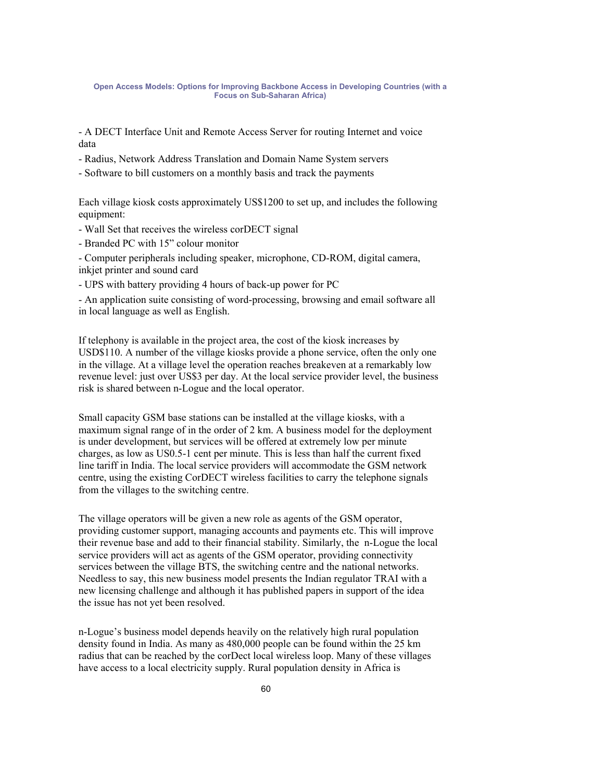- A DECT Interface Unit and Remote Access Server for routing Internet and voice data

- Radius, Network Address Translation and Domain Name System servers

- Software to bill customers on a monthly basis and track the payments

Each village kiosk costs approximately US\$1200 to set up, and includes the following equipment:

- Wall Set that receives the wireless corDECT signal

- Branded PC with 15" colour monitor

- Computer peripherals including speaker, microphone, CD-ROM, digital camera, inkjet printer and sound card

- UPS with battery providing 4 hours of back-up power for PC

- An application suite consisting of word-processing, browsing and email software all in local language as well as English.

If telephony is available in the project area, the cost of the kiosk increases by USD\$110. A number of the village kiosks provide a phone service, often the only one in the village. At a village level the operation reaches breakeven at a remarkably low revenue level: just over US\$3 per day. At the local service provider level, the business risk is shared between n-Logue and the local operator.

Small capacity GSM base stations can be installed at the village kiosks, with a maximum signal range of in the order of 2 km. A business model for the deployment is under development, but services will be offered at extremely low per minute charges, as low as US0.5-1 cent per minute. This is less than half the current fixed line tariff in India. The local service providers will accommodate the GSM network centre, using the existing CorDECT wireless facilities to carry the telephone signals from the villages to the switching centre.

The village operators will be given a new role as agents of the GSM operator, providing customer support, managing accounts and payments etc. This will improve their revenue base and add to their financial stability. Similarly, the n-Logue the local service providers will act as agents of the GSM operator, providing connectivity services between the village BTS, the switching centre and the national networks. Needless to say, this new business model presents the Indian regulator TRAI with a new licensing challenge and although it has published papers in support of the idea the issue has not yet been resolved.

n-Logue's business model depends heavily on the relatively high rural population density found in India. As many as 480,000 people can be found within the 25 km radius that can be reached by the corDect local wireless loop. Many of these villages have access to a local electricity supply. Rural population density in Africa is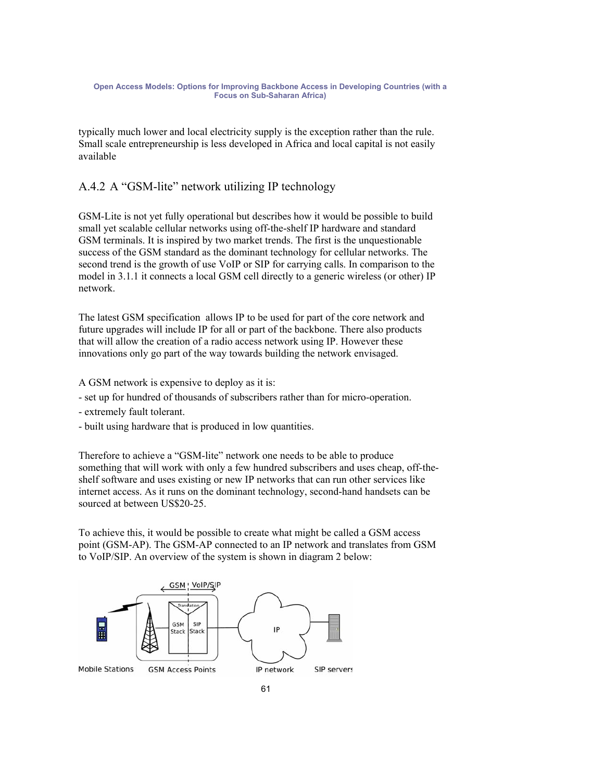typically much lower and local electricity supply is the exception rather than the rule. Small scale entrepreneurship is less developed in Africa and local capital is not easily available

# A.4.2 A "GSM-lite" network utilizing IP technology

GSM-Lite is not yet fully operational but describes how it would be possible to build small yet scalable cellular networks using off-the-shelf IP hardware and standard GSM terminals. It is inspired by two market trends. The first is the unquestionable success of the GSM standard as the dominant technology for cellular networks. The second trend is the growth of use VoIP or SIP for carrying calls. In comparison to the model in 3.1.1 it connects a local GSM cell directly to a generic wireless (or other) IP network.

The latest GSM specification allows IP to be used for part of the core network and future upgrades will include IP for all or part of the backbone. There also products that will allow the creation of a radio access network using IP. However these innovations only go part of the way towards building the network envisaged.

A GSM network is expensive to deploy as it is:

- set up for hundred of thousands of subscribers rather than for micro-operation.
- extremely fault tolerant.
- built using hardware that is produced in low quantities.

Therefore to achieve a "GSM-lite" network one needs to be able to produce something that will work with only a few hundred subscribers and uses cheap, off-theshelf software and uses existing or new IP networks that can run other services like internet access. As it runs on the dominant technology, second-hand handsets can be sourced at between US\$20-25.

To achieve this, it would be possible to create what might be called a GSM access point (GSM-AP). The GSM-AP connected to an IP network and translates from GSM to VoIP/SIP. An overview of the system is shown in diagram 2 below:

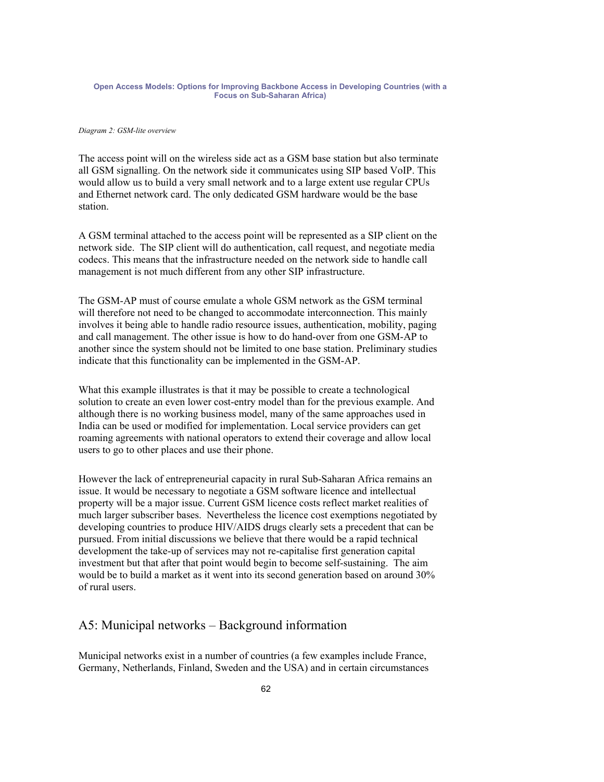### *Diagram 2: GSM-lite overview*

The access point will on the wireless side act as a GSM base station but also terminate all GSM signalling. On the network side it communicates using SIP based VoIP. This would allow us to build a very small network and to a large extent use regular CPUs and Ethernet network card. The only dedicated GSM hardware would be the base station.

A GSM terminal attached to the access point will be represented as a SIP client on the network side. The SIP client will do authentication, call request, and negotiate media codecs. This means that the infrastructure needed on the network side to handle call management is not much different from any other SIP infrastructure.

The GSM-AP must of course emulate a whole GSM network as the GSM terminal will therefore not need to be changed to accommodate interconnection. This mainly involves it being able to handle radio resource issues, authentication, mobility, paging and call management. The other issue is how to do hand-over from one GSM-AP to another since the system should not be limited to one base station. Preliminary studies indicate that this functionality can be implemented in the GSM-AP.

What this example illustrates is that it may be possible to create a technological solution to create an even lower cost-entry model than for the previous example. And although there is no working business model, many of the same approaches used in India can be used or modified for implementation. Local service providers can get roaming agreements with national operators to extend their coverage and allow local users to go to other places and use their phone.

However the lack of entrepreneurial capacity in rural Sub-Saharan Africa remains an issue. It would be necessary to negotiate a GSM software licence and intellectual property will be a major issue. Current GSM licence costs reflect market realities of much larger subscriber bases. Nevertheless the licence cost exemptions negotiated by developing countries to produce HIV/AIDS drugs clearly sets a precedent that can be pursued. From initial discussions we believe that there would be a rapid technical development the take-up of services may not re-capitalise first generation capital investment but that after that point would begin to become self-sustaining. The aim would be to build a market as it went into its second generation based on around 30% of rural users.

# A5: Municipal networks – Background information

Municipal networks exist in a number of countries (a few examples include France, Germany, Netherlands, Finland, Sweden and the USA) and in certain circumstances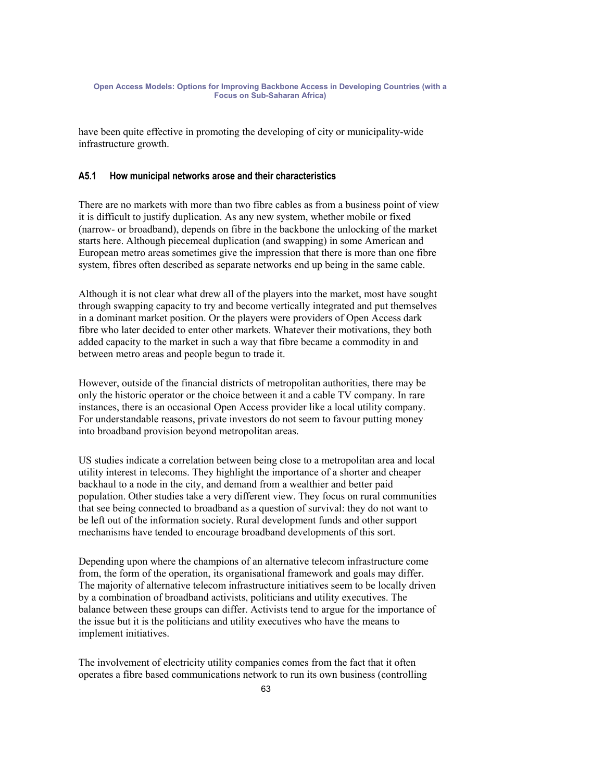have been quite effective in promoting the developing of city or municipality-wide infrastructure growth.

### **A5.1 How municipal networks arose and their characteristics**

There are no markets with more than two fibre cables as from a business point of view it is difficult to justify duplication. As any new system, whether mobile or fixed (narrow- or broadband), depends on fibre in the backbone the unlocking of the market starts here. Although piecemeal duplication (and swapping) in some American and European metro areas sometimes give the impression that there is more than one fibre system, fibres often described as separate networks end up being in the same cable.

Although it is not clear what drew all of the players into the market, most have sought through swapping capacity to try and become vertically integrated and put themselves in a dominant market position. Or the players were providers of Open Access dark fibre who later decided to enter other markets. Whatever their motivations, they both added capacity to the market in such a way that fibre became a commodity in and between metro areas and people begun to trade it.

However, outside of the financial districts of metropolitan authorities, there may be only the historic operator or the choice between it and a cable TV company. In rare instances, there is an occasional Open Access provider like a local utility company. For understandable reasons, private investors do not seem to favour putting money into broadband provision beyond metropolitan areas.

US studies indicate a correlation between being close to a metropolitan area and local utility interest in telecoms. They highlight the importance of a shorter and cheaper backhaul to a node in the city, and demand from a wealthier and better paid population. Other studies take a very different view. They focus on rural communities that see being connected to broadband as a question of survival: they do not want to be left out of the information society. Rural development funds and other support mechanisms have tended to encourage broadband developments of this sort.

Depending upon where the champions of an alternative telecom infrastructure come from, the form of the operation, its organisational framework and goals may differ. The majority of alternative telecom infrastructure initiatives seem to be locally driven by a combination of broadband activists, politicians and utility executives. The balance between these groups can differ. Activists tend to argue for the importance of the issue but it is the politicians and utility executives who have the means to implement initiatives.

The involvement of electricity utility companies comes from the fact that it often operates a fibre based communications network to run its own business (controlling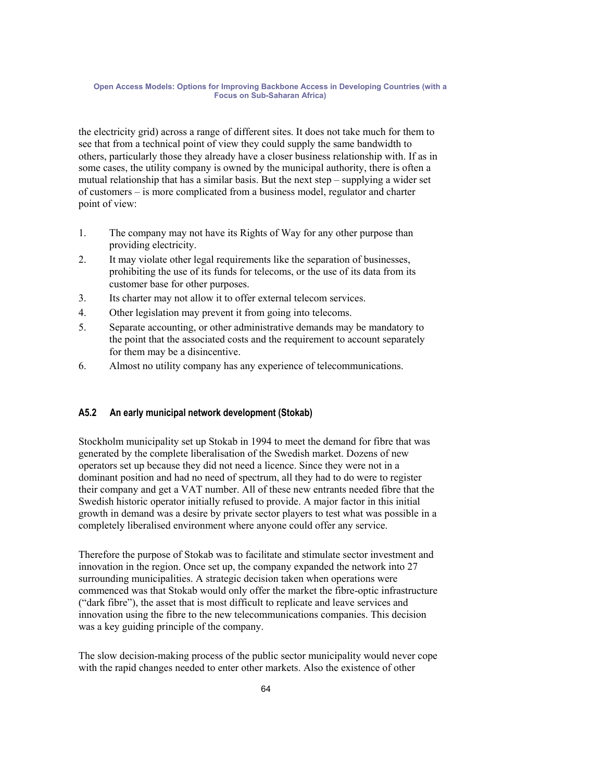the electricity grid) across a range of different sites. It does not take much for them to see that from a technical point of view they could supply the same bandwidth to others, particularly those they already have a closer business relationship with. If as in some cases, the utility company is owned by the municipal authority, there is often a mutual relationship that has a similar basis. But the next step – supplying a wider set of customers – is more complicated from a business model, regulator and charter point of view:

- 1. The company may not have its Rights of Way for any other purpose than providing electricity.
- 2. It may violate other legal requirements like the separation of businesses, prohibiting the use of its funds for telecoms, or the use of its data from its customer base for other purposes.
- 3. Its charter may not allow it to offer external telecom services.
- 4. Other legislation may prevent it from going into telecoms.
- 5. Separate accounting, or other administrative demands may be mandatory to the point that the associated costs and the requirement to account separately for them may be a disincentive.
- 6. Almost no utility company has any experience of telecommunications.

### **A5.2 An early municipal network development (Stokab)**

Stockholm municipality set up Stokab in 1994 to meet the demand for fibre that was generated by the complete liberalisation of the Swedish market. Dozens of new operators set up because they did not need a licence. Since they were not in a dominant position and had no need of spectrum, all they had to do were to register their company and get a VAT number. All of these new entrants needed fibre that the Swedish historic operator initially refused to provide. A major factor in this initial growth in demand was a desire by private sector players to test what was possible in a completely liberalised environment where anyone could offer any service.

Therefore the purpose of Stokab was to facilitate and stimulate sector investment and innovation in the region. Once set up, the company expanded the network into 27 surrounding municipalities. A strategic decision taken when operations were commenced was that Stokab would only offer the market the fibre-optic infrastructure ("dark fibre"), the asset that is most difficult to replicate and leave services and innovation using the fibre to the new telecommunications companies. This decision was a key guiding principle of the company.

The slow decision-making process of the public sector municipality would never cope with the rapid changes needed to enter other markets. Also the existence of other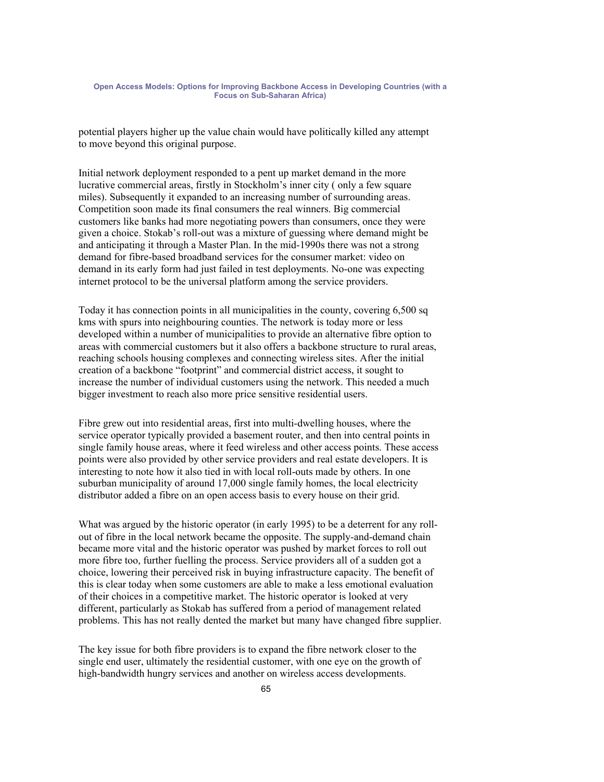potential players higher up the value chain would have politically killed any attempt to move beyond this original purpose.

Initial network deployment responded to a pent up market demand in the more lucrative commercial areas, firstly in Stockholm's inner city ( only a few square miles). Subsequently it expanded to an increasing number of surrounding areas. Competition soon made its final consumers the real winners. Big commercial customers like banks had more negotiating powers than consumers, once they were given a choice. Stokab's roll-out was a mixture of guessing where demand might be and anticipating it through a Master Plan. In the mid-1990s there was not a strong demand for fibre-based broadband services for the consumer market: video on demand in its early form had just failed in test deployments. No-one was expecting internet protocol to be the universal platform among the service providers.

Today it has connection points in all municipalities in the county, covering 6,500 sq kms with spurs into neighbouring counties. The network is today more or less developed within a number of municipalities to provide an alternative fibre option to areas with commercial customers but it also offers a backbone structure to rural areas, reaching schools housing complexes and connecting wireless sites. After the initial creation of a backbone "footprint" and commercial district access, it sought to increase the number of individual customers using the network. This needed a much bigger investment to reach also more price sensitive residential users.

Fibre grew out into residential areas, first into multi-dwelling houses, where the service operator typically provided a basement router, and then into central points in single family house areas, where it feed wireless and other access points. These access points were also provided by other service providers and real estate developers. It is interesting to note how it also tied in with local roll-outs made by others. In one suburban municipality of around 17,000 single family homes, the local electricity distributor added a fibre on an open access basis to every house on their grid.

What was argued by the historic operator (in early 1995) to be a deterrent for any rollout of fibre in the local network became the opposite. The supply-and-demand chain became more vital and the historic operator was pushed by market forces to roll out more fibre too, further fuelling the process. Service providers all of a sudden got a choice, lowering their perceived risk in buying infrastructure capacity. The benefit of this is clear today when some customers are able to make a less emotional evaluation of their choices in a competitive market. The historic operator is looked at very different, particularly as Stokab has suffered from a period of management related problems. This has not really dented the market but many have changed fibre supplier.

The key issue for both fibre providers is to expand the fibre network closer to the single end user, ultimately the residential customer, with one eye on the growth of high-bandwidth hungry services and another on wireless access developments.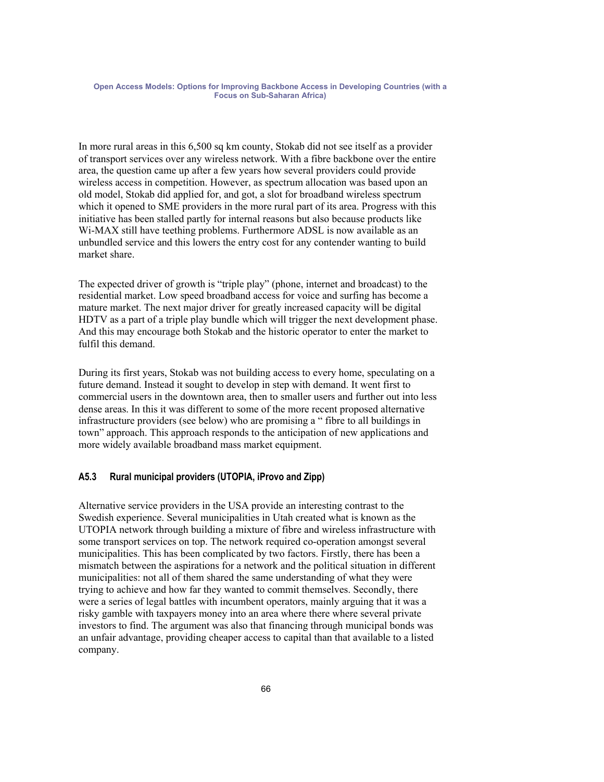In more rural areas in this 6,500 sq km county, Stokab did not see itself as a provider of transport services over any wireless network. With a fibre backbone over the entire area, the question came up after a few years how several providers could provide wireless access in competition. However, as spectrum allocation was based upon an old model, Stokab did applied for, and got, a slot for broadband wireless spectrum which it opened to SME providers in the more rural part of its area. Progress with this initiative has been stalled partly for internal reasons but also because products like Wi-MAX still have teething problems. Furthermore ADSL is now available as an unbundled service and this lowers the entry cost for any contender wanting to build market share.

The expected driver of growth is "triple play" (phone, internet and broadcast) to the residential market. Low speed broadband access for voice and surfing has become a mature market. The next major driver for greatly increased capacity will be digital HDTV as a part of a triple play bundle which will trigger the next development phase. And this may encourage both Stokab and the historic operator to enter the market to fulfil this demand.

During its first years, Stokab was not building access to every home, speculating on a future demand. Instead it sought to develop in step with demand. It went first to commercial users in the downtown area, then to smaller users and further out into less dense areas. In this it was different to some of the more recent proposed alternative infrastructure providers (see below) who are promising a " fibre to all buildings in town" approach. This approach responds to the anticipation of new applications and more widely available broadband mass market equipment.

### **A5.3 Rural municipal providers (UTOPIA, iProvo and Zipp)**

Alternative service providers in the USA provide an interesting contrast to the Swedish experience. Several municipalities in Utah created what is known as the UTOPIA network through building a mixture of fibre and wireless infrastructure with some transport services on top. The network required co-operation amongst several municipalities. This has been complicated by two factors. Firstly, there has been a mismatch between the aspirations for a network and the political situation in different municipalities: not all of them shared the same understanding of what they were trying to achieve and how far they wanted to commit themselves. Secondly, there were a series of legal battles with incumbent operators, mainly arguing that it was a risky gamble with taxpayers money into an area where there where several private investors to find. The argument was also that financing through municipal bonds was an unfair advantage, providing cheaper access to capital than that available to a listed company.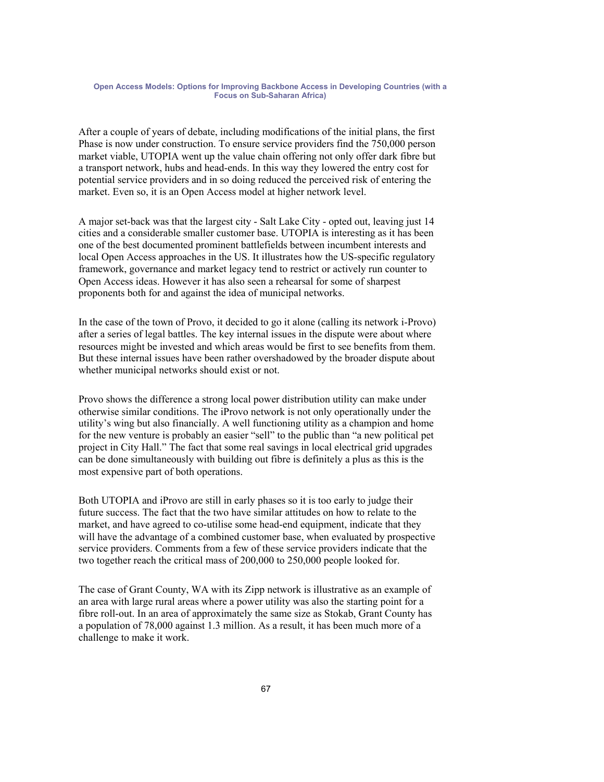After a couple of years of debate, including modifications of the initial plans, the first Phase is now under construction. To ensure service providers find the 750,000 person market viable, UTOPIA went up the value chain offering not only offer dark fibre but a transport network, hubs and head-ends. In this way they lowered the entry cost for potential service providers and in so doing reduced the perceived risk of entering the market. Even so, it is an Open Access model at higher network level.

A major set-back was that the largest city - Salt Lake City - opted out, leaving just 14 cities and a considerable smaller customer base. UTOPIA is interesting as it has been one of the best documented prominent battlefields between incumbent interests and local Open Access approaches in the US. It illustrates how the US-specific regulatory framework, governance and market legacy tend to restrict or actively run counter to Open Access ideas. However it has also seen a rehearsal for some of sharpest proponents both for and against the idea of municipal networks.

In the case of the town of Provo, it decided to go it alone (calling its network i-Provo) after a series of legal battles. The key internal issues in the dispute were about where resources might be invested and which areas would be first to see benefits from them. But these internal issues have been rather overshadowed by the broader dispute about whether municipal networks should exist or not.

Provo shows the difference a strong local power distribution utility can make under otherwise similar conditions. The iProvo network is not only operationally under the utility's wing but also financially. A well functioning utility as a champion and home for the new venture is probably an easier "sell" to the public than "a new political pet project in City Hall." The fact that some real savings in local electrical grid upgrades can be done simultaneously with building out fibre is definitely a plus as this is the most expensive part of both operations.

Both UTOPIA and iProvo are still in early phases so it is too early to judge their future success. The fact that the two have similar attitudes on how to relate to the market, and have agreed to co-utilise some head-end equipment, indicate that they will have the advantage of a combined customer base, when evaluated by prospective service providers. Comments from a few of these service providers indicate that the two together reach the critical mass of 200,000 to 250,000 people looked for.

The case of Grant County, WA with its Zipp network is illustrative as an example of an area with large rural areas where a power utility was also the starting point for a fibre roll-out. In an area of approximately the same size as Stokab, Grant County has a population of 78,000 against 1.3 million. As a result, it has been much more of a challenge to make it work.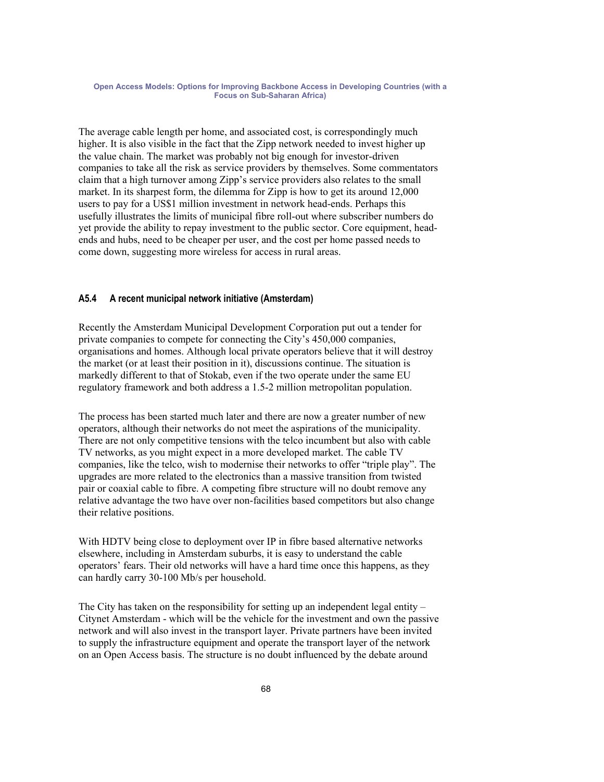The average cable length per home, and associated cost, is correspondingly much higher. It is also visible in the fact that the Zipp network needed to invest higher up the value chain. The market was probably not big enough for investor-driven companies to take all the risk as service providers by themselves. Some commentators claim that a high turnover among Zipp's service providers also relates to the small market. In its sharpest form, the dilemma for Zipp is how to get its around 12,000 users to pay for a US\$1 million investment in network head-ends. Perhaps this usefully illustrates the limits of municipal fibre roll-out where subscriber numbers do yet provide the ability to repay investment to the public sector. Core equipment, headends and hubs, need to be cheaper per user, and the cost per home passed needs to come down, suggesting more wireless for access in rural areas.

## **A5.4 A recent municipal network initiative (Amsterdam)**

Recently the Amsterdam Municipal Development Corporation put out a tender for private companies to compete for connecting the City's 450,000 companies, organisations and homes. Although local private operators believe that it will destroy the market (or at least their position in it), discussions continue. The situation is markedly different to that of Stokab, even if the two operate under the same EU regulatory framework and both address a 1.5-2 million metropolitan population.

The process has been started much later and there are now a greater number of new operators, although their networks do not meet the aspirations of the municipality. There are not only competitive tensions with the telco incumbent but also with cable TV networks, as you might expect in a more developed market. The cable TV companies, like the telco, wish to modernise their networks to offer "triple play". The upgrades are more related to the electronics than a massive transition from twisted pair or coaxial cable to fibre. A competing fibre structure will no doubt remove any relative advantage the two have over non-facilities based competitors but also change their relative positions.

With HDTV being close to deployment over IP in fibre based alternative networks elsewhere, including in Amsterdam suburbs, it is easy to understand the cable operators' fears. Their old networks will have a hard time once this happens, as they can hardly carry 30-100 Mb/s per household.

The City has taken on the responsibility for setting up an independent legal entity – Citynet Amsterdam - which will be the vehicle for the investment and own the passive network and will also invest in the transport layer. Private partners have been invited to supply the infrastructure equipment and operate the transport layer of the network on an Open Access basis. The structure is no doubt influenced by the debate around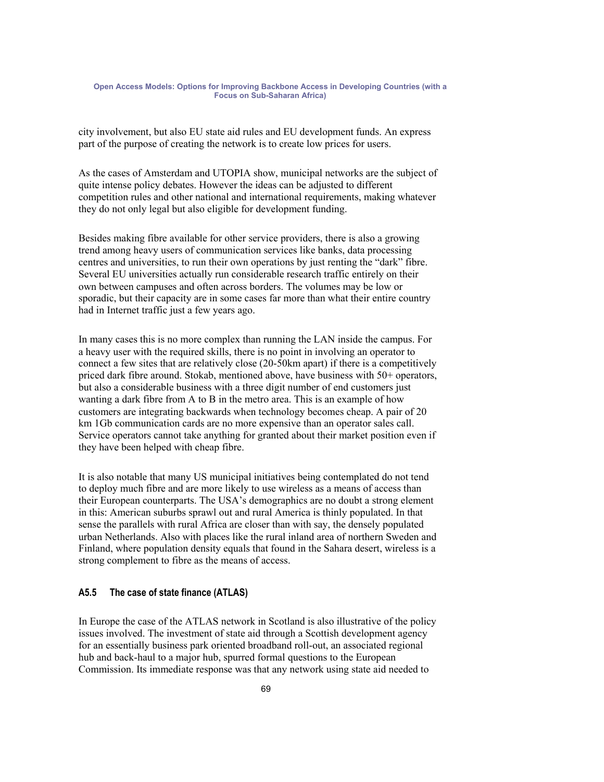city involvement, but also EU state aid rules and EU development funds. An express part of the purpose of creating the network is to create low prices for users.

As the cases of Amsterdam and UTOPIA show, municipal networks are the subject of quite intense policy debates. However the ideas can be adjusted to different competition rules and other national and international requirements, making whatever they do not only legal but also eligible for development funding.

Besides making fibre available for other service providers, there is also a growing trend among heavy users of communication services like banks, data processing centres and universities, to run their own operations by just renting the "dark" fibre. Several EU universities actually run considerable research traffic entirely on their own between campuses and often across borders. The volumes may be low or sporadic, but their capacity are in some cases far more than what their entire country had in Internet traffic just a few years ago.

In many cases this is no more complex than running the LAN inside the campus. For a heavy user with the required skills, there is no point in involving an operator to connect a few sites that are relatively close (20-50km apart) if there is a competitively priced dark fibre around. Stokab, mentioned above, have business with 50+ operators, but also a considerable business with a three digit number of end customers just wanting a dark fibre from A to B in the metro area. This is an example of how customers are integrating backwards when technology becomes cheap. A pair of 20 km 1Gb communication cards are no more expensive than an operator sales call. Service operators cannot take anything for granted about their market position even if they have been helped with cheap fibre.

It is also notable that many US municipal initiatives being contemplated do not tend to deploy much fibre and are more likely to use wireless as a means of access than their European counterparts. The USA's demographics are no doubt a strong element in this: American suburbs sprawl out and rural America is thinly populated. In that sense the parallels with rural Africa are closer than with say, the densely populated urban Netherlands. Also with places like the rural inland area of northern Sweden and Finland, where population density equals that found in the Sahara desert, wireless is a strong complement to fibre as the means of access.

### **A5.5 The case of state finance (ATLAS)**

In Europe the case of the ATLAS network in Scotland is also illustrative of the policy issues involved. The investment of state aid through a Scottish development agency for an essentially business park oriented broadband roll-out, an associated regional hub and back-haul to a major hub, spurred formal questions to the European Commission. Its immediate response was that any network using state aid needed to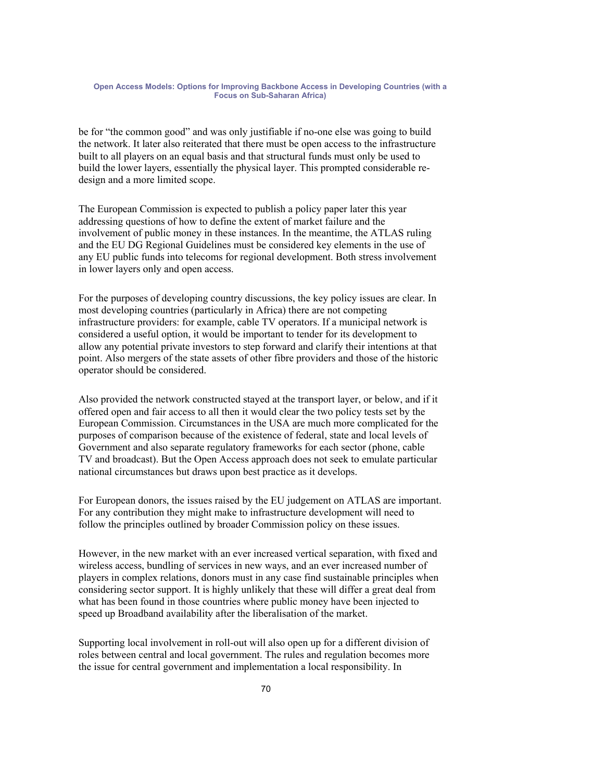be for "the common good" and was only justifiable if no-one else was going to build the network. It later also reiterated that there must be open access to the infrastructure built to all players on an equal basis and that structural funds must only be used to build the lower layers, essentially the physical layer. This prompted considerable redesign and a more limited scope.

The European Commission is expected to publish a policy paper later this year addressing questions of how to define the extent of market failure and the involvement of public money in these instances. In the meantime, the ATLAS ruling and the EU DG Regional Guidelines must be considered key elements in the use of any EU public funds into telecoms for regional development. Both stress involvement in lower layers only and open access.

For the purposes of developing country discussions, the key policy issues are clear. In most developing countries (particularly in Africa) there are not competing infrastructure providers: for example, cable TV operators. If a municipal network is considered a useful option, it would be important to tender for its development to allow any potential private investors to step forward and clarify their intentions at that point. Also mergers of the state assets of other fibre providers and those of the historic operator should be considered.

Also provided the network constructed stayed at the transport layer, or below, and if it offered open and fair access to all then it would clear the two policy tests set by the European Commission. Circumstances in the USA are much more complicated for the purposes of comparison because of the existence of federal, state and local levels of Government and also separate regulatory frameworks for each sector (phone, cable TV and broadcast). But the Open Access approach does not seek to emulate particular national circumstances but draws upon best practice as it develops.

For European donors, the issues raised by the EU judgement on ATLAS are important. For any contribution they might make to infrastructure development will need to follow the principles outlined by broader Commission policy on these issues.

However, in the new market with an ever increased vertical separation, with fixed and wireless access, bundling of services in new ways, and an ever increased number of players in complex relations, donors must in any case find sustainable principles when considering sector support. It is highly unlikely that these will differ a great deal from what has been found in those countries where public money have been injected to speed up Broadband availability after the liberalisation of the market.

Supporting local involvement in roll-out will also open up for a different division of roles between central and local government. The rules and regulation becomes more the issue for central government and implementation a local responsibility. In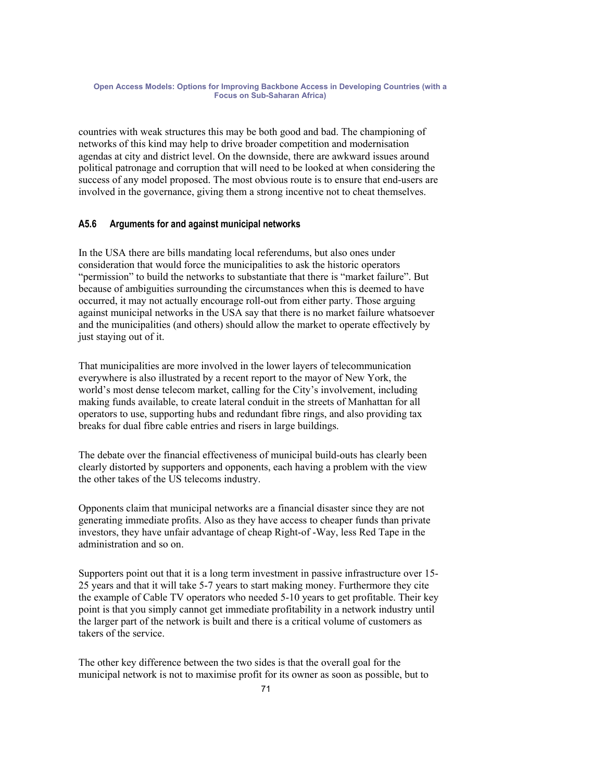countries with weak structures this may be both good and bad. The championing of networks of this kind may help to drive broader competition and modernisation agendas at city and district level. On the downside, there are awkward issues around political patronage and corruption that will need to be looked at when considering the success of any model proposed. The most obvious route is to ensure that end-users are involved in the governance, giving them a strong incentive not to cheat themselves.

### **A5.6 Arguments for and against municipal networks**

In the USA there are bills mandating local referendums, but also ones under consideration that would force the municipalities to ask the historic operators "permission" to build the networks to substantiate that there is "market failure". But because of ambiguities surrounding the circumstances when this is deemed to have occurred, it may not actually encourage roll-out from either party. Those arguing against municipal networks in the USA say that there is no market failure whatsoever and the municipalities (and others) should allow the market to operate effectively by just staying out of it.

That municipalities are more involved in the lower layers of telecommunication everywhere is also illustrated by a recent report to the mayor of New York, the world's most dense telecom market, calling for the City's involvement, including making funds available, to create lateral conduit in the streets of Manhattan for all operators to use, supporting hubs and redundant fibre rings, and also providing tax breaks for dual fibre cable entries and risers in large buildings.

The debate over the financial effectiveness of municipal build-outs has clearly been clearly distorted by supporters and opponents, each having a problem with the view the other takes of the US telecoms industry.

Opponents claim that municipal networks are a financial disaster since they are not generating immediate profits. Also as they have access to cheaper funds than private investors, they have unfair advantage of cheap Right-of -Way, less Red Tape in the administration and so on.

Supporters point out that it is a long term investment in passive infrastructure over 15- 25 years and that it will take 5-7 years to start making money. Furthermore they cite the example of Cable TV operators who needed 5-10 years to get profitable. Their key point is that you simply cannot get immediate profitability in a network industry until the larger part of the network is built and there is a critical volume of customers as takers of the service.

The other key difference between the two sides is that the overall goal for the municipal network is not to maximise profit for its owner as soon as possible, but to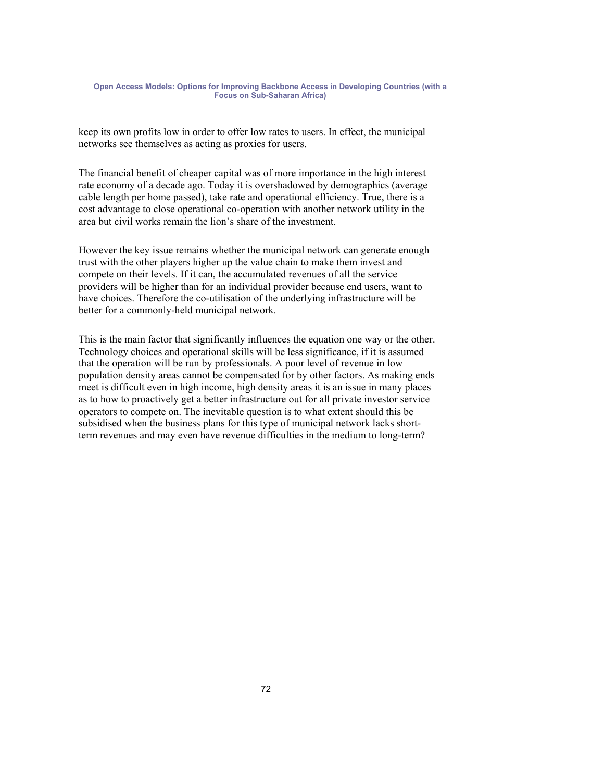keep its own profits low in order to offer low rates to users. In effect, the municipal networks see themselves as acting as proxies for users.

The financial benefit of cheaper capital was of more importance in the high interest rate economy of a decade ago. Today it is overshadowed by demographics (average cable length per home passed), take rate and operational efficiency. True, there is a cost advantage to close operational co-operation with another network utility in the area but civil works remain the lion's share of the investment.

However the key issue remains whether the municipal network can generate enough trust with the other players higher up the value chain to make them invest and compete on their levels. If it can, the accumulated revenues of all the service providers will be higher than for an individual provider because end users, want to have choices. Therefore the co-utilisation of the underlying infrastructure will be better for a commonly-held municipal network.

This is the main factor that significantly influences the equation one way or the other. Technology choices and operational skills will be less significance, if it is assumed that the operation will be run by professionals. A poor level of revenue in low population density areas cannot be compensated for by other factors. As making ends meet is difficult even in high income, high density areas it is an issue in many places as to how to proactively get a better infrastructure out for all private investor service operators to compete on. The inevitable question is to what extent should this be subsidised when the business plans for this type of municipal network lacks shortterm revenues and may even have revenue difficulties in the medium to long-term?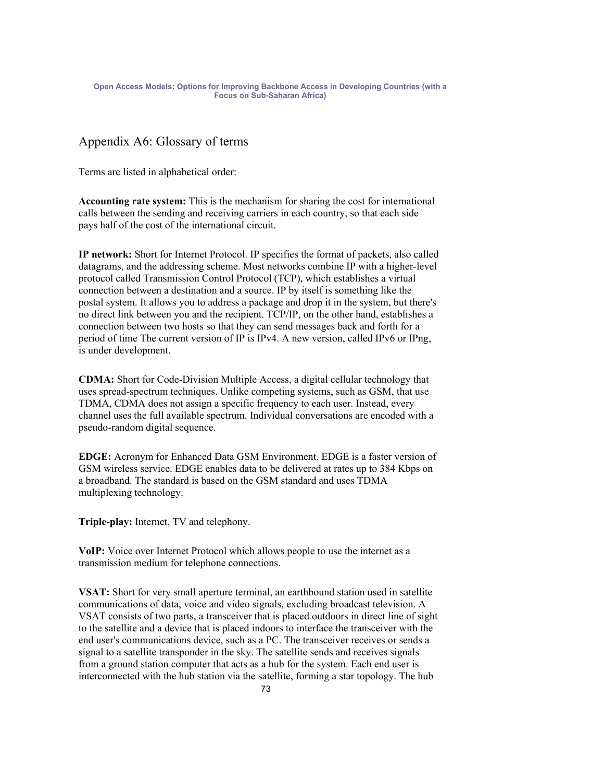## Appendix A6: Glossary of terms

Terms are listed in alphabetical order:

**Accounting rate system:** This is the mechanism for sharing the cost for international calls between the sending and receiving carriers in each country, so that each side pays half of the cost of the international circuit.

**IP network:** Short for Internet Protocol. IP specifies the format of packets, also called datagrams, and the addressing scheme. Most networks combine IP with a higher-level protocol called Transmission Control Protocol (TCP), which establishes a virtual connection between a destination and a source. IP by itself is something like the postal system. It allows you to address a package and drop it in the system, but there's no direct link between you and the recipient. TCP/IP, on the other hand, establishes a connection between two hosts so that they can send messages back and forth for a period of time The current version of IP is IPv4. A new version, called IPv6 or IPng, is under development.

**CDMA:** Short for Code-Division Multiple Access, a digital cellular technology that uses spread-spectrum techniques. Unlike competing systems, such as GSM, that use TDMA, CDMA does not assign a specific frequency to each user. Instead, every channel uses the full available spectrum. Individual conversations are encoded with a pseudo-random digital sequence.

**EDGE:** Acronym for Enhanced Data GSM Environment. EDGE is a faster version of GSM wireless service. EDGE enables data to be delivered at rates up to 384 Kbps on a broadband. The standard is based on the GSM standard and uses TDMA multiplexing technology.

**Triple-play:** Internet, TV and telephony.

**VoIP:** Voice over Internet Protocol which allows people to use the internet as a transmission medium for telephone connections.

**VSAT:** Short for very small aperture terminal, an earthbound station used in satellite communications of data, voice and video signals, excluding broadcast television. A VSAT consists of two parts, a transceiver that is placed outdoors in direct line of sight to the satellite and a device that is placed indoors to interface the transceiver with the end user's communications device, such as a PC. The transceiver receives or sends a signal to a satellite transponder in the sky. The satellite sends and receives signals from a ground station computer that acts as a hub for the system. Each end user is interconnected with the hub station via the satellite, forming a star topology. The hub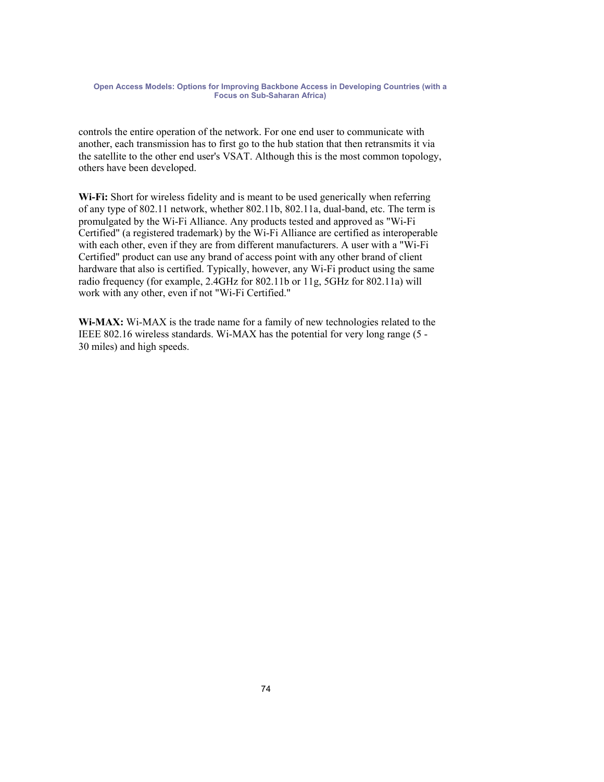controls the entire operation of the network. For one end user to communicate with another, each transmission has to first go to the hub station that then retransmits it via the satellite to the other end user's VSAT. Although this is the most common topology, others have been developed.

**Wi-Fi:** Short for wireless fidelity and is meant to be used generically when referring of any type of 802.11 network, whether 802.11b, 802.11a, dual-band, etc. The term is promulgated by the Wi-Fi Alliance. Any products tested and approved as "Wi-Fi Certified" (a registered trademark) by the Wi-Fi Alliance are certified as interoperable with each other, even if they are from different manufacturers. A user with a "Wi-Fi Certified" product can use any brand of access point with any other brand of client hardware that also is certified. Typically, however, any Wi-Fi product using the same radio frequency (for example, 2.4GHz for 802.11b or 11g, 5GHz for 802.11a) will work with any other, even if not "Wi-Fi Certified."

**Wi-MAX:** Wi-MAX is the trade name for a family of new technologies related to the IEEE 802.16 wireless standards. Wi-MAX has the potential for very long range (5 - 30 miles) and high speeds.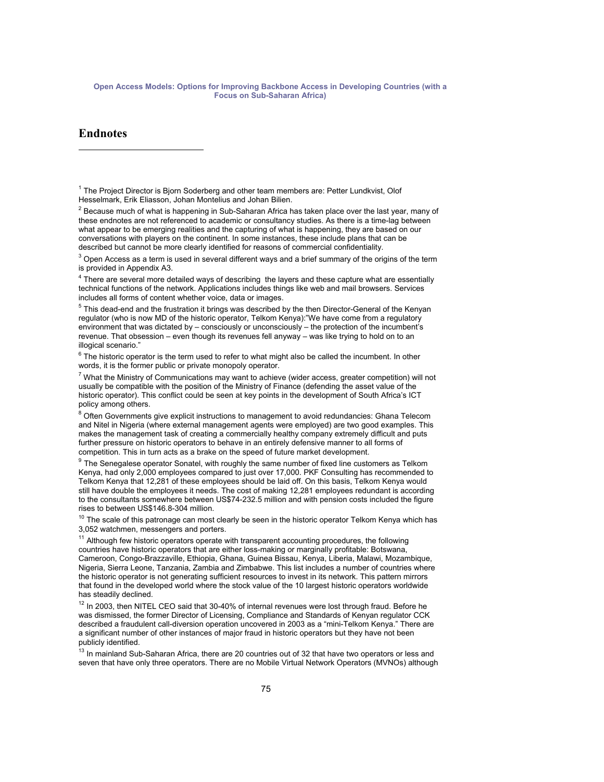## **Endnotes**

 $\overline{a}$ 

<sup>1</sup> The Project Director is Bjorn Soderberg and other team members are: Petter Lundkvist, Olof Hesselmark, Erik Eliasson, Johan Montelius and Johan Bilien.

 $^2$  Because much of what is happening in Sub-Saharan Africa has taken place over the last year, many of these endnotes are not referenced to academic or consultancy studies. As there is a time-lag between what appear to be emerging realities and the capturing of what is happening, they are based on our conversations with players on the continent. In some instances, these include plans that can be described but cannot be more clearly identified for reasons of commercial confidentiality.

 $^3$  Open Access as a term is used in several different ways and a brief summary of the origins of the term is provided in Appendix A3.

 $<sup>4</sup>$  There are several more detailed ways of describing the layers and these capture what are essentially</sup> technical functions of the network. Applications includes things like web and mail browsers. Services includes all forms of content whether voice, data or images.

<sup>5</sup> This dead-end and the frustration it brings was described by the then Director-General of the Kenyan regulator (who is now MD of the historic operator, Telkom Kenya):"We have come from a regulatory environment that was dictated by – consciously or unconsciously – the protection of the incumbent's revenue. That obsession – even though its revenues fell anyway – was like trying to hold on to an illogical scenario."

 $^6$  The historic operator is the term used to refer to what might also be called the incumbent. In other words, it is the former public or private monopoly operator.

 $^7$  What the Ministry of Communications may want to achieve (wider access, greater competition) will not usually be compatible with the position of the Ministry of Finance (defending the asset value of the historic operator). This conflict could be seen at key points in the development of South Africa's ICT policy among others.

<sup>8</sup> Often Governments give explicit instructions to management to avoid redundancies: Ghana Telecom and Nitel in Nigeria (where external management agents were employed) are two good examples. This makes the management task of creating a commercially healthy company extremely difficult and puts further pressure on historic operators to behave in an entirely defensive manner to all forms of competition. This in turn acts as a brake on the speed of future market development.

 $9$  The Senegalese operator Sonatel, with roughly the same number of fixed line customers as Telkom Kenya, had only 2,000 employees compared to just over 17,000. PKF Consulting has recommended to Telkom Kenya that 12,281 of these employees should be laid off. On this basis, Telkom Kenya would still have double the employees it needs. The cost of making 12,281 employees redundant is according to the consultants somewhere between US\$74-232.5 million and with pension costs included the figure rises to between US\$146.8-304 million.

 $10$  The scale of this patronage can most clearly be seen in the historic operator Telkom Kenya which has 3,052 watchmen, messengers and porters.

<sup>11</sup> Although few historic operators operate with transparent accounting procedures, the following countries have historic operators that are either loss-making or marginally profitable: Botswana, Cameroon, Congo-Brazzaville, Ethiopia, Ghana, Guinea Bissau, Kenya, Liberia, Malawi, Mozambique, Nigeria, Sierra Leone, Tanzania, Zambia and Zimbabwe. This list includes a number of countries where the historic operator is not generating sufficient resources to invest in its network. This pattern mirrors that found in the developed world where the stock value of the 10 largest historic operators worldwide has steadily declined.

 $12$  In 2003, then NITEL CEO said that 30-40% of internal revenues were lost through fraud. Before he was dismissed, the former Director of Licensing, Compliance and Standards of Kenyan regulator CCK described a fraudulent call-diversion operation uncovered in 2003 as a "mini-Telkom Kenya." There are a significant number of other instances of major fraud in historic operators but they have not been publicly identified.

<sup>13</sup> In mainland Sub-Saharan Africa, there are 20 countries out of 32 that have two operators or less and seven that have only three operators. There are no Mobile Virtual Network Operators (MVNOs) although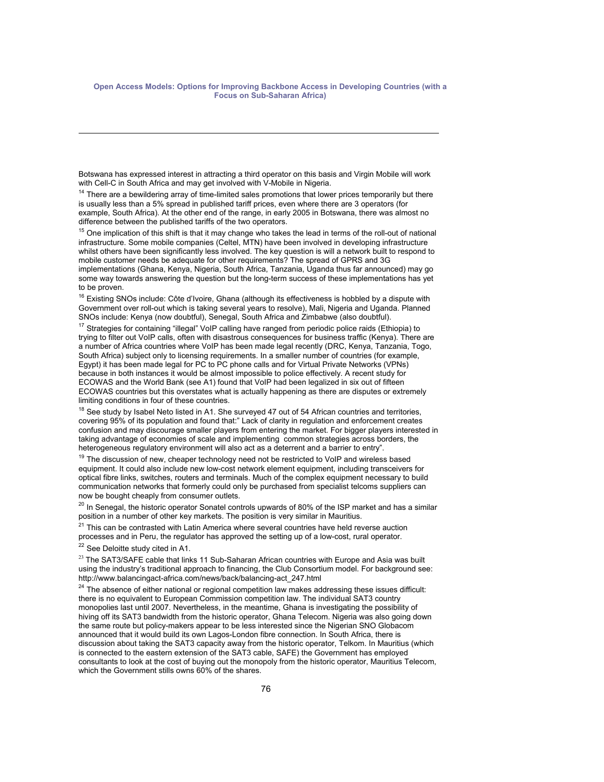Botswana has expressed interest in attracting a third operator on this basis and Virgin Mobile will work with Cell-C in South Africa and may get involved with V-Mobile in Nigeria.

<sup>14</sup> There are a bewildering array of time-limited sales promotions that lower prices temporarily but there is usually less than a 5% spread in published tariff prices, even where there are 3 operators (for example, South Africa). At the other end of the range, in early 2005 in Botswana, there was almost no difference between the published tariffs of the two operators.

 $15$  One implication of this shift is that it may change who takes the lead in terms of the roll-out of national infrastructure. Some mobile companies (Celtel, MTN) have been involved in developing infrastructure whilst others have been significantly less involved. The key question is will a network built to respond to mobile customer needs be adequate for other requirements? The spread of GPRS and 3G implementations (Ghana, Kenya, Nigeria, South Africa, Tanzania, Uganda thus far announced) may go some way towards answering the question but the long-term success of these implementations has yet to be proven.

<sup>16</sup> Existing SNOs include: Côte d'Ivoire, Ghana (although its effectiveness is hobbled by a dispute with Government over roll-out which is taking several years to resolve), Mali, Nigeria and Uganda. Planned SNOs include: Kenya (now doubtful), Senegal, South Africa and Zimbabwe (also doubtful).

<sup>17</sup> Strategies for containing "illegal" VoIP calling have ranged from periodic police raids (Ethiopia) to trying to filter out VoIP calls, often with disastrous consequences for business traffic (Kenya). There are a number of Africa countries where VoIP has been made legal recently (DRC, Kenya, Tanzania, Togo, South Africa) subject only to licensing requirements. In a smaller number of countries (for example, Egypt) it has been made legal for PC to PC phone calls and for Virtual Private Networks (VPNs) because in both instances it would be almost impossible to police effectively. A recent study for ECOWAS and the World Bank (see A1) found that VoIP had been legalized in six out of fifteen ECOWAS countries but this overstates what is actually happening as there are disputes or extremely limiting conditions in four of these countries.

<sup>18</sup> See study by Isabel Neto listed in A1. She surveyed 47 out of 54 African countries and territories, covering 95% of its population and found that:" Lack of clarity in regulation and enforcement creates confusion and may discourage smaller players from entering the market. For bigger players interested in taking advantage of economies of scale and implementing common strategies across borders, the heterogeneous regulatory environment will also act as a deterrent and a barrier to entry".

 $19$  The discussion of new, cheaper technology need not be restricted to VoIP and wireless based equipment. It could also include new low-cost network element equipment, including transceivers for optical fibre links, switches, routers and terminals. Much of the complex equipment necessary to build communication networks that formerly could only be purchased from specialist telcoms suppliers can now be bought cheaply from consumer outlets.

<sup>20</sup> In Senegal, the historic operator Sonatel controls upwards of 80% of the ISP market and has a similar position in a number of other key markets. The position is very similar in Mauritius.

 $21$  This can be contrasted with Latin America where several countries have held reverse auction processes and in Peru, the regulator has approved the setting up of a low-cost, rural operator.<br><sup>22</sup> See Deloitte study cited in A1.

 $\overline{a}$ 

<sup>23</sup> The SAT3/SAFE cable that links 11 Sub-Saharan African countries with Europe and Asia was built using the industry's traditional approach to financing, the Club Consortium model. For background see: http://www.balancingact-africa.com/news/back/balancing-act\_247.html

 $24$  The absence of either national or regional competition law makes addressing these issues difficult: there is no equivalent to European Commission competition law. The individual SAT3 country monopolies last until 2007. Nevertheless, in the meantime, Ghana is investigating the possibility of hiving off its SAT3 bandwidth from the historic operator, Ghana Telecom. Nigeria was also going down the same route but policy-makers appear to be less interested since the Nigerian SNO Globacom announced that it would build its own Lagos-London fibre connection. In South Africa, there is discussion about taking the SAT3 capacity away from the historic operator, Telkom. In Mauritius (which is connected to the eastern extension of the SAT3 cable, SAFE) the Government has employed consultants to look at the cost of buying out the monopoly from the historic operator, Mauritius Telecom, which the Government stills owns 60% of the shares.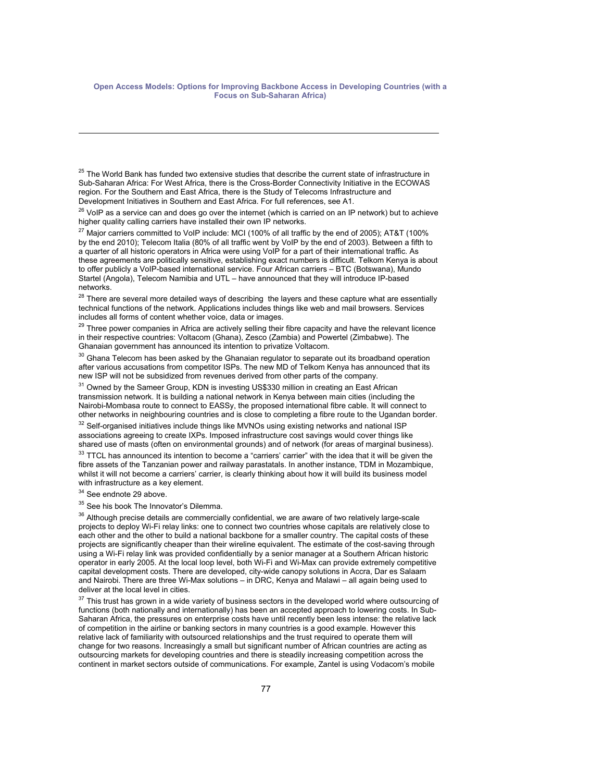<sup>25</sup> The World Bank has funded two extensive studies that describe the current state of infrastructure in Sub-Saharan Africa: For West Africa, there is the Cross-Border Connectivity Initiative in the ECOWAS region. For the Southern and East Africa, there is the Study of Telecoms Infrastructure and Development Initiatives in Southern and East Africa. For full references, see A1.

 $26$  VoIP as a service can and does go over the internet (which is carried on an IP network) but to achieve higher quality calling carriers have installed their own IP networks.

 $^{27}$  Major carriers committed to VoIP include: MCI (100% of all traffic by the end of 2005); AT&T (100% by the end 2010); Telecom Italia (80% of all traffic went by VoIP by the end of 2003). Between a fifth to a quarter of all historic operators in Africa were using VoIP for a part of their international traffic. As these agreements are politically sensitive, establishing exact numbers is difficult. Telkom Kenya is about to offer publicly a VoIP-based international service. Four African carriers - BTC (Botswana), Mundo Startel (Angola), Telecom Namibia and UTL – have announced that they will introduce IP-based networks.

<sup>28</sup> There are several more detailed ways of describing the layers and these capture what are essentially technical functions of the network. Applications includes things like web and mail browsers. Services includes all forms of content whether voice, data or images.

 $29$  Three power companies in Africa are actively selling their fibre capacity and have the relevant licence in their respective countries: Voltacom (Ghana), Zesco (Zambia) and Powertel (Zimbabwe). The Ghanaian government has announced its intention to privatize Voltacom.

 $30$  Ghana Telecom has been asked by the Ghanaian regulator to separate out its broadband operation after various accusations from competitor ISPs. The new MD of Telkom Kenya has announced that its new ISP will not be subsidized from revenues derived from other parts of the company.

 $31$  Owned by the Sameer Group, KDN is investing US\$330 million in creating an East African transmission network. It is building a national network in Kenya between main cities (including the Nairobi-Mombasa route to connect to EASSy, the proposed international fibre cable. It will connect to other networks in neighbouring countries and is close to completing a fibre route to the Ugandan border.<br><sup>32</sup> Self-organised initiatives include things like MVNOs using existing networks and national ISP

associations agreeing to create IXPs. Imposed infrastructure cost savings would cover things like<br>shared use of masts (often on environmental grounds) and of network (for areas of marginal business).

 $33$  TTCL has announced its intention to become a "carriers' carrier" with the idea that it will be given the fibre assets of the Tanzanian power and railway parastatals. In another instance, TDM in Mozambique. whilst it will not become a carriers' carrier, is clearly thinking about how it will build its business model with infrastructure as a key element.

 $34$  See endnote 29 above.

 $\overline{a}$ 

<sup>35</sup> See his book The Innovator's Dilemma.

 $36$  Although precise details are commercially confidential, we are aware of two relatively large-scale projects to deploy Wi-Fi relay links: one to connect two countries whose capitals are relatively close to each other and the other to build a national backbone for a smaller country. The capital costs of these projects are significantly cheaper than their wireline equivalent. The estimate of the cost-saving through using a Wi-Fi relay link was provided confidentially by a senior manager at a Southern African historic operator in early 2005. At the local loop level, both Wi-Fi and Wi-Max can provide extremely competitive capital development costs. There are developed, city-wide canopy solutions in Accra, Dar es Salaam and Nairobi. There are three Wi-Max solutions – in DRC, Kenya and Malawi – all again being used to deliver at the local level in cities.

 $37$  This trust has grown in a wide variety of business sectors in the developed world where outsourcing of functions (both nationally and internationally) has been an accepted approach to lowering costs. In Sub-Saharan Africa, the pressures on enterprise costs have until recently been less intense: the relative lack of competition in the airline or banking sectors in many countries is a good example. However this relative lack of familiarity with outsourced relationships and the trust required to operate them will change for two reasons. Increasingly a small but significant number of African countries are acting as outsourcing markets for developing countries and there is steadily increasing competition across the continent in market sectors outside of communications. For example, Zantel is using Vodacom's mobile